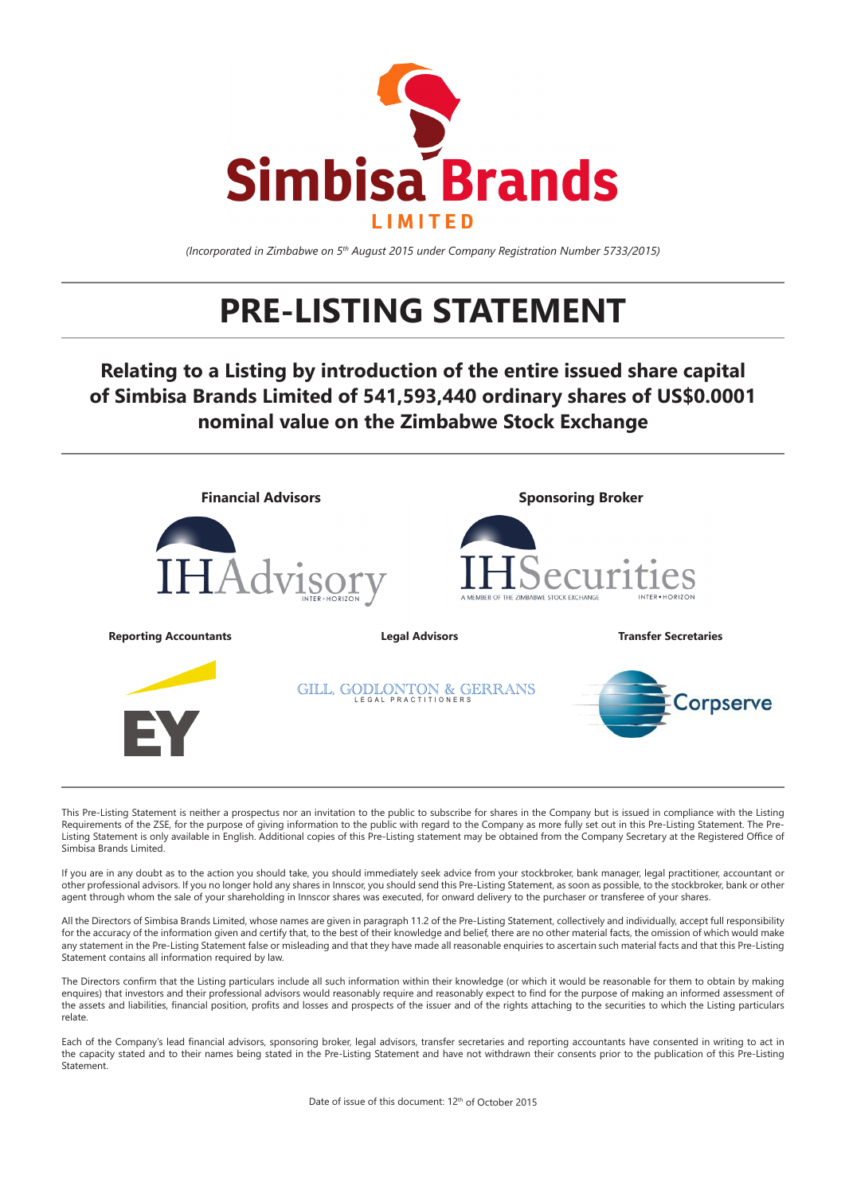

*(Incorporated in Zimbabwe on 5th August 2015 under Company Registration Number 5733/2015)*

# **PRE-LISTING STATEMENT**

**Relating to a Listing by introduction of the entire issued share capital of Simbisa Brands Limited of 541,593,440 ordinary shares of US\$0.0001 nominal value on the Zimbabwe Stock Exchange**



This Pre-Listing Statement is neither a prospectus nor an invitation to the public to subscribe for shares in the Company but is issued in compliance with the Listing Requirements of the ZSE, for the purpose of giving information to the public with regard to the Company as more fully set out in this Pre-Listing Statement. The Pre-Listing Statement is only available in English. Additional copies of this Pre-Listing statement may be obtained from the Company Secretary at the Registered Office of Simbisa Brands Limited.

If you are in any doubt as to the action you should take, you should immediately seek advice from your stockbroker, bank manager, legal practitioner, accountant or other professional advisors. If you no longer hold any shares in Innscor, you should send this Pre-Listing Statement, as soon as possible, to the stockbroker, bank or other agent through whom the sale of your shareholding in Innscor shares was executed, for onward delivery to the purchaser or transferee of your shares

All the Directors of Simbisa Brands Limited, whose names are given in paragraph 11.2 of the Pre-Listing Statement, collectively and individually, accept full responsibility for the accuracy of the information given and certify that, to the best of their knowledge and belief, there are no other material facts, the omission of which would make any statement in the Pre-Listing Statement false or misleading and that they have made all reasonable enquiries to ascertain such material facts and that this Pre-Listing Statement contains all information required by law.

The Directors confirm that the Listing particulars include all such information within their knowledge (or which it would be reasonable for them to obtain by making enquires) that investors and their professional advisors would reasonably require and reasonably expect to find for the purpose of making an informed assessment of the assets and liabilities, financial position, profits and losses and prospects of the issuer and of the rights attaching to the securities to which the Listing particulars relate.

Each of the Company's lead financial advisors, sponsoring broker, legal advisors, transfer secretaries and reporting accountants have consented in writing to act in the capacity stated and to their names being stated in the Pre-Listing Statement and have not withdrawn their consents prior to the publication of this Pre-Listing **Statement**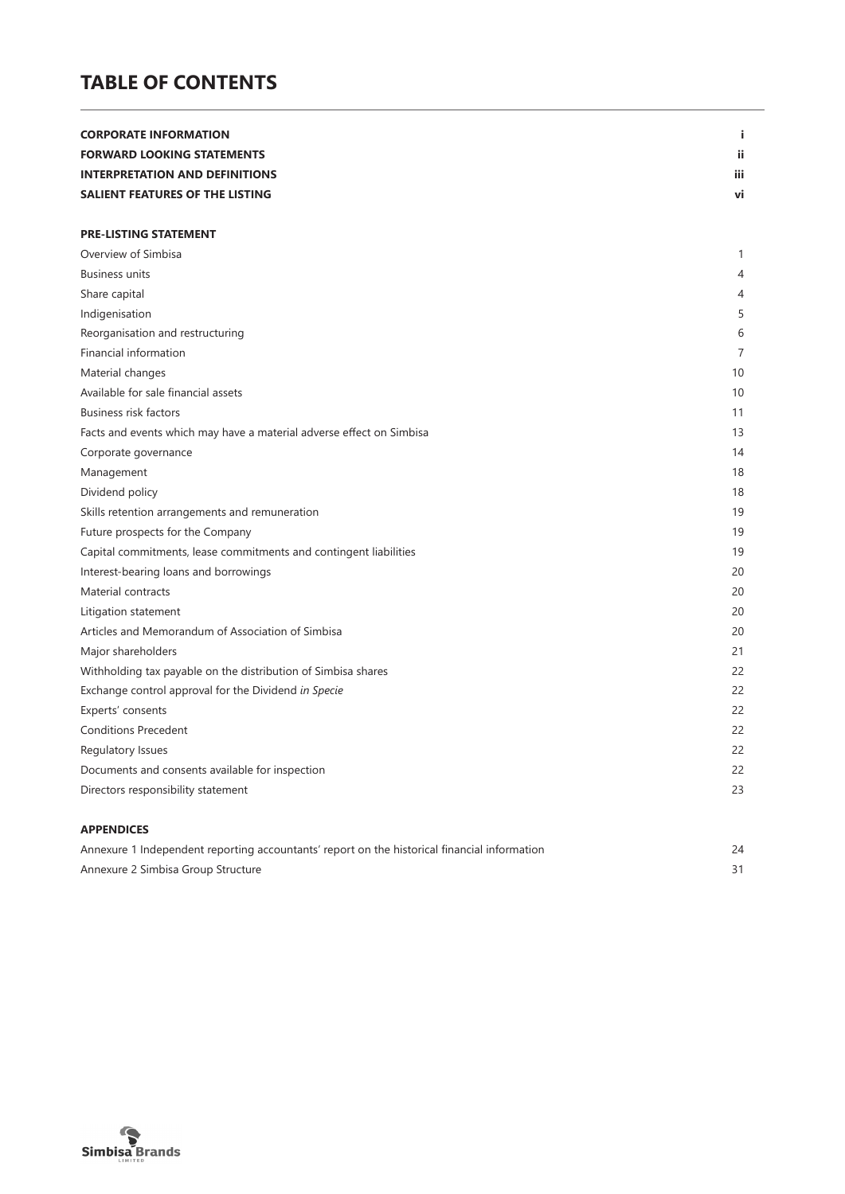# **TABLE OF CONTENTS**

| <b>CORPORATE INFORMATION</b>                                         | j.         |
|----------------------------------------------------------------------|------------|
| <b>FORWARD LOOKING STATEMENTS</b>                                    | ii.        |
| <b>INTERPRETATION AND DEFINITIONS</b>                                | <b>iii</b> |
| SALIENT FEATURES OF THE LISTING                                      | vi         |
|                                                                      |            |
| <b>PRE-LISTING STATEMENT</b>                                         |            |
| Overview of Simbisa                                                  | 1          |
| <b>Business units</b>                                                | 4          |
| Share capital                                                        | 4          |
| Indigenisation                                                       | 5          |
| Reorganisation and restructuring                                     | 6          |
| Financial information                                                | 7          |
| Material changes                                                     | 10         |
| Available for sale financial assets                                  | 10         |
| <b>Business risk factors</b>                                         | 11         |
| Facts and events which may have a material adverse effect on Simbisa | 13         |
| Corporate governance                                                 | 14         |
| Management                                                           | 18         |
| Dividend policy                                                      | 18         |
| Skills retention arrangements and remuneration                       | 19         |
| Future prospects for the Company                                     | 19         |
| Capital commitments, lease commitments and contingent liabilities    | 19         |
| Interest-bearing loans and borrowings                                | 20         |
| Material contracts                                                   | 20         |
| Litigation statement                                                 | 20         |
| Articles and Memorandum of Association of Simbisa                    | 20         |
| Major shareholders                                                   | 21         |
| Withholding tax payable on the distribution of Simbisa shares        | 22         |
| Exchange control approval for the Dividend in Specie                 | 22         |
| Experts' consents                                                    | 22         |
| <b>Conditions Precedent</b>                                          | 22         |
| Regulatory Issues                                                    | 22         |
| Documents and consents available for inspection                      | 22         |
| Directors responsibility statement                                   | 23         |
| <b>APPENDICES</b>                                                    |            |

| Annexure 1 Independent reporting accountants' report on the historical financial information |  |
|----------------------------------------------------------------------------------------------|--|
| Annexure 2 Simbisa Group Structure                                                           |  |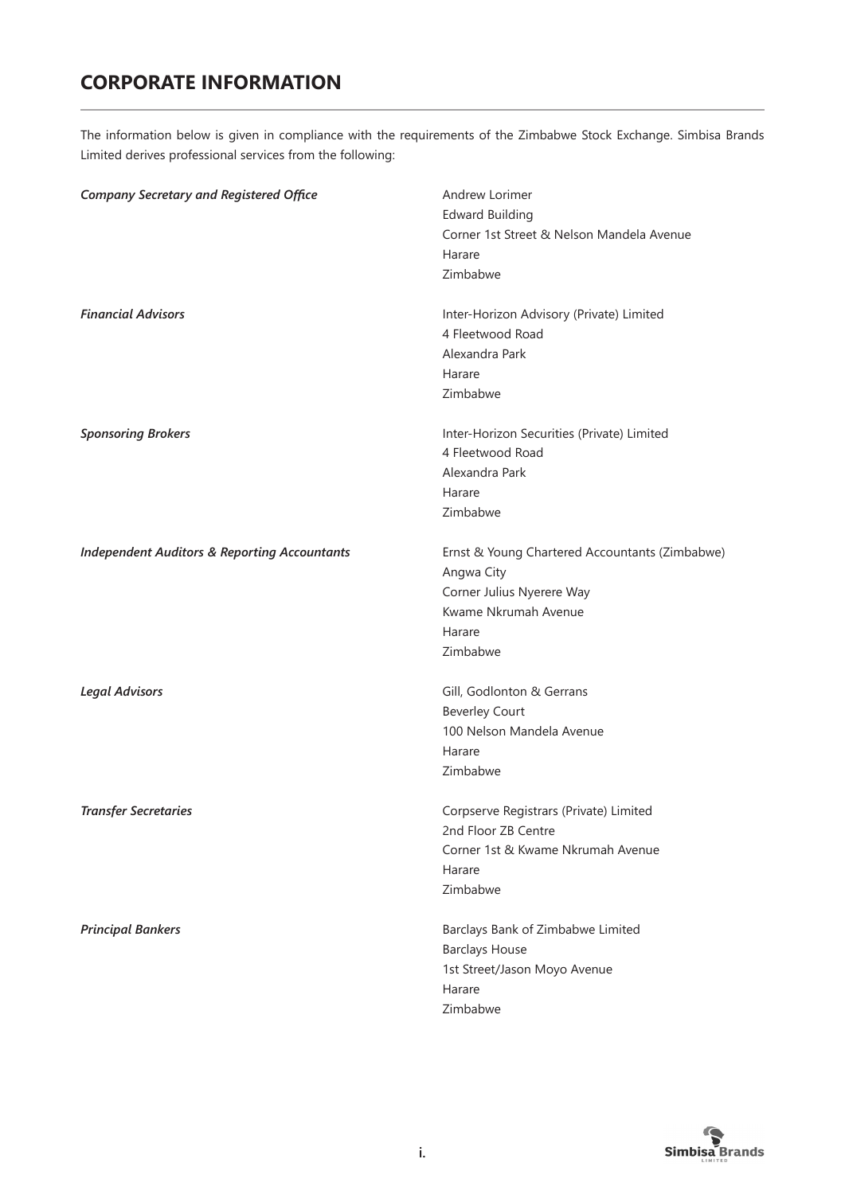# **CORPORATE INFORMATION**

The information below is given in compliance with the requirements of the Zimbabwe Stock Exchange. Simbisa Brands Limited derives professional services from the following:

| <b>Company Secretary and Registered Office</b>          | Andrew Lorimer<br><b>Edward Building</b><br>Corner 1st Street & Nelson Mandela Avenue<br>Harare<br>Zimbabwe                             |
|---------------------------------------------------------|-----------------------------------------------------------------------------------------------------------------------------------------|
| <b>Financial Advisors</b>                               | Inter-Horizon Advisory (Private) Limited<br>4 Fleetwood Road<br>Alexandra Park<br>Harare<br>Zimbabwe                                    |
| <b>Sponsoring Brokers</b>                               | Inter-Horizon Securities (Private) Limited<br>4 Fleetwood Road<br>Alexandra Park<br>Harare<br>Zimbabwe                                  |
| <b>Independent Auditors &amp; Reporting Accountants</b> | Ernst & Young Chartered Accountants (Zimbabwe)<br>Angwa City<br>Corner Julius Nyerere Way<br>Kwame Nkrumah Avenue<br>Harare<br>Zimbabwe |
| <b>Legal Advisors</b>                                   | Gill, Godlonton & Gerrans<br><b>Beverley Court</b><br>100 Nelson Mandela Avenue<br>Harare<br>Zimbabwe                                   |
| <b>Transfer Secretaries</b>                             | Corpserve Registrars (Private) Limited<br>2nd Floor ZB Centre<br>Corner 1st & Kwame Nkrumah Avenue<br>Harare<br>Zimbabwe                |
| <b>Principal Bankers</b>                                | Barclays Bank of Zimbabwe Limited<br><b>Barclays House</b><br>1st Street/Jason Moyo Avenue<br>Harare<br>Zimbabwe                        |

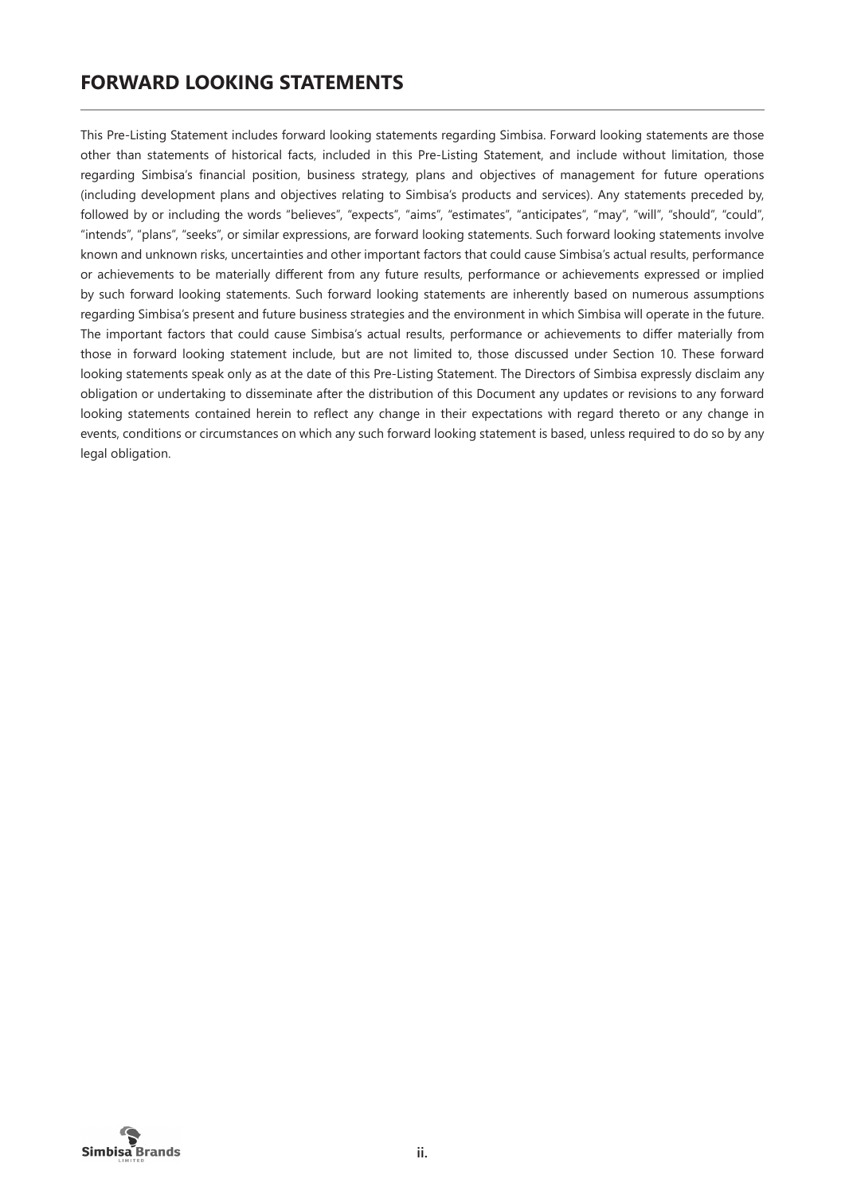# **FORWARD LOOKING STATEMENTS**

This Pre-Listing Statement includes forward looking statements regarding Simbisa. Forward looking statements are those other than statements of historical facts, included in this Pre-Listing Statement, and include without limitation, those regarding Simbisa's financial position, business strategy, plans and objectives of management for future operations (including development plans and objectives relating to Simbisa's products and services). Any statements preceded by, followed by or including the words "believes", "expects", "aims", "estimates", "anticipates", "may", "will", "should", "could", "intends", "plans", "seeks", or similar expressions, are forward looking statements. Such forward looking statements involve known and unknown risks, uncertainties and other important factors that could cause Simbisa's actual results, performance or achievements to be materially different from any future results, performance or achievements expressed or implied by such forward looking statements. Such forward looking statements are inherently based on numerous assumptions regarding Simbisa's present and future business strategies and the environment in which Simbisa will operate in the future. The important factors that could cause Simbisa's actual results, performance or achievements to differ materially from those in forward looking statement include, but are not limited to, those discussed under Section 10. These forward looking statements speak only as at the date of this Pre-Listing Statement. The Directors of Simbisa expressly disclaim any obligation or undertaking to disseminate after the distribution of this Document any updates or revisions to any forward looking statements contained herein to reflect any change in their expectations with regard thereto or any change in events, conditions or circumstances on which any such forward looking statement is based, unless required to do so by any legal obligation.

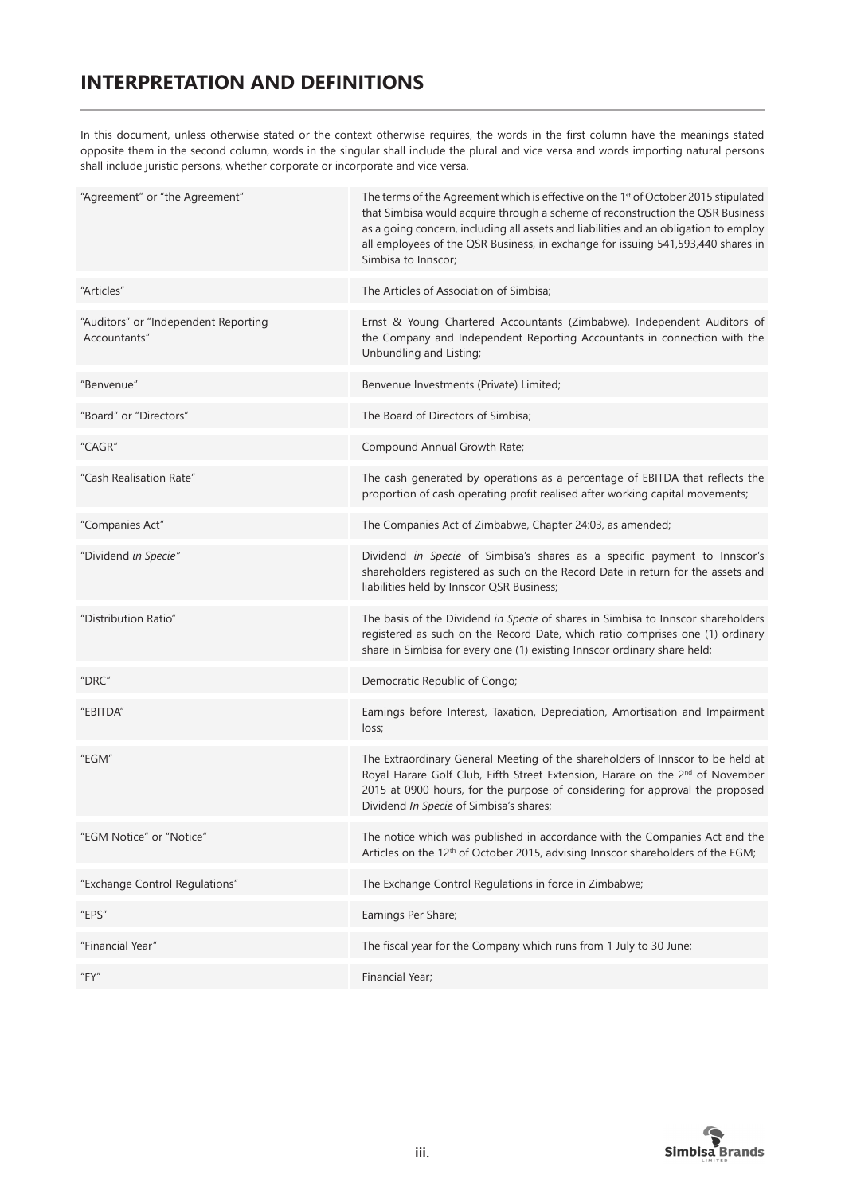# **INTERPRETATION AND DEFINITIONS**

In this document, unless otherwise stated or the context otherwise requires, the words in the first column have the meanings stated opposite them in the second column, words in the singular shall include the plural and vice versa and words importing natural persons shall include juristic persons, whether corporate or incorporate and vice versa.

| "Agreement" or "the Agreement"                       | The terms of the Agreement which is effective on the 1 <sup>st</sup> of October 2015 stipulated<br>that Simbisa would acquire through a scheme of reconstruction the QSR Business<br>as a going concern, including all assets and liabilities and an obligation to employ<br>all employees of the QSR Business, in exchange for issuing 541,593,440 shares in<br>Simbisa to Innscor; |
|------------------------------------------------------|--------------------------------------------------------------------------------------------------------------------------------------------------------------------------------------------------------------------------------------------------------------------------------------------------------------------------------------------------------------------------------------|
| "Articles"                                           | The Articles of Association of Simbisa;                                                                                                                                                                                                                                                                                                                                              |
| "Auditors" or "Independent Reporting<br>Accountants" | Ernst & Young Chartered Accountants (Zimbabwe), Independent Auditors of<br>the Company and Independent Reporting Accountants in connection with the<br>Unbundling and Listing;                                                                                                                                                                                                       |
| "Benvenue"                                           | Benvenue Investments (Private) Limited;                                                                                                                                                                                                                                                                                                                                              |
| "Board" or "Directors"                               | The Board of Directors of Simbisa;                                                                                                                                                                                                                                                                                                                                                   |
| "CAGR"                                               | Compound Annual Growth Rate;                                                                                                                                                                                                                                                                                                                                                         |
| "Cash Realisation Rate"                              | The cash generated by operations as a percentage of EBITDA that reflects the<br>proportion of cash operating profit realised after working capital movements;                                                                                                                                                                                                                        |
| "Companies Act"                                      | The Companies Act of Zimbabwe, Chapter 24:03, as amended;                                                                                                                                                                                                                                                                                                                            |
| "Dividend in Specie"                                 | Dividend in Specie of Simbisa's shares as a specific payment to Innscor's<br>shareholders registered as such on the Record Date in return for the assets and<br>liabilities held by Innscor QSR Business;                                                                                                                                                                            |
| "Distribution Ratio"                                 | The basis of the Dividend in Specie of shares in Simbisa to Innscor shareholders<br>registered as such on the Record Date, which ratio comprises one (1) ordinary<br>share in Simbisa for every one (1) existing Innscor ordinary share held;                                                                                                                                        |
| "DRC"                                                | Democratic Republic of Congo;                                                                                                                                                                                                                                                                                                                                                        |
| "EBITDA"                                             | Earnings before Interest, Taxation, Depreciation, Amortisation and Impairment<br>loss;                                                                                                                                                                                                                                                                                               |
| "EGM"                                                | The Extraordinary General Meeting of the shareholders of Innscor to be held at<br>Royal Harare Golf Club, Fifth Street Extension, Harare on the 2 <sup>nd</sup> of November<br>2015 at 0900 hours, for the purpose of considering for approval the proposed<br>Dividend In Specie of Simbisa's shares;                                                                               |
| "EGM Notice" or "Notice"                             | The notice which was published in accordance with the Companies Act and the<br>Articles on the 12 <sup>th</sup> of October 2015, advising Innscor shareholders of the EGM;                                                                                                                                                                                                           |
| "Exchange Control Regulations"                       | The Exchange Control Regulations in force in Zimbabwe;                                                                                                                                                                                                                                                                                                                               |
| "EPS"                                                | Earnings Per Share;                                                                                                                                                                                                                                                                                                                                                                  |
| "Financial Year"                                     | The fiscal year for the Company which runs from 1 July to 30 June;                                                                                                                                                                                                                                                                                                                   |
| "FY"                                                 | Financial Year;                                                                                                                                                                                                                                                                                                                                                                      |

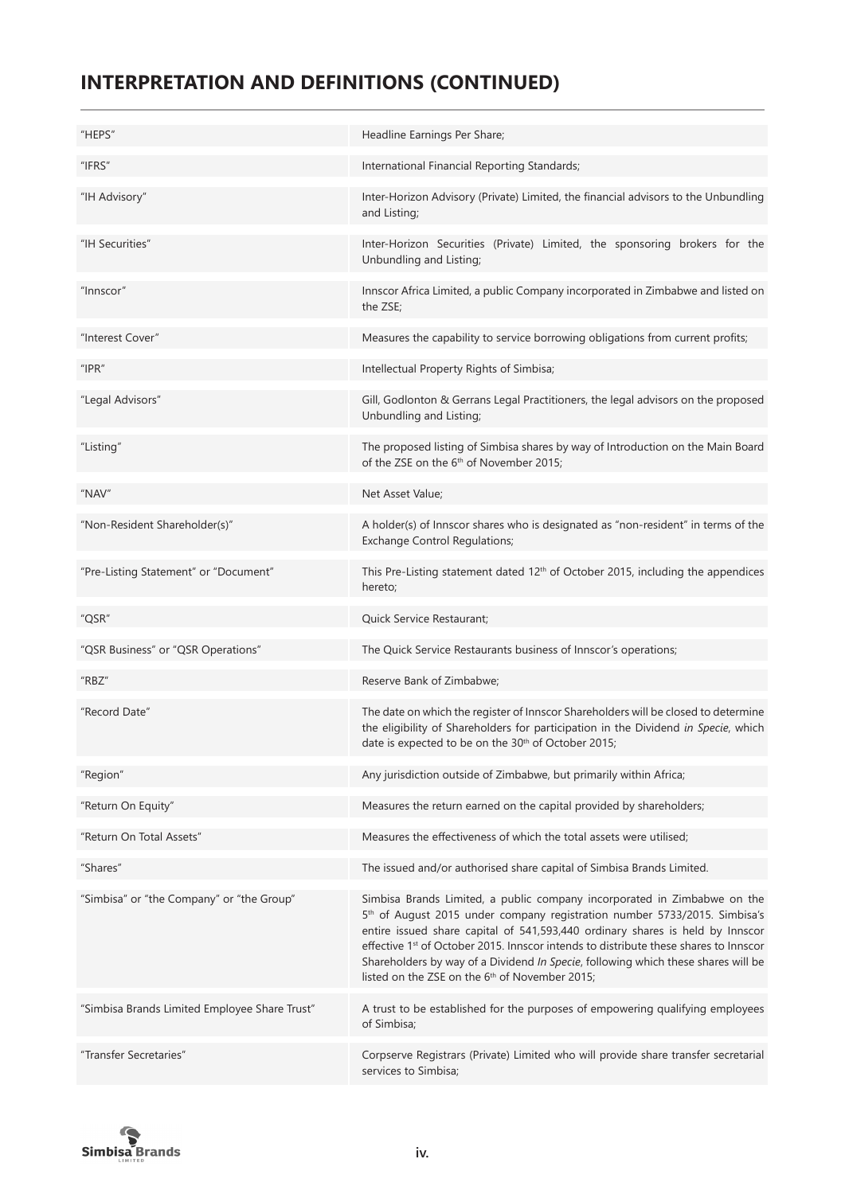# **INTERPRETATION AND DEFINITIONS (CONTINUED)**

| "HEPS"                                        | Headline Earnings Per Share;                                                                                                                                                                                                                                                                                                                                                                                                                                                                  |
|-----------------------------------------------|-----------------------------------------------------------------------------------------------------------------------------------------------------------------------------------------------------------------------------------------------------------------------------------------------------------------------------------------------------------------------------------------------------------------------------------------------------------------------------------------------|
| "IFRS"                                        | International Financial Reporting Standards;                                                                                                                                                                                                                                                                                                                                                                                                                                                  |
| "IH Advisory"                                 | Inter-Horizon Advisory (Private) Limited, the financial advisors to the Unbundling<br>and Listing;                                                                                                                                                                                                                                                                                                                                                                                            |
| "IH Securities"                               | Inter-Horizon Securities (Private) Limited, the sponsoring brokers for the<br>Unbundling and Listing;                                                                                                                                                                                                                                                                                                                                                                                         |
| "Innscor"                                     | Innscor Africa Limited, a public Company incorporated in Zimbabwe and listed on<br>the ZSE;                                                                                                                                                                                                                                                                                                                                                                                                   |
| "Interest Cover"                              | Measures the capability to service borrowing obligations from current profits;                                                                                                                                                                                                                                                                                                                                                                                                                |
| $"$ IPR $"$                                   | Intellectual Property Rights of Simbisa;                                                                                                                                                                                                                                                                                                                                                                                                                                                      |
| "Legal Advisors"                              | Gill, Godlonton & Gerrans Legal Practitioners, the legal advisors on the proposed<br>Unbundling and Listing;                                                                                                                                                                                                                                                                                                                                                                                  |
| "Listing"                                     | The proposed listing of Simbisa shares by way of Introduction on the Main Board<br>of the ZSE on the 6 <sup>th</sup> of November 2015;                                                                                                                                                                                                                                                                                                                                                        |
| "NAV"                                         | Net Asset Value;                                                                                                                                                                                                                                                                                                                                                                                                                                                                              |
| "Non-Resident Shareholder(s)"                 | A holder(s) of Innscor shares who is designated as "non-resident" in terms of the<br><b>Exchange Control Regulations;</b>                                                                                                                                                                                                                                                                                                                                                                     |
| "Pre-Listing Statement" or "Document"         | This Pre-Listing statement dated 12 <sup>th</sup> of October 2015, including the appendices<br>hereto;                                                                                                                                                                                                                                                                                                                                                                                        |
|                                               |                                                                                                                                                                                                                                                                                                                                                                                                                                                                                               |
| "QSR"                                         | Quick Service Restaurant;                                                                                                                                                                                                                                                                                                                                                                                                                                                                     |
| "QSR Business" or "QSR Operations"            | The Quick Service Restaurants business of Innscor's operations;                                                                                                                                                                                                                                                                                                                                                                                                                               |
| "RBZ"                                         | Reserve Bank of Zimbabwe;                                                                                                                                                                                                                                                                                                                                                                                                                                                                     |
| "Record Date"                                 | The date on which the register of Innscor Shareholders will be closed to determine<br>the eligibility of Shareholders for participation in the Dividend in Specie, which<br>date is expected to be on the 30 <sup>th</sup> of October 2015;                                                                                                                                                                                                                                                   |
| "Region"                                      | Any jurisdiction outside of Zimbabwe, but primarily within Africa;                                                                                                                                                                                                                                                                                                                                                                                                                            |
| "Return On Equity"                            | Measures the return earned on the capital provided by shareholders;                                                                                                                                                                                                                                                                                                                                                                                                                           |
| "Return On Total Assets"                      | Measures the effectiveness of which the total assets were utilised;                                                                                                                                                                                                                                                                                                                                                                                                                           |
| "Shares"                                      | The issued and/or authorised share capital of Simbisa Brands Limited.                                                                                                                                                                                                                                                                                                                                                                                                                         |
| "Simbisa" or "the Company" or "the Group"     | Simbisa Brands Limited, a public company incorporated in Zimbabwe on the<br>5 <sup>th</sup> of August 2015 under company registration number 5733/2015. Simbisa's<br>entire issued share capital of 541,593,440 ordinary shares is held by Innscor<br>effective 1st of October 2015. Innscor intends to distribute these shares to Innscor<br>Shareholders by way of a Dividend In Specie, following which these shares will be<br>listed on the ZSE on the 6 <sup>th</sup> of November 2015; |
| "Simbisa Brands Limited Employee Share Trust" | A trust to be established for the purposes of empowering qualifying employees<br>of Simbisa;                                                                                                                                                                                                                                                                                                                                                                                                  |

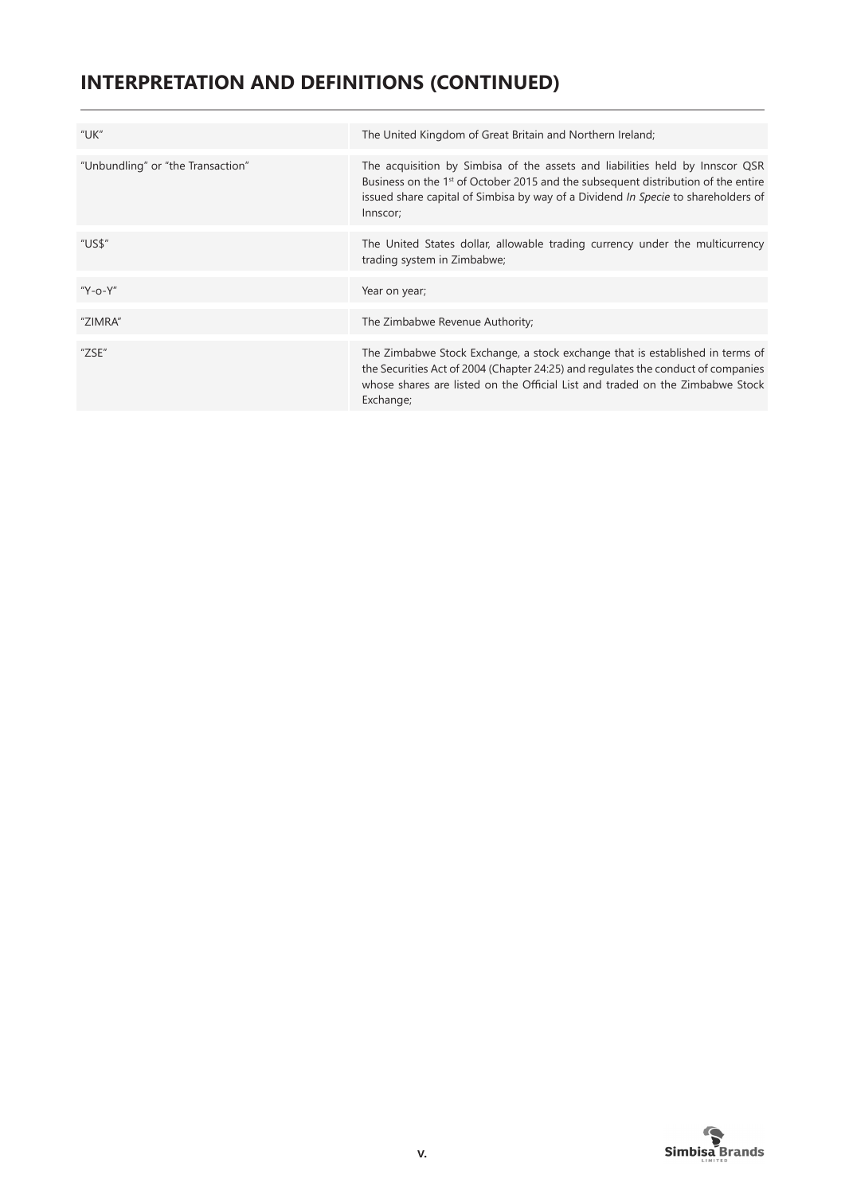# **INTERPRETATION AND DEFINITIONS (CONTINUED)**

| "UK"                              | The United Kingdom of Great Britain and Northern Ireland;                                                                                                                                                                                                                      |
|-----------------------------------|--------------------------------------------------------------------------------------------------------------------------------------------------------------------------------------------------------------------------------------------------------------------------------|
| "Unbundling" or "the Transaction" | The acquisition by Simbisa of the assets and liabilities held by Innscor QSR<br>Business on the 1 <sup>st</sup> of October 2015 and the subsequent distribution of the entire<br>issued share capital of Simbisa by way of a Dividend In Specie to shareholders of<br>Innscor; |
| "US\$"                            | The United States dollar, allowable trading currency under the multicurrency<br>trading system in Zimbabwe;                                                                                                                                                                    |
| "Y-o-Y"                           | Year on year;                                                                                                                                                                                                                                                                  |
| "ZIMRA"                           | The Zimbabwe Revenue Authority;                                                                                                                                                                                                                                                |
| "ZSE"                             | The Zimbabwe Stock Exchange, a stock exchange that is established in terms of<br>the Securities Act of 2004 (Chapter 24:25) and regulates the conduct of companies<br>whose shares are listed on the Official List and traded on the Zimbabwe Stock<br>Exchange;               |

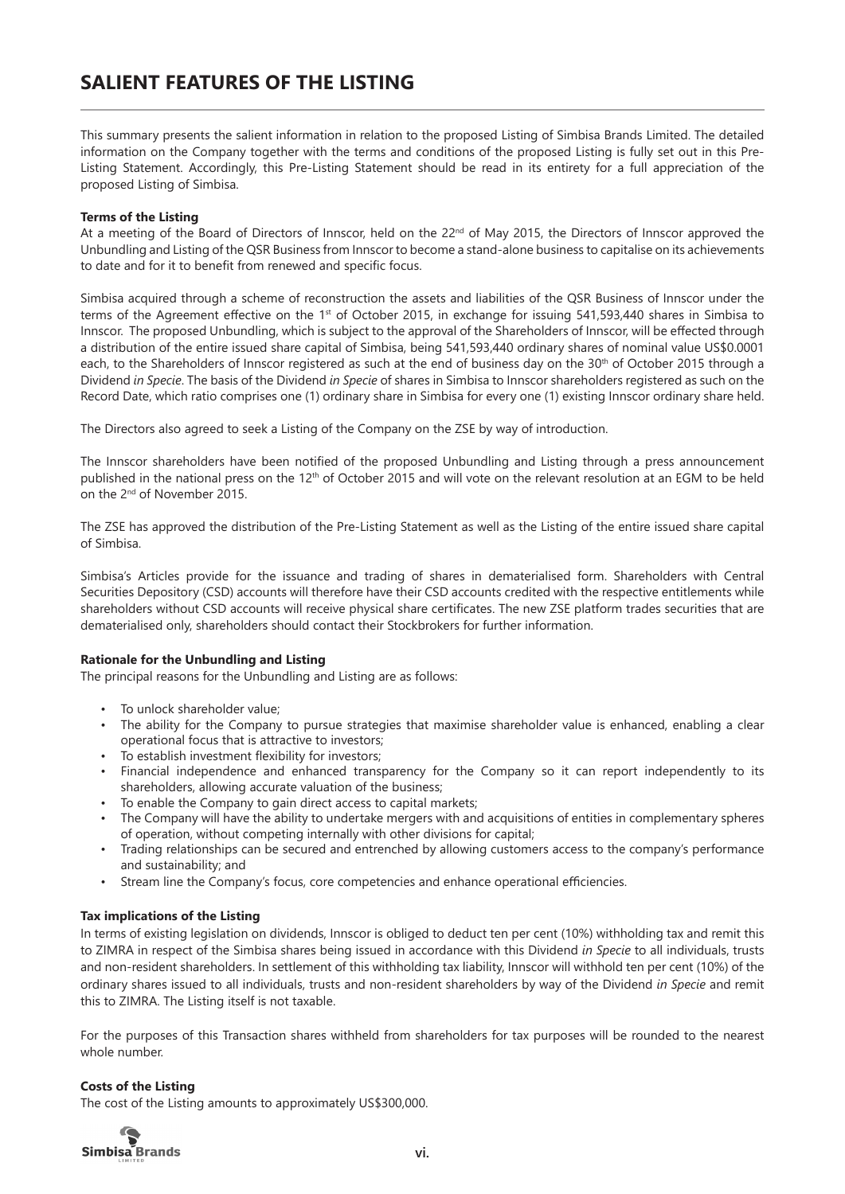This summary presents the salient information in relation to the proposed Listing of Simbisa Brands Limited. The detailed information on the Company together with the terms and conditions of the proposed Listing is fully set out in this Pre-Listing Statement. Accordingly, this Pre-Listing Statement should be read in its entirety for a full appreciation of the proposed Listing of Simbisa.

#### **Terms of the Listing**

At a meeting of the Board of Directors of Innscor, held on the  $22^{nd}$  of May 2015, the Directors of Innscor approved the Unbundling and Listing of the QSR Business from Innscor to become a stand-alone business to capitalise on its achievements to date and for it to benefit from renewed and specific focus.

Simbisa acquired through a scheme of reconstruction the assets and liabilities of the QSR Business of Innscor under the terms of the Agreement effective on the 1<sup>st</sup> of October 2015, in exchange for issuing 541,593,440 shares in Simbisa to Innscor. The proposed Unbundling, which is subject to the approval of the Shareholders of Innscor, will be effected through a distribution of the entire issued share capital of Simbisa, being 541,593,440 ordinary shares of nominal value US\$0.0001 each, to the Shareholders of Innscor registered as such at the end of business day on the 30<sup>th</sup> of October 2015 through a Dividend *in Specie*. The basis of the Dividend *in Specie* of shares in Simbisa to Innscor shareholders registered as such on the Record Date, which ratio comprises one (1) ordinary share in Simbisa for every one (1) existing Innscor ordinary share held.

The Directors also agreed to seek a Listing of the Company on the ZSE by way of introduction.

The Innscor shareholders have been notified of the proposed Unbundling and Listing through a press announcement published in the national press on the 12<sup>th</sup> of October 2015 and will vote on the relevant resolution at an EGM to be held on the 2nd of November 2015.

The ZSE has approved the distribution of the Pre-Listing Statement as well as the Listing of the entire issued share capital of Simbisa.

Simbisa's Articles provide for the issuance and trading of shares in dematerialised form. Shareholders with Central Securities Depository (CSD) accounts will therefore have their CSD accounts credited with the respective entitlements while shareholders without CSD accounts will receive physical share certificates. The new ZSE platform trades securities that are dematerialised only, shareholders should contact their Stockbrokers for further information.

#### **Rationale for the Unbundling and Listing**

The principal reasons for the Unbundling and Listing are as follows:

- To unlock shareholder value:
- The ability for the Company to pursue strategies that maximise shareholder value is enhanced, enabling a clear operational focus that is attractive to investors;
- To establish investment flexibility for investors;
- Financial independence and enhanced transparency for the Company so it can report independently to its shareholders, allowing accurate valuation of the business;
- To enable the Company to gain direct access to capital markets;
- The Company will have the ability to undertake mergers with and acquisitions of entities in complementary spheres of operation, without competing internally with other divisions for capital;
- Trading relationships can be secured and entrenched by allowing customers access to the company's performance and sustainability; and
- Stream line the Company's focus, core competencies and enhance operational efficiencies.

#### **Tax implications of the Listing**

In terms of existing legislation on dividends, Innscor is obliged to deduct ten per cent (10%) withholding tax and remit this to ZIMRA in respect of the Simbisa shares being issued in accordance with this Dividend *in Specie* to all individuals, trusts and non-resident shareholders. In settlement of this withholding tax liability, Innscor will withhold ten per cent (10%) of the ordinary shares issued to all individuals, trusts and non-resident shareholders by way of the Dividend *in Specie* and remit this to ZIMRA. The Listing itself is not taxable.

For the purposes of this Transaction shares withheld from shareholders for tax purposes will be rounded to the nearest whole number.

#### **Costs of the Listing**

The cost of the Listing amounts to approximately US\$300,000.

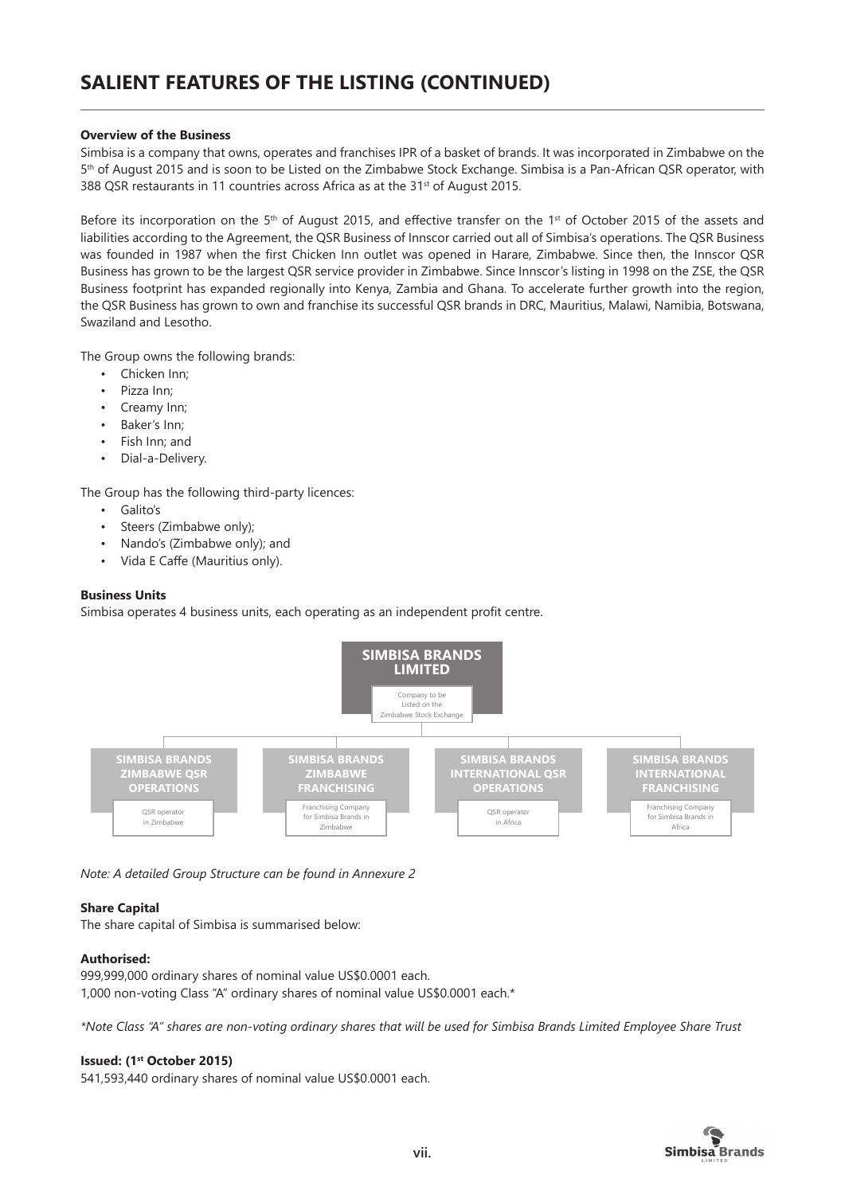#### **Overview of the Business**

Simbisa is a company that owns, operates and franchises IPR of a basket of brands. It was incorporated in Zimbabwe on the 5<sup>th</sup> of August 2015 and is soon to be Listed on the Zimbabwe Stock Exchange. Simbisa is a Pan-African QSR operator, with 388 QSR restaurants in 11 countries across Africa as at the 31<sup>st</sup> of August 2015.

Before its incorporation on the 5<sup>th</sup> of August 2015, and effective transfer on the 1<sup>st</sup> of October 2015 of the assets and liabilities according to the Agreement, the QSR Business of Innscor carried out all of Simbisa's operations. The QSR Business was founded in 1987 when the first Chicken Inn outlet was opened in Harare, Zimbabwe. Since then, the Innscor QSR Business has grown to be the largest QSR service provider in Zimbabwe. Since Innscor's listing in 1998 on the ZSE, the QSR Business footprint has expanded regionally into Kenya, Zambia and Ghana. To accelerate further growth into the region, the QSR Business has grown to own and franchise its successful QSR brands in DRC, Mauritius, Malawi, Namibia, Botswana, Swaziland and Lesotho.

The Group owns the following brands:

- Chicken Inn;
- Pizza Inn;
- Creamy Inn;
- Baker's Inn;
- Fish Inn; and
- Dial-a-Delivery.

The Group has the following third-party licences:

- Galito's
- Steers (Zimbabwe only);
- Nando's (Zimbabwe only); and
- Vida E Caffe (Mauritius only).

#### **Business Units**

Simbisa operates 4 business units, each operating as an independent profit centre.



*Note: A detailed Group Structure can be found in Annexure 2*

# **Share Capital**

The share capital of Simbisa is summarised below:

# **Authorised:**

999,999,000 ordinary shares of nominal value US\$0.0001 each. 1,000 non-voting Class "A" ordinary shares of nominal value US\$0.0001 each.\*

*\*Note Class "A" shares are non-voting ordinary shares that will be used for Simbisa Brands Limited Employee Share Trust*

#### **Issued: (1st October 2015)**

541,593,440 ordinary shares of nominal value US\$0.0001 each.

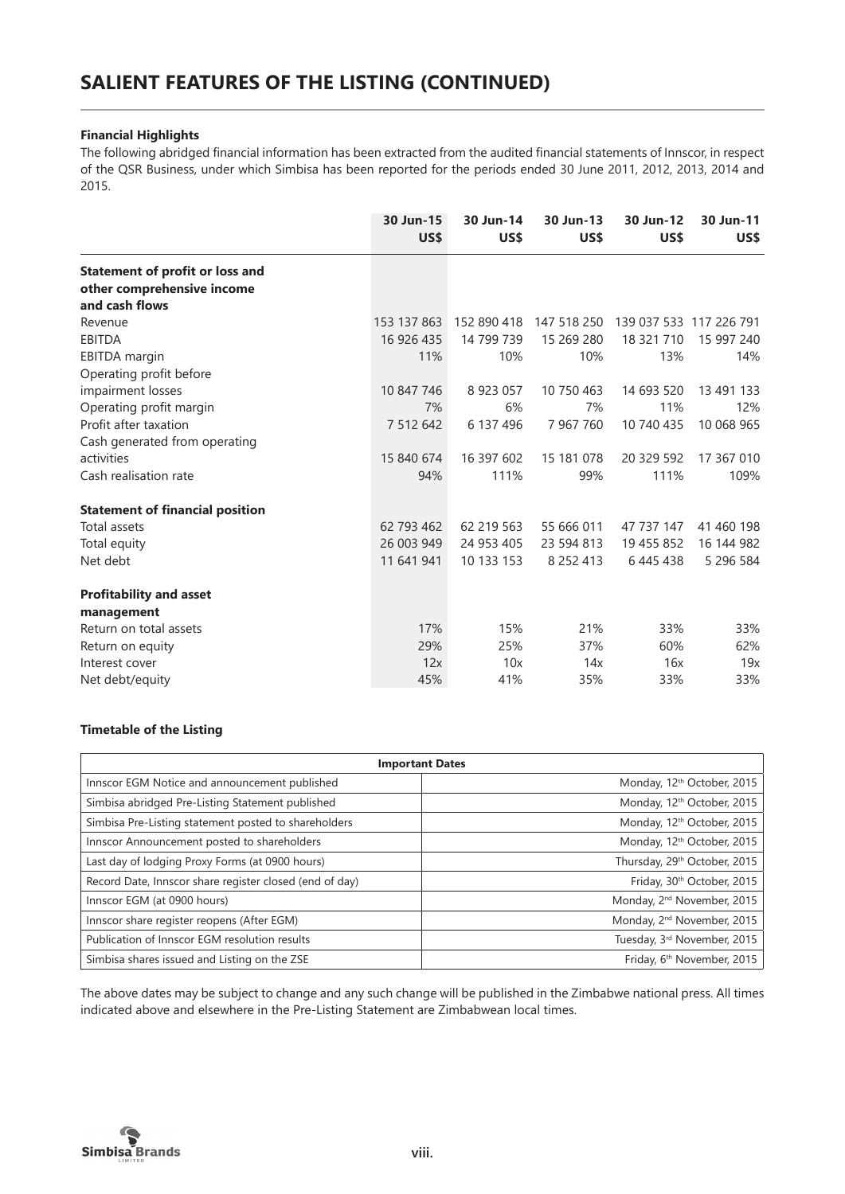#### **Financial Highlights**

The following abridged financial information has been extracted from the audited financial statements of Innscor, in respect of the QSR Business, under which Simbisa has been reported for the periods ended 30 June 2011, 2012, 2013, 2014 and 2015.

|                                                                                        | 30 Jun-15<br>US\$ | 30 Jun-14<br>US\$ | 30 Jun-13<br>US\$ | 30 Jun-12<br>US\$       | 30 Jun-11<br>US\$ |
|----------------------------------------------------------------------------------------|-------------------|-------------------|-------------------|-------------------------|-------------------|
| <b>Statement of profit or loss and</b><br>other comprehensive income<br>and cash flows |                   |                   |                   |                         |                   |
| Revenue                                                                                | 153 137 863       | 152 890 418       | 147 518 250       | 139 037 533 117 226 791 |                   |
| <b>EBITDA</b>                                                                          | 16 926 435        | 14 799 739        | 15 269 280        | 18 321 710              | 15 997 240        |
| <b>EBITDA</b> margin<br>Operating profit before                                        | 11%               | 10%               | 10%               | 13%                     | 14%               |
| impairment losses                                                                      | 10 847 746        | 8 923 057         | 10 750 463        | 14 693 520              | 13 491 133        |
| Operating profit margin                                                                | 7%                | 6%                | 7%                | 11%                     | 12%               |
| Profit after taxation                                                                  | 7 512 642         | 6 137 496         | 7 967 760         | 10 740 435              | 10 068 965        |
| Cash generated from operating                                                          |                   |                   |                   |                         |                   |
| activities                                                                             | 15 840 674        | 16 397 602        | 15 181 078        | 20 329 592              | 17 367 010        |
| Cash realisation rate                                                                  | 94%               | 111%              | 99%               | 111%                    | 109%              |
| <b>Statement of financial position</b>                                                 |                   |                   |                   |                         |                   |
| Total assets                                                                           | 62 793 462        | 62 219 563        | 55 666 011        | 47 737 147              | 41 460 198        |
| Total equity                                                                           | 26 003 949        | 24 953 405        | 23 594 813        | 19 455 852              | 16 144 982        |
| Net debt                                                                               | 11 641 941        | 10 133 153        | 8 2 5 2 4 1 3     | 6445438                 | 5 296 584         |
| <b>Profitability and asset</b>                                                         |                   |                   |                   |                         |                   |
| management                                                                             |                   |                   |                   |                         |                   |
| Return on total assets                                                                 | 17%               | 15%               | 21%               | 33%                     | 33%               |
| Return on equity                                                                       | 29%               | 25%               | 37%               | 60%                     | 62%               |
| Interest cover                                                                         | 12x               | 10x               | 14x               | 16x                     | 19x               |
| Net debt/equity                                                                        | 45%               | 41%               | 35%               | 33%                     | 33%               |

# **Timetable of the Listing**

| <b>Important Dates</b>                                  |                                        |  |  |
|---------------------------------------------------------|----------------------------------------|--|--|
| Innscor EGM Notice and announcement published           | Monday, 12 <sup>th</sup> October, 2015 |  |  |
| Simbisa abridged Pre-Listing Statement published        | Monday, 12 <sup>th</sup> October, 2015 |  |  |
| Simbisa Pre-Listing statement posted to shareholders    | Monday, 12 <sup>th</sup> October, 2015 |  |  |
| Innscor Announcement posted to shareholders             | Monday, 12 <sup>th</sup> October, 2015 |  |  |
| Last day of lodging Proxy Forms (at 0900 hours)         | Thursday, 29th October, 2015           |  |  |
| Record Date, Innscor share register closed (end of day) | Friday, 30th October, 2015             |  |  |
| Innscor EGM (at 0900 hours)                             | Monday, 2 <sup>nd</sup> November, 2015 |  |  |
| Innscor share register reopens (After EGM)              | Monday, 2 <sup>nd</sup> November, 2015 |  |  |
| Publication of Innscor EGM resolution results           | Tuesday, 3rd November, 2015            |  |  |
| Simbisa shares issued and Listing on the ZSE            | Friday, 6th November, 2015             |  |  |

The above dates may be subject to change and any such change will be published in the Zimbabwe national press. All times indicated above and elsewhere in the Pre-Listing Statement are Zimbabwean local times.

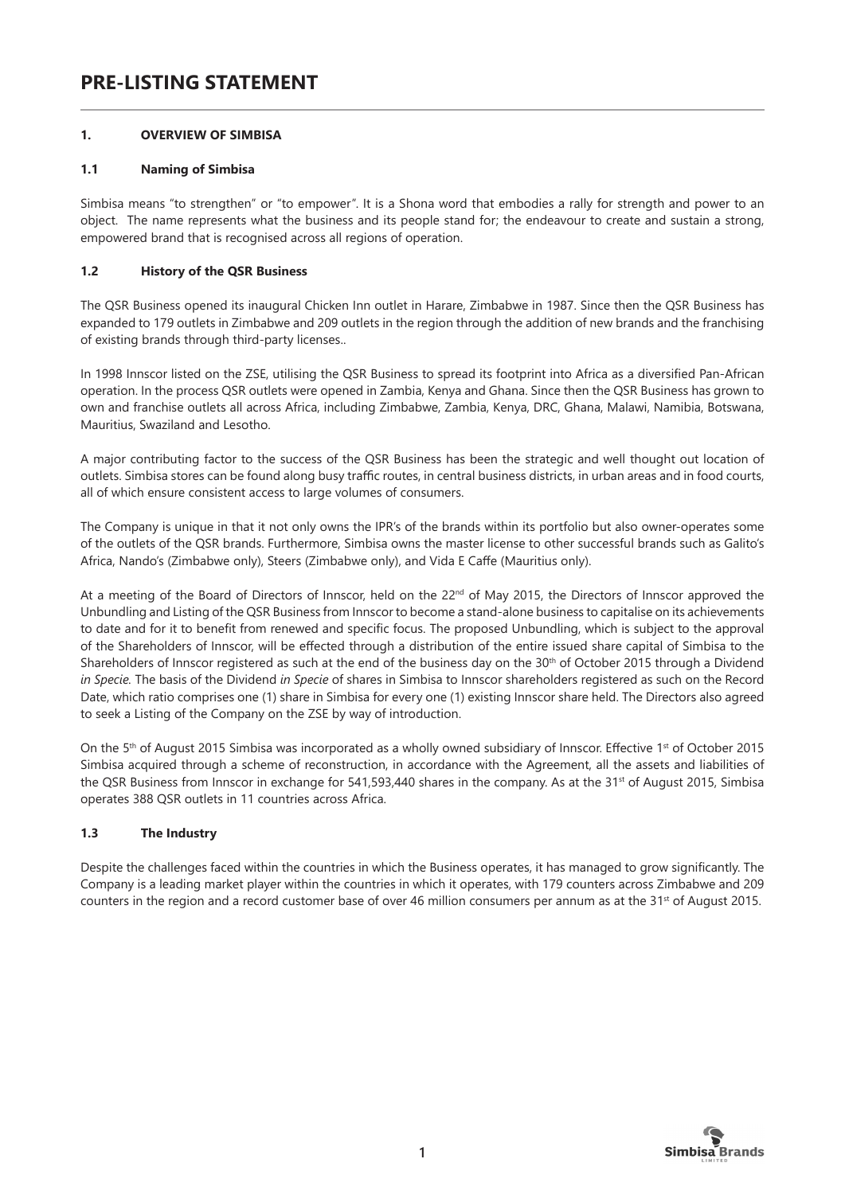# **PRE-LISTING STATEMENT**

# **1. OVERVIEW OF SIMBISA**

#### **1.1 Naming of Simbisa**

Simbisa means "to strengthen" or "to empower". It is a Shona word that embodies a rally for strength and power to an object. The name represents what the business and its people stand for; the endeavour to create and sustain a strong, empowered brand that is recognised across all regions of operation.

# **1.2 History of the QSR Business**

The QSR Business opened its inaugural Chicken Inn outlet in Harare, Zimbabwe in 1987. Since then the QSR Business has expanded to 179 outlets in Zimbabwe and 209 outlets in the region through the addition of new brands and the franchising of existing brands through third-party licenses..

In 1998 Innscor listed on the ZSE, utilising the QSR Business to spread its footprint into Africa as a diversified Pan-African operation. In the process QSR outlets were opened in Zambia, Kenya and Ghana. Since then the QSR Business has grown to own and franchise outlets all across Africa, including Zimbabwe, Zambia, Kenya, DRC, Ghana, Malawi, Namibia, Botswana, Mauritius, Swaziland and Lesotho.

A major contributing factor to the success of the QSR Business has been the strategic and well thought out location of outlets. Simbisa stores can be found along busy traffic routes, in central business districts, in urban areas and in food courts, all of which ensure consistent access to large volumes of consumers.

The Company is unique in that it not only owns the IPR's of the brands within its portfolio but also owner-operates some of the outlets of the QSR brands. Furthermore, Simbisa owns the master license to other successful brands such as Galito's Africa, Nando's (Zimbabwe only), Steers (Zimbabwe only), and Vida E Caffe (Mauritius only).

At a meeting of the Board of Directors of Innscor, held on the  $22^{nd}$  of May 2015, the Directors of Innscor approved the Unbundling and Listing of the QSR Business from Innscor to become a stand-alone business to capitalise on its achievements to date and for it to benefit from renewed and specific focus. The proposed Unbundling, which is subject to the approval of the Shareholders of Innscor, will be effected through a distribution of the entire issued share capital of Simbisa to the Shareholders of Innscor registered as such at the end of the business day on the 30<sup>th</sup> of October 2015 through a Dividend *in Specie.* The basis of the Dividend *in Specie* of shares in Simbisa to Innscor shareholders registered as such on the Record Date, which ratio comprises one (1) share in Simbisa for every one (1) existing Innscor share held. The Directors also agreed to seek a Listing of the Company on the ZSE by way of introduction.

On the 5<sup>th</sup> of August 2015 Simbisa was incorporated as a wholly owned subsidiary of Innscor. Effective 1<sup>st</sup> of October 2015 Simbisa acquired through a scheme of reconstruction, in accordance with the Agreement, all the assets and liabilities of the QSR Business from Innscor in exchange for 541,593,440 shares in the company. As at the 31<sup>st</sup> of August 2015, Simbisa operates 388 QSR outlets in 11 countries across Africa.

# **1.3 The Industry**

Despite the challenges faced within the countries in which the Business operates, it has managed to grow significantly. The Company is a leading market player within the countries in which it operates, with 179 counters across Zimbabwe and 209 counters in the region and a record customer base of over 46 million consumers per annum as at the 31<sup>st</sup> of August 2015.

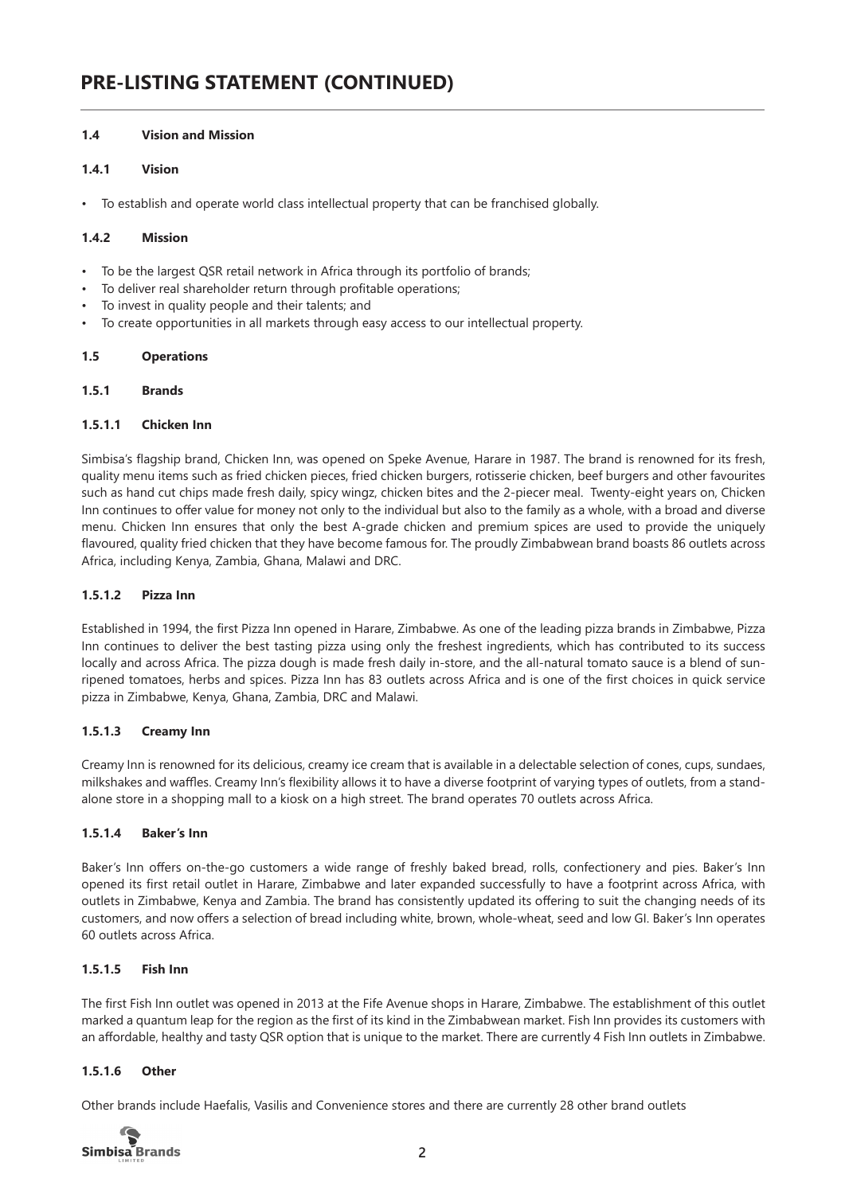# **1.4 Vision and Mission**

# **1.4.1 Vision**

• To establish and operate world class intellectual property that can be franchised globally.

#### **1.4.2 Mission**

- To be the largest QSR retail network in Africa through its portfolio of brands;
- To deliver real shareholder return through profitable operations;
- To invest in quality people and their talents; and
- To create opportunities in all markets through easy access to our intellectual property.

#### **1.5 Operations**

#### **1.5.1 Brands**

#### **1.5.1.1 Chicken Inn**

Simbisa's flagship brand, Chicken Inn, was opened on Speke Avenue, Harare in 1987. The brand is renowned for its fresh, quality menu items such as fried chicken pieces, fried chicken burgers, rotisserie chicken, beef burgers and other favourites such as hand cut chips made fresh daily, spicy wingz, chicken bites and the 2-piecer meal. Twenty-eight years on, Chicken Inn continues to offer value for money not only to the individual but also to the family as a whole, with a broad and diverse menu. Chicken Inn ensures that only the best A-grade chicken and premium spices are used to provide the uniquely flavoured, quality fried chicken that they have become famous for. The proudly Zimbabwean brand boasts 86 outlets across Africa, including Kenya, Zambia, Ghana, Malawi and DRC.

#### **1.5.1.2 Pizza Inn**

Established in 1994, the first Pizza Inn opened in Harare, Zimbabwe. As one of the leading pizza brands in Zimbabwe, Pizza Inn continues to deliver the best tasting pizza using only the freshest ingredients, which has contributed to its success locally and across Africa. The pizza dough is made fresh daily in-store, and the all-natural tomato sauce is a blend of sunripened tomatoes, herbs and spices. Pizza Inn has 83 outlets across Africa and is one of the first choices in quick service pizza in Zimbabwe, Kenya, Ghana, Zambia, DRC and Malawi.

# **1.5.1.3 Creamy Inn**

Creamy Inn is renowned for its delicious, creamy ice cream that is available in a delectable selection of cones, cups, sundaes, milkshakes and waffles. Creamy Inn's flexibility allows it to have a diverse footprint of varying types of outlets, from a standalone store in a shopping mall to a kiosk on a high street. The brand operates 70 outlets across Africa.

# **1.5.1.4 Baker's Inn**

Baker's Inn offers on-the-go customers a wide range of freshly baked bread, rolls, confectionery and pies. Baker's Inn opened its first retail outlet in Harare, Zimbabwe and later expanded successfully to have a footprint across Africa, with outlets in Zimbabwe, Kenya and Zambia. The brand has consistently updated its offering to suit the changing needs of its customers, and now offers a selection of bread including white, brown, whole-wheat, seed and low GI. Baker's Inn operates 60 outlets across Africa.

# **1.5.1.5 Fish Inn**

The first Fish Inn outlet was opened in 2013 at the Fife Avenue shops in Harare, Zimbabwe. The establishment of this outlet marked a quantum leap for the region as the first of its kind in the Zimbabwean market. Fish Inn provides its customers with an affordable, healthy and tasty QSR option that is unique to the market. There are currently 4 Fish Inn outlets in Zimbabwe.

# **1.5.1.6 Other**

Other brands include Haefalis, Vasilis and Convenience stores and there are currently 28 other brand outlets

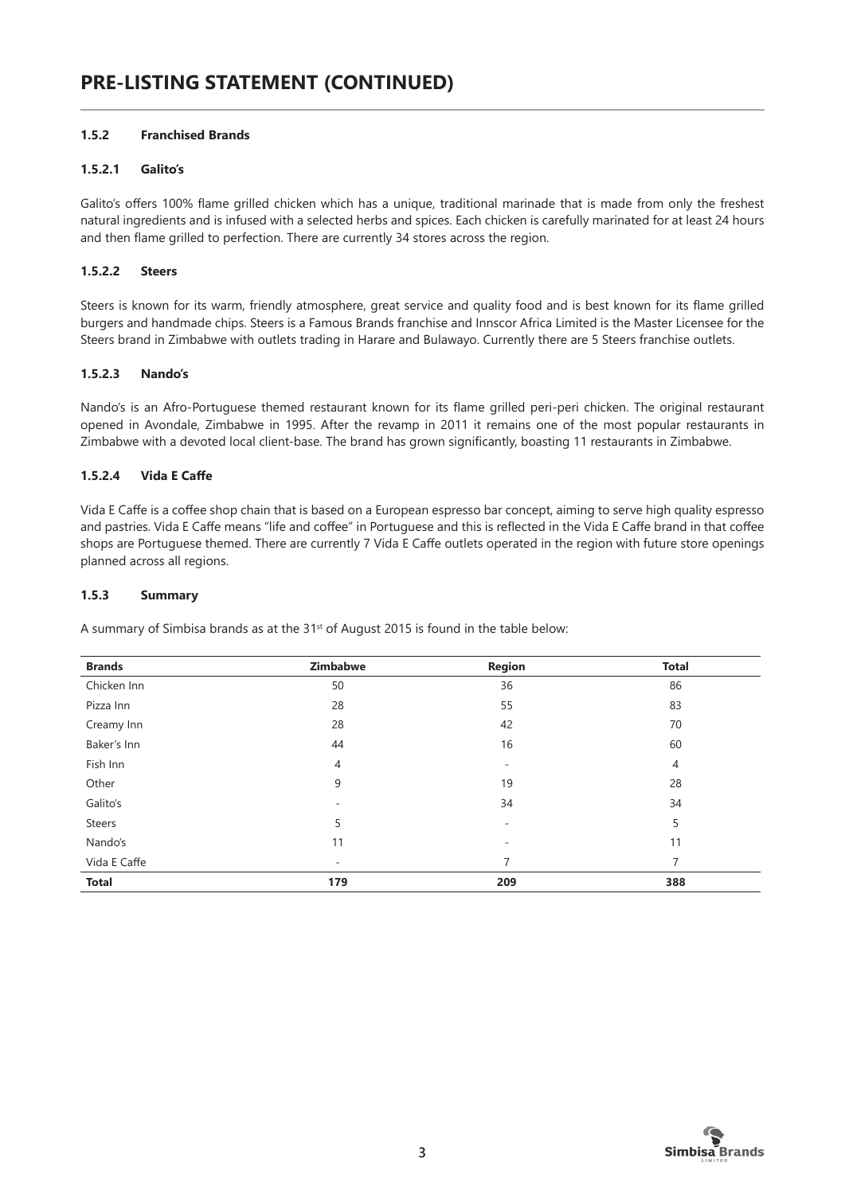# **1.5.2 Franchised Brands**

# **1.5.2.1 Galito's**

Galito's offers 100% flame grilled chicken which has a unique, traditional marinade that is made from only the freshest natural ingredients and is infused with a selected herbs and spices. Each chicken is carefully marinated for at least 24 hours and then flame grilled to perfection. There are currently 34 stores across the region.

# **1.5.2.2 Steers**

Steers is known for its warm, friendly atmosphere, great service and quality food and is best known for its flame grilled burgers and handmade chips. Steers is a Famous Brands franchise and Innscor Africa Limited is the Master Licensee for the Steers brand in Zimbabwe with outlets trading in Harare and Bulawayo. Currently there are 5 Steers franchise outlets.

#### **1.5.2.3 Nando's**

Nando's is an Afro-Portuguese themed restaurant known for its flame grilled peri-peri chicken. The original restaurant opened in Avondale, Zimbabwe in 1995. After the revamp in 2011 it remains one of the most popular restaurants in Zimbabwe with a devoted local client-base. The brand has grown significantly, boasting 11 restaurants in Zimbabwe.

#### **1.5.2.4 Vida E Caffe**

Vida E Caffe is a coffee shop chain that is based on a European espresso bar concept, aiming to serve high quality espresso and pastries. Vida E Caffe means "life and coffee" in Portuguese and this is reflected in the Vida E Caffe brand in that coffee shops are Portuguese themed. There are currently 7 Vida E Caffe outlets operated in the region with future store openings planned across all regions.

#### **1.5.3 Summary**

A summary of Simbisa brands as at the 31<sup>st</sup> of August 2015 is found in the table below:

| <b>Brands</b> | Zimbabwe       | <b>Region</b>            | <b>Total</b>   |
|---------------|----------------|--------------------------|----------------|
| Chicken Inn   | 50             | 36                       | 86             |
| Pizza Inn     | 28             | 55                       | 83             |
| Creamy Inn    | 28             | 42                       | 70             |
| Baker's Inn   | 44             | 16                       | 60             |
| Fish Inn      | $\overline{4}$ | $\overline{\phantom{a}}$ | $\overline{4}$ |
| Other         | 9              | 19                       | 28             |
| Galito's      | ۰              | 34                       | 34             |
| <b>Steers</b> | 5              | $\overline{\phantom{a}}$ | 5              |
| Nando's       | 11             | $\overline{\phantom{a}}$ | 11             |
| Vida E Caffe  | ٠              | 7                        | 7              |
| <b>Total</b>  | 179            | 209                      | 388            |

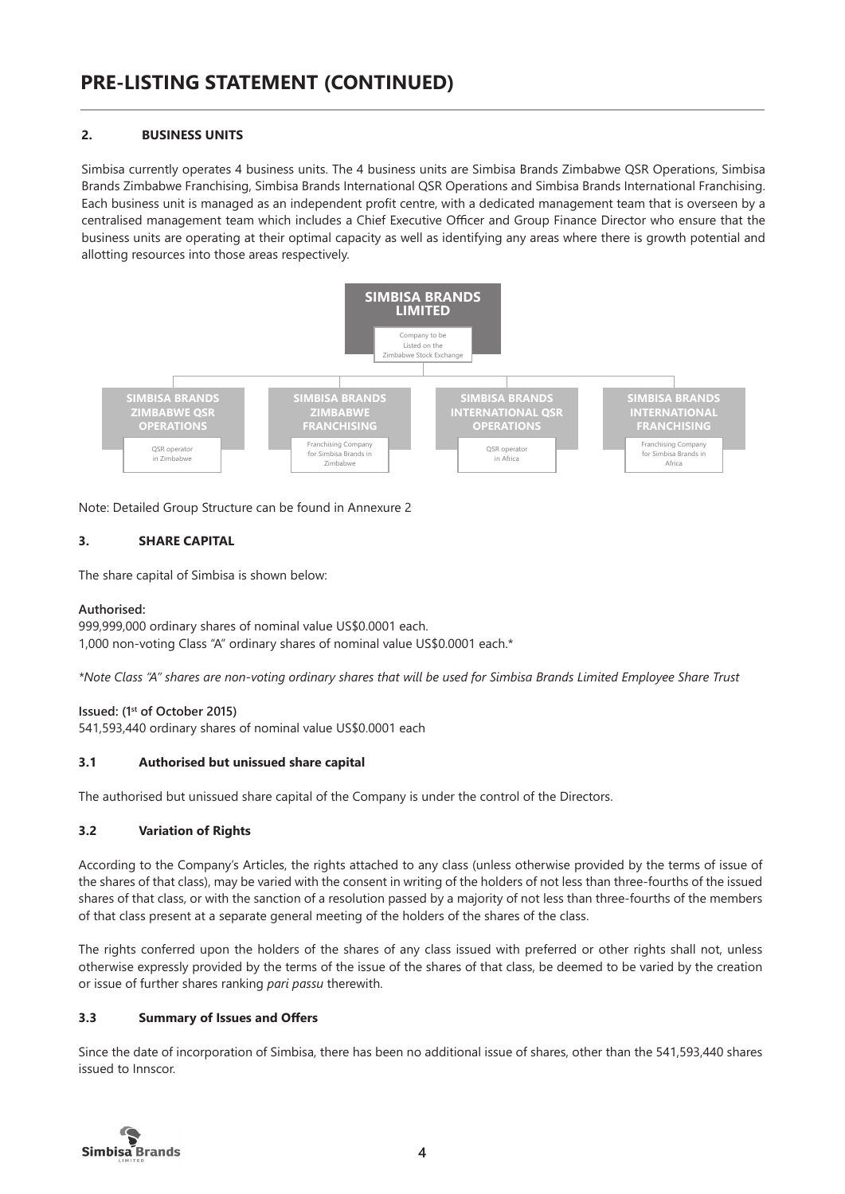# **2. BUSINESS UNITS**

Simbisa currently operates 4 business units. The 4 business units are Simbisa Brands Zimbabwe QSR Operations, Simbisa Brands Zimbabwe Franchising, Simbisa Brands International QSR Operations and Simbisa Brands International Franchising. Each business unit is managed as an independent profit centre, with a dedicated management team that is overseen by a centralised management team which includes a Chief Executive Officer and Group Finance Director who ensure that the business units are operating at their optimal capacity as well as identifying any areas where there is growth potential and allotting resources into those areas respectively.



Note: Detailed Group Structure can be found in Annexure 2

# **3. SHARE CAPITAL**

The share capital of Simbisa is shown below:

# **Authorised:**

999,999,000 ordinary shares of nominal value US\$0.0001 each. 1,000 non-voting Class "A" ordinary shares of nominal value US\$0.0001 each.\*

*\*Note Class "A" shares are non-voting ordinary shares that will be used for Simbisa Brands Limited Employee Share Trust*

# **Issued: (1st of October 2015)**

541,593,440 ordinary shares of nominal value US\$0.0001 each

# **3.1 Authorised but unissued share capital**

The authorised but unissued share capital of the Company is under the control of the Directors.

# **3.2 Variation of Rights**

According to the Company's Articles, the rights attached to any class (unless otherwise provided by the terms of issue of the shares of that class), may be varied with the consent in writing of the holders of not less than three-fourths of the issued shares of that class, or with the sanction of a resolution passed by a majority of not less than three-fourths of the members of that class present at a separate general meeting of the holders of the shares of the class.

The rights conferred upon the holders of the shares of any class issued with preferred or other rights shall not, unless otherwise expressly provided by the terms of the issue of the shares of that class, be deemed to be varied by the creation or issue of further shares ranking *pari passu* therewith.

# **3.3 Summary of Issues and Offers**

Since the date of incorporation of Simbisa, there has been no additional issue of shares, other than the 541,593,440 shares issued to Innscor.

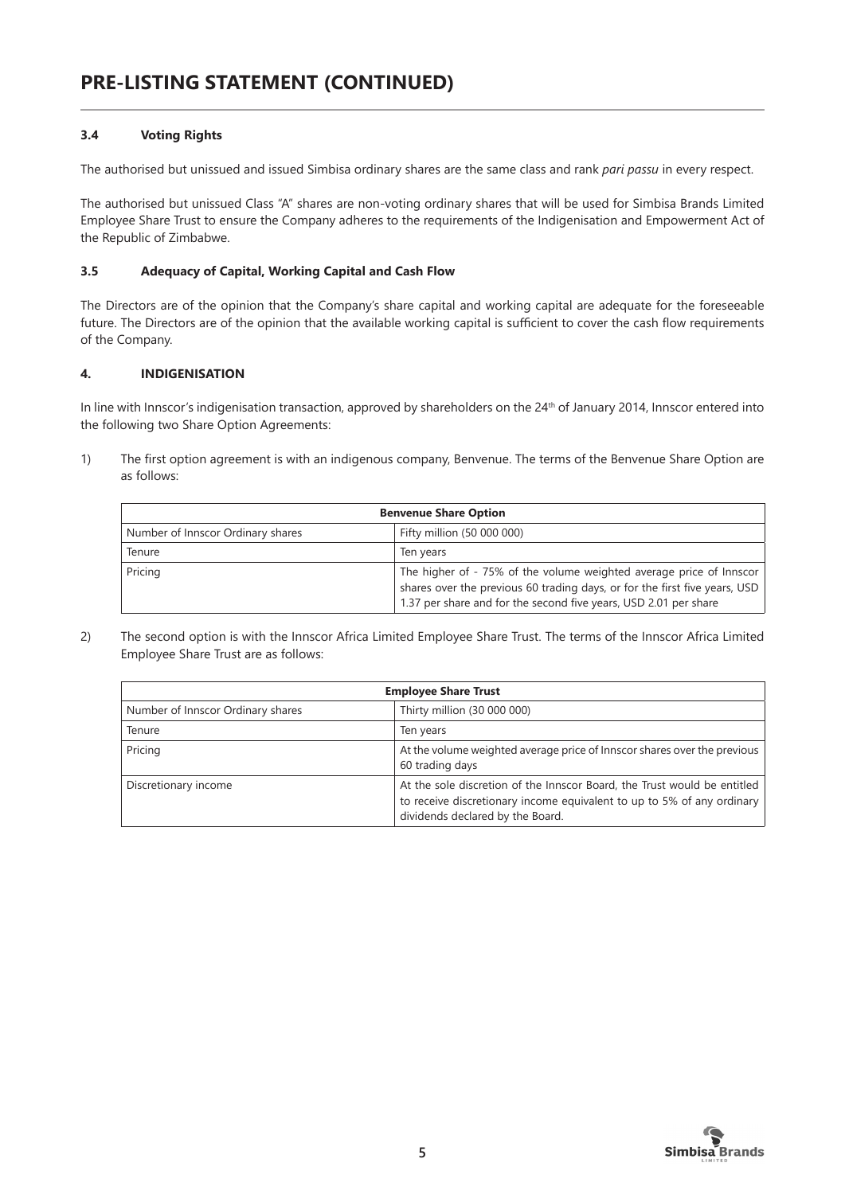# **3.4 Voting Rights**

The authorised but unissued and issued Simbisa ordinary shares are the same class and rank *pari passu* in every respect.

The authorised but unissued Class "A" shares are non-voting ordinary shares that will be used for Simbisa Brands Limited Employee Share Trust to ensure the Company adheres to the requirements of the Indigenisation and Empowerment Act of the Republic of Zimbabwe.

# **3.5 Adequacy of Capital, Working Capital and Cash Flow**

The Directors are of the opinion that the Company's share capital and working capital are adequate for the foreseeable future. The Directors are of the opinion that the available working capital is sufficient to cover the cash flow requirements of the Company.

# **4. INDIGENISATION**

In line with Innscor's indigenisation transaction, approved by shareholders on the 24<sup>th</sup> of January 2014, Innscor entered into the following two Share Option Agreements:

1) The first option agreement is with an indigenous company, Benvenue. The terms of the Benvenue Share Option are as follows:

| <b>Benvenue Share Option</b>      |                                                                                                                                                                                                                       |  |  |
|-----------------------------------|-----------------------------------------------------------------------------------------------------------------------------------------------------------------------------------------------------------------------|--|--|
| Number of Innscor Ordinary shares | Fifty million (50 000 000)                                                                                                                                                                                            |  |  |
| Tenure                            | Ten years                                                                                                                                                                                                             |  |  |
| Pricing                           | The higher of - 75% of the volume weighted average price of Innscor<br>shares over the previous 60 trading days, or for the first five years, USD<br>1.37 per share and for the second five years, USD 2.01 per share |  |  |

2) The second option is with the Innscor Africa Limited Employee Share Trust. The terms of the Innscor Africa Limited Employee Share Trust are as follows:

| <b>Employee Share Trust</b>       |                                                                                                                                                                                        |  |  |
|-----------------------------------|----------------------------------------------------------------------------------------------------------------------------------------------------------------------------------------|--|--|
| Number of Innscor Ordinary shares | Thirty million (30 000 000)                                                                                                                                                            |  |  |
| Tenure                            | Ten years                                                                                                                                                                              |  |  |
| Pricing                           | At the volume weighted average price of Innscor shares over the previous<br>60 trading days                                                                                            |  |  |
| Discretionary income              | At the sole discretion of the Innscor Board, the Trust would be entitled<br>to receive discretionary income equivalent to up to 5% of any ordinary<br>dividends declared by the Board. |  |  |

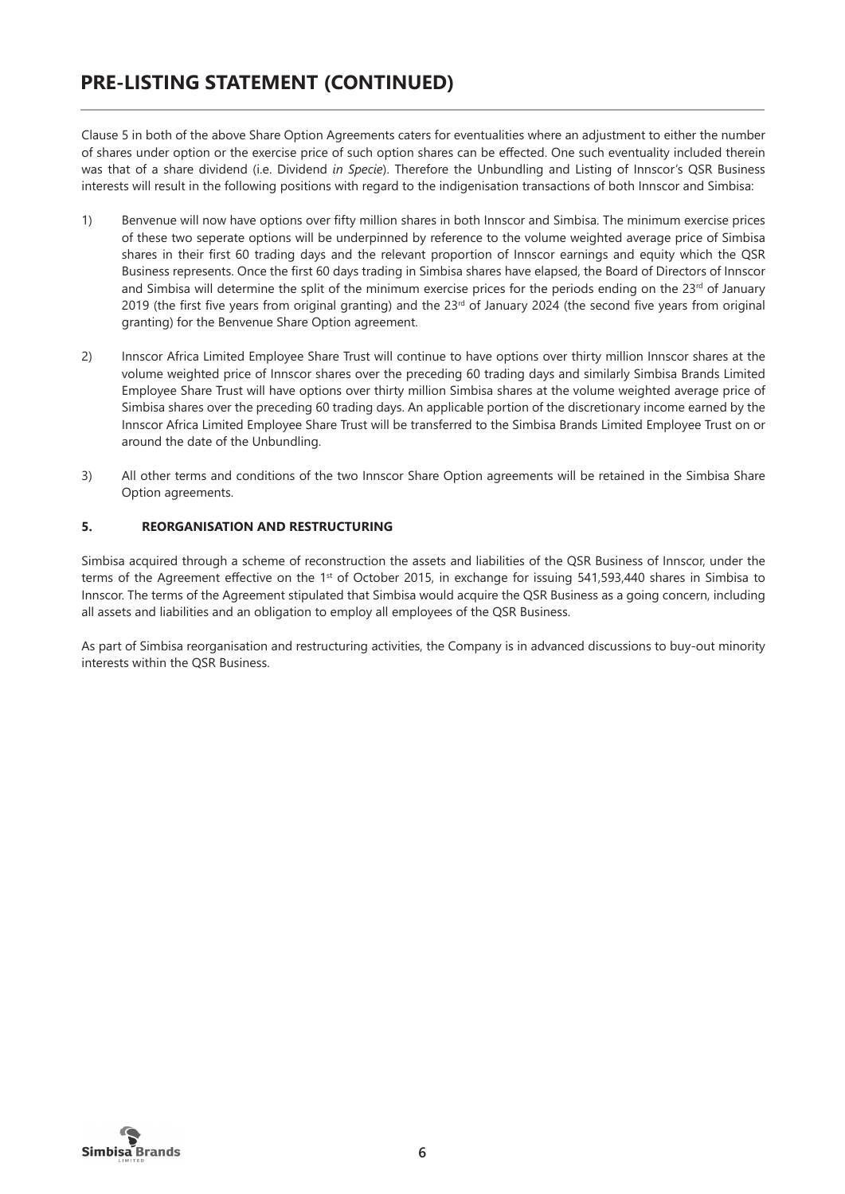Clause 5 in both of the above Share Option Agreements caters for eventualities where an adjustment to either the number of shares under option or the exercise price of such option shares can be effected. One such eventuality included therein was that of a share dividend (i.e. Dividend *in Specie*). Therefore the Unbundling and Listing of Innscor's QSR Business interests will result in the following positions with regard to the indigenisation transactions of both Innscor and Simbisa:

- 1) Benvenue will now have options over fifty million shares in both Innscor and Simbisa. The minimum exercise prices of these two seperate options will be underpinned by reference to the volume weighted average price of Simbisa shares in their first 60 trading days and the relevant proportion of Innscor earnings and equity which the QSR Business represents. Once the first 60 days trading in Simbisa shares have elapsed, the Board of Directors of Innscor and Simbisa will determine the split of the minimum exercise prices for the periods ending on the 23<sup>rd</sup> of January 2019 (the first five years from original granting) and the  $23<sup>rd</sup>$  of January 2024 (the second five years from original granting) for the Benvenue Share Option agreement.
- 2) Innscor Africa Limited Employee Share Trust will continue to have options over thirty million Innscor shares at the volume weighted price of Innscor shares over the preceding 60 trading days and similarly Simbisa Brands Limited Employee Share Trust will have options over thirty million Simbisa shares at the volume weighted average price of Simbisa shares over the preceding 60 trading days. An applicable portion of the discretionary income earned by the Innscor Africa Limited Employee Share Trust will be transferred to the Simbisa Brands Limited Employee Trust on or around the date of the Unbundling.
- 3) All other terms and conditions of the two Innscor Share Option agreements will be retained in the Simbisa Share Option agreements.

# **5. REORGANISATION AND RESTRUCTURING**

Simbisa acquired through a scheme of reconstruction the assets and liabilities of the QSR Business of Innscor, under the terms of the Agreement effective on the 1<sup>st</sup> of October 2015, in exchange for issuing 541,593,440 shares in Simbisa to Innscor. The terms of the Agreement stipulated that Simbisa would acquire the QSR Business as a going concern, including all assets and liabilities and an obligation to employ all employees of the QSR Business.

As part of Simbisa reorganisation and restructuring activities, the Company is in advanced discussions to buy-out minority interests within the QSR Business.

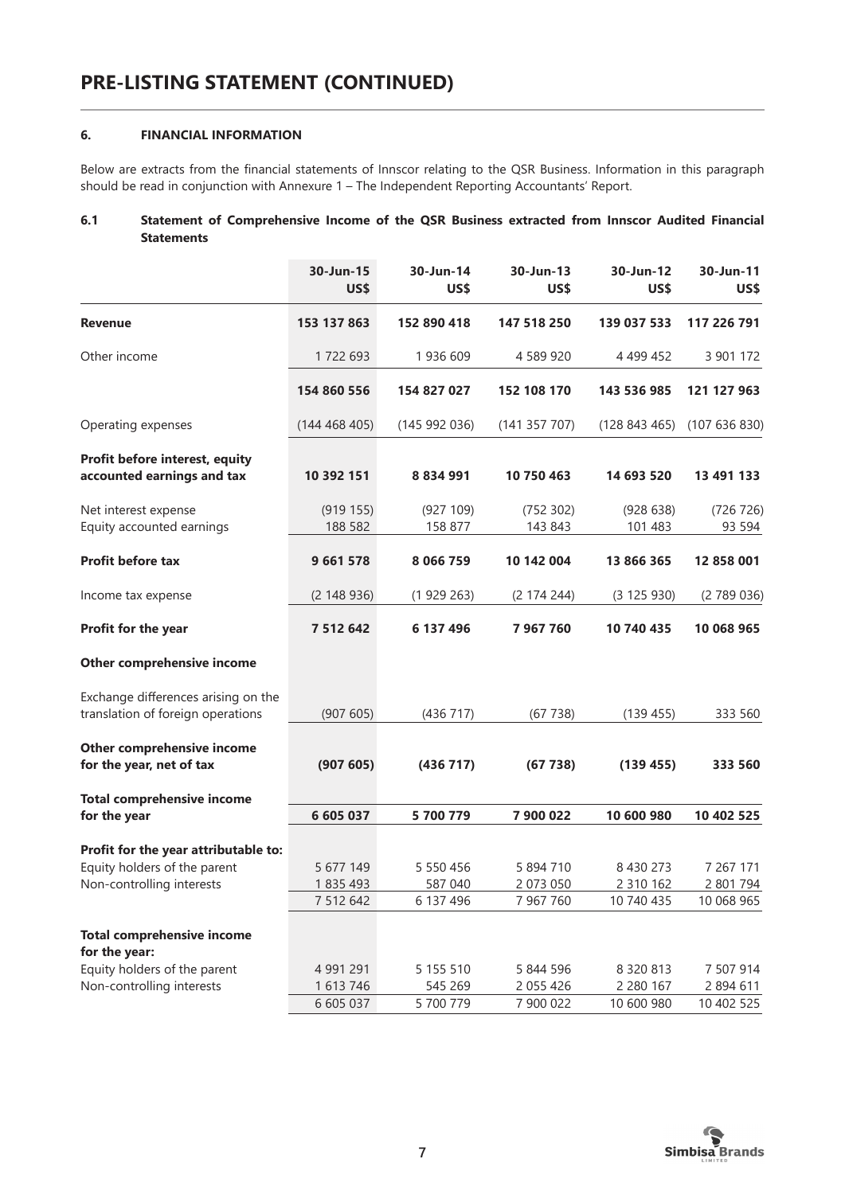# **6. FINANCIAL INFORMATION**

Below are extracts from the financial statements of Innscor relating to the QSR Business. Information in this paragraph should be read in conjunction with Annexure 1 – The Independent Reporting Accountants' Report.

#### **6.1 Statement of Comprehensive Income of the QSR Business extracted from Innscor Audited Financial Statements**

|                                                                          | 30-Jun-15<br>US\$   | 30-Jun-14<br>US\$    | 30-Jun-13<br><b>US\$</b> | 30-Jun-12<br><b>US\$</b> | 30-Jun-11<br>US\$    |
|--------------------------------------------------------------------------|---------------------|----------------------|--------------------------|--------------------------|----------------------|
| <b>Revenue</b>                                                           | 153 137 863         | 152 890 418          | 147 518 250              | 139 037 533              | 117 226 791          |
| Other income                                                             | 1722 693            | 1936 609             | 4 589 920                | 4 4 9 4 4 5 2            | 3 901 172            |
|                                                                          | 154 860 556         | 154 827 027          | 152 108 170              | 143 536 985              | 121 127 963          |
| Operating expenses                                                       | (144468405)         | (145992036)          | (141357707)              | (128843465)              | (107636830)          |
| Profit before interest, equity<br>accounted earnings and tax             | 10 392 151          | 8 8 3 4 9 9 1        | 10 750 463               | 14 693 520               | 13 491 133           |
| Net interest expense<br>Equity accounted earnings                        | (919155)<br>188 582 | (927 109)<br>158 877 | (752 302)<br>143 843     | (928638)<br>101 483      | (726 726)<br>93 5 94 |
| <b>Profit before tax</b>                                                 | 9 661 578           | 8 0 6 6 7 5 9        | 10 142 004               | 13 866 365               | 12 858 001           |
| Income tax expense                                                       | (2148936)           | (1929263)            | (2 174 244)              | (3 125 930)              | (2789036)            |
| Profit for the year                                                      | 7 5 1 2 6 4 2       | 6 137 496            | 7 967 760                | 10 740 435               | 10 068 965           |
| Other comprehensive income                                               |                     |                      |                          |                          |                      |
| Exchange differences arising on the<br>translation of foreign operations | (907605)            | (436717)             | (67738)                  | (139 455)                | 333 560              |
| Other comprehensive income<br>for the year, net of tax                   | (907605)            | (436717)             | (67738)                  | (139 455)                | 333 560              |
| <b>Total comprehensive income</b><br>for the year                        | 6 605 037           | 5 700 779            | 7 900 022                | 10 600 980               | 10 402 525           |
| Profit for the year attributable to:                                     |                     |                      |                          |                          |                      |
| Equity holders of the parent                                             | 5 677 149           | 5 550 456            | 5 894 710                | 8 430 273                | 7 267 171            |
| Non-controlling interests                                                | 1835493             | 587 040              | 2 073 050                | 2 3 1 0 1 6 2            | 2 801 794            |
|                                                                          | 7 512 642           | 6 137 496            | 7 967 760                | 10 740 435               | 10 068 965           |
| <b>Total comprehensive income</b><br>for the year:                       |                     |                      |                          |                          |                      |
| Equity holders of the parent                                             | 4 991 291           | 5 155 510            | 5 844 596                | 8 3 2 0 8 1 3            | 7 507 914            |
| Non-controlling interests                                                | 1 613 746           | 545 269              | 2 055 426                | 2 2 8 0 1 6 7            | 2 894 611            |
|                                                                          | 6 605 037           | 5 700 779            | 7 900 022                | 10 600 980               | 10 402 525           |

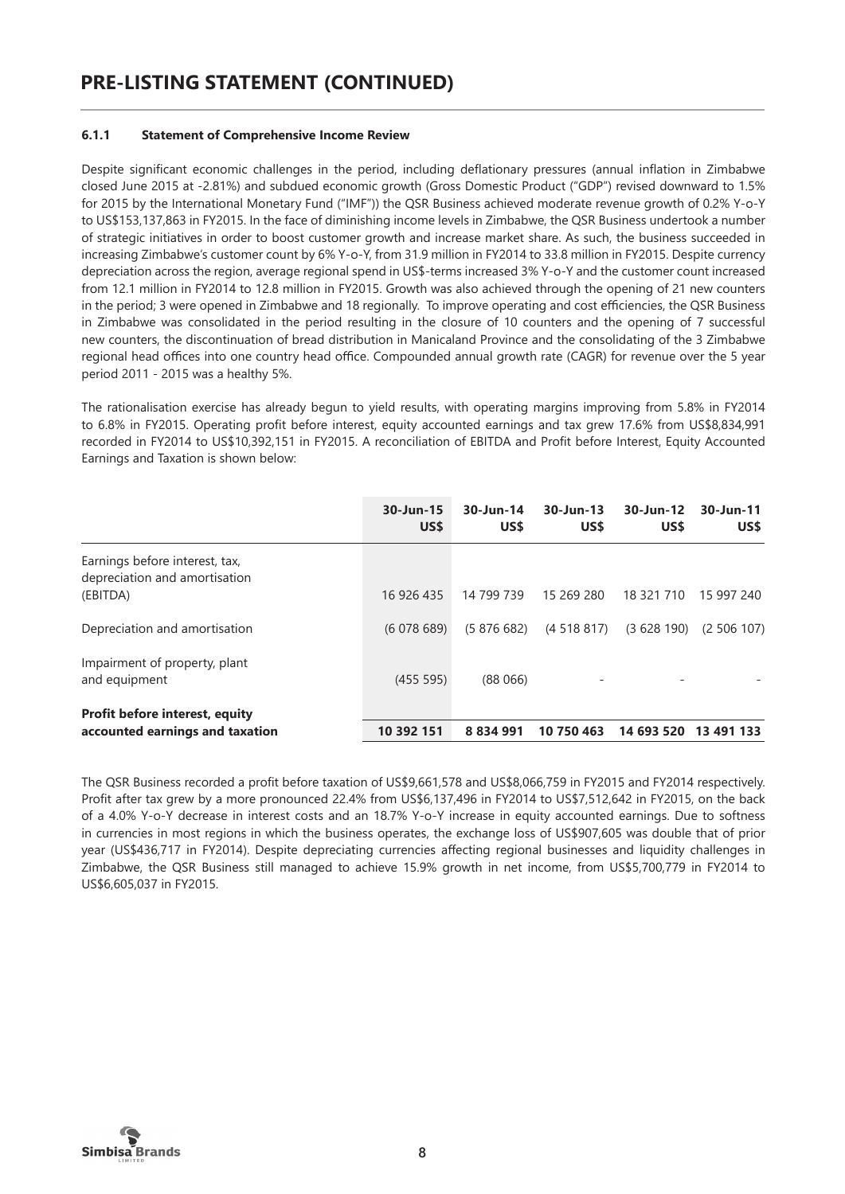#### **6.1.1 Statement of Comprehensive Income Review**

Despite significant economic challenges in the period, including deflationary pressures (annual inflation in Zimbabwe closed June 2015 at -2.81%) and subdued economic growth (Gross Domestic Product ("GDP") revised downward to 1.5% for 2015 by the International Monetary Fund ("IMF")) the QSR Business achieved moderate revenue growth of 0.2% Y-o-Y to US\$153,137,863 in FY2015. In the face of diminishing income levels in Zimbabwe, the QSR Business undertook a number of strategic initiatives in order to boost customer growth and increase market share. As such, the business succeeded in increasing Zimbabwe's customer count by 6% Y-o-Y, from 31.9 million in FY2014 to 33.8 million in FY2015. Despite currency depreciation across the region, average regional spend in US\$-terms increased 3% Y-o-Y and the customer count increased from 12.1 million in FY2014 to 12.8 million in FY2015. Growth was also achieved through the opening of 21 new counters in the period; 3 were opened in Zimbabwe and 18 regionally. To improve operating and cost efficiencies, the QSR Business in Zimbabwe was consolidated in the period resulting in the closure of 10 counters and the opening of 7 successful new counters, the discontinuation of bread distribution in Manicaland Province and the consolidating of the 3 Zimbabwe regional head offices into one country head office. Compounded annual growth rate (CAGR) for revenue over the 5 year period 2011 - 2015 was a healthy 5%.

The rationalisation exercise has already begun to yield results, with operating margins improving from 5.8% in FY2014 to 6.8% in FY2015. Operating profit before interest, equity accounted earnings and tax grew 17.6% from US\$8,834,991 recorded in FY2014 to US\$10,392,151 in FY2015. A reconciliation of EBITDA and Profit before Interest, Equity Accounted Earnings and Taxation is shown below:

|                                                                   | 30-Jun-15<br>US\$ | 30-Jun-14<br>US\$ | $30 - Jun - 13$<br>US\$ | 30-Jun-12<br>US\$ | 30-Jun-11<br>US\$ |
|-------------------------------------------------------------------|-------------------|-------------------|-------------------------|-------------------|-------------------|
| Earnings before interest, tax,<br>depreciation and amortisation   |                   |                   |                         |                   |                   |
| (EBITDA)                                                          | 16 926 435        | 14 799 739        | 15 269 280              | 18 321 710        | 15 997 240        |
| Depreciation and amortisation<br>Impairment of property, plant    | (6078689)         | (5876682)         | (4518817)               | (3628190)         | (2, 506, 107)     |
| and equipment                                                     | (455 595)         | (88066)           |                         |                   |                   |
| Profit before interest, equity<br>accounted earnings and taxation | 10 392 151        | 8 8 3 4 9 9 1     | 10 750 463              | 14 693 520        | 13 491 133        |

The QSR Business recorded a profit before taxation of US\$9,661,578 and US\$8,066,759 in FY2015 and FY2014 respectively. Profit after tax grew by a more pronounced 22.4% from US\$6,137,496 in FY2014 to US\$7,512,642 in FY2015, on the back of a 4.0% Y-o-Y decrease in interest costs and an 18.7% Y-o-Y increase in equity accounted earnings. Due to softness in currencies in most regions in which the business operates, the exchange loss of US\$907,605 was double that of prior year (US\$436,717 in FY2014). Despite depreciating currencies affecting regional businesses and liquidity challenges in Zimbabwe, the QSR Business still managed to achieve 15.9% growth in net income, from US\$5,700,779 in FY2014 to US\$6,605,037 in FY2015.

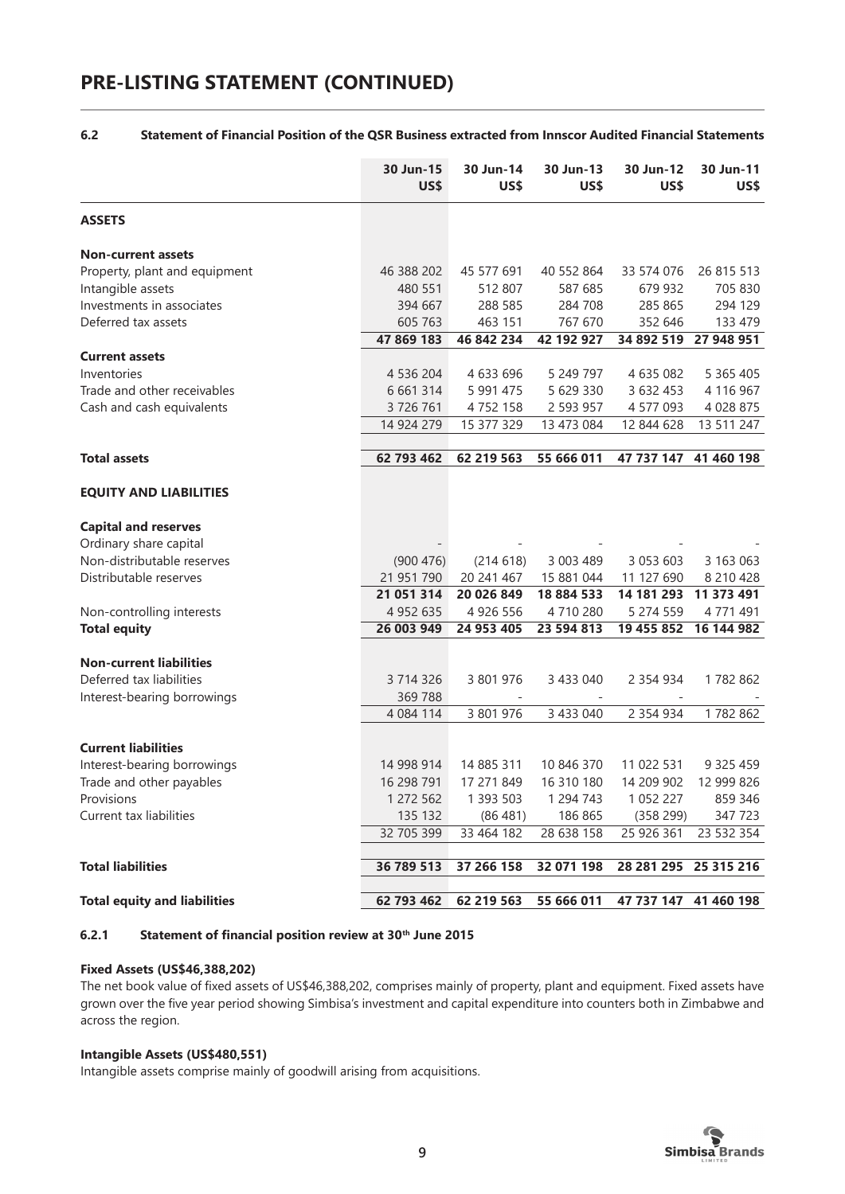# **PRE-LISTING STATEMENT (CONTINUED)**

#### **6.2 Statement of Financial Position of the QSR Business extracted from Innscor Audited Financial Statements**

| <b>ASSETS</b>                                                                                             |               |
|-----------------------------------------------------------------------------------------------------------|---------------|
| <b>Non-current assets</b>                                                                                 |               |
| 46 388 202<br>Property, plant and equipment<br>45 577 691<br>40 552 864<br>33 574 076                     | 26 815 513    |
| Intangible assets<br>480 551<br>512 807<br>587 685<br>679 932                                             | 705 830       |
| Investments in associates<br>288 585<br>284 708<br>285 865<br>394 667                                     | 294 129       |
| Deferred tax assets<br>605 763<br>463 151<br>767 670<br>352 646                                           | 133 479       |
| 47 869 183<br>46 842 234<br>42 192 927<br>34 892 519<br>27 948 951                                        |               |
| <b>Current assets</b>                                                                                     |               |
| 5 249 797<br>4 635 082<br>Inventories<br>4 536 204<br>4 633 696                                           | 5 3 6 5 4 0 5 |
| 5 629 330<br>Trade and other receivables<br>6 661 314<br>5 991 475<br>3 632 453                           | 4 116 967     |
| 3726761<br>2 593 957<br>4 577 093<br>Cash and cash equivalents<br>4752158                                 | 4 0 28 8 75   |
| 14 924 279<br>15 377 329<br>13 473 084<br>12 844 628                                                      | 13 511 247    |
|                                                                                                           |               |
| 62 793 462<br>62 219 563<br>55 666 011<br><b>Total assets</b><br>47 737 147<br>41 460 198                 |               |
| <b>EQUITY AND LIABILITIES</b>                                                                             |               |
| <b>Capital and reserves</b>                                                                               |               |
| Ordinary share capital                                                                                    |               |
| Non-distributable reserves<br>(900 476)<br>(214618)<br>3 003 489<br>3 0 5 3 6 0 3                         | 3 163 063     |
| Distributable reserves<br>21 951 790<br>20 241 467<br>15 881 044<br>11 127 690                            | 8 210 428     |
| 21 051 314<br>20 026 849<br>18 884 533<br>14 181 293<br>11 373 491                                        |               |
| 4 9 5 2 6 3 5<br>4 9 2 6 5 5 6<br>4710280<br>5 274 559<br>Non-controlling interests                       | 4 771 491     |
| 26 003 949<br><b>Total equity</b><br>24 953 405<br>23 594 813<br>19 455 852<br>16 144 982                 |               |
|                                                                                                           |               |
| <b>Non-current liabilities</b>                                                                            |               |
| Deferred tax liabilities<br>3 714 326<br>3 801 976<br>3 433 040<br>2 3 5 4 9 3 4                          | 1782 862      |
| 369 788<br>Interest-bearing borrowings                                                                    |               |
| 4 0 8 4 1 1 4<br>3 801 976<br>3 433 040<br>2 3 5 4 9 3 4                                                  | 1782 862      |
|                                                                                                           |               |
| <b>Current liabilities</b>                                                                                |               |
| 14 998 914<br>14 885 311<br>10 846 370<br>Interest-bearing borrowings<br>11 022 531                       | 9 3 2 5 4 5 9 |
| 16 298 791<br>17 271 849<br>16 310 180<br>14 209 902<br>Trade and other payables                          | 12 999 826    |
| Provisions<br>1 393 503<br>1 294 743<br>1 272 562<br>1 0 5 2 2 2 7                                        | 859 346       |
| 135 132<br>186 865<br>Current tax liabilities<br>(86481)<br>(358 299)                                     | 347723        |
| 32 705 399<br>33 464 182<br>28 638 158<br>25 926 361                                                      | 23 532 354    |
| <b>Total liabilities</b><br>36 789 513<br>37 266 158<br>32 071 198<br>28 281 295<br>25 315 216            |               |
|                                                                                                           |               |
| <b>Total equity and liabilities</b><br>62 793 462<br>55 666 011<br>47 737 147<br>41 460 198<br>62 219 563 |               |

#### **6.2.1 Statement of financial position review at 30th June 2015**

#### **Fixed Assets (US\$46,388,202)**

The net book value of fixed assets of US\$46,388,202, comprises mainly of property, plant and equipment. Fixed assets have grown over the five year period showing Simbisa's investment and capital expenditure into counters both in Zimbabwe and across the region.

#### **Intangible Assets (US\$480,551)**

Intangible assets comprise mainly of goodwill arising from acquisitions.

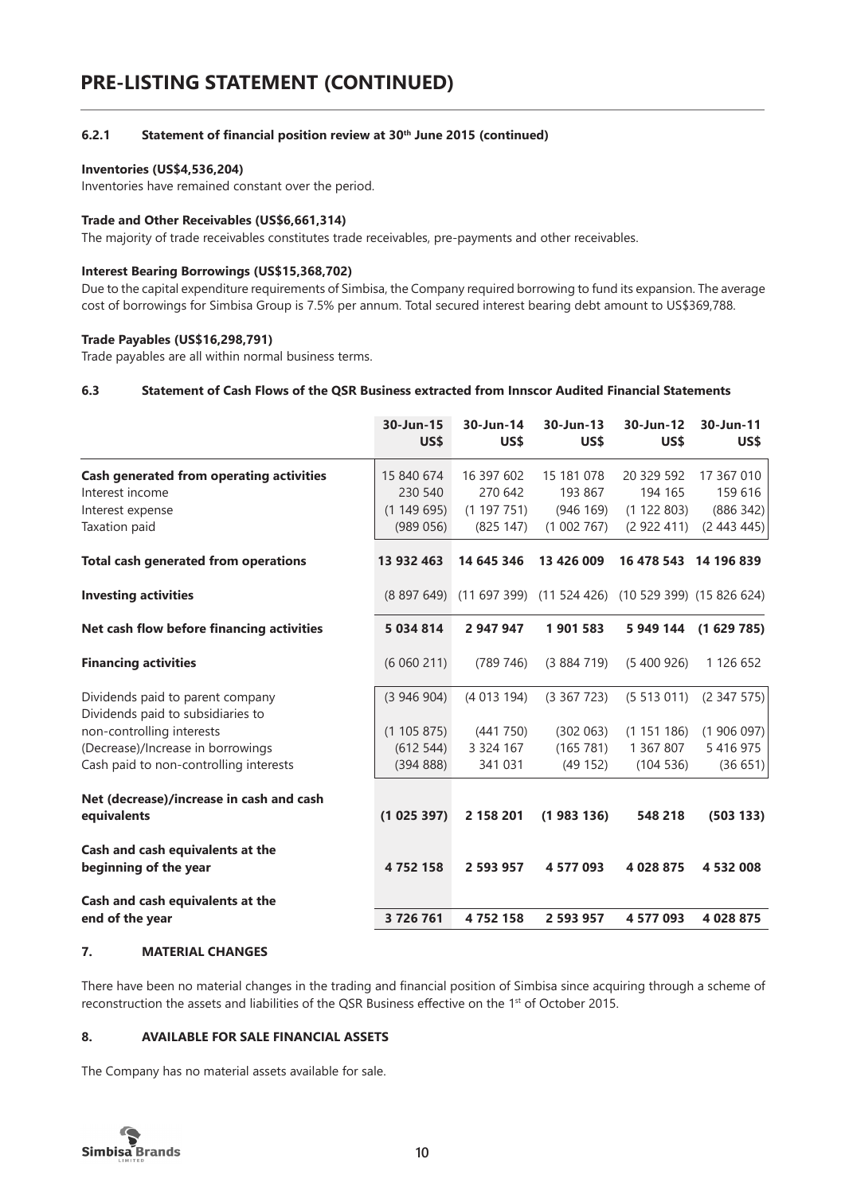#### **6.2.1 Statement of financial position review at 30th June 2015 (continued)**

#### **Inventories (US\$4,536,204)**

Inventories have remained constant over the period.

#### **Trade and Other Receivables (US\$6,661,314)**

The majority of trade receivables constitutes trade receivables, pre-payments and other receivables.

#### **Interest Bearing Borrowings (US\$15,368,702)**

Due to the capital expenditure requirements of Simbisa, the Company required borrowing to fund its expansion. The average cost of borrowings for Simbisa Group is 7.5% per annum. Total secured interest bearing debt amount to US\$369,788.

#### **Trade Payables (US\$16,298,791)**

Trade payables are all within normal business terms.

#### **6.3 Statement of Cash Flows of the QSR Business extracted from Innscor Audited Financial Statements**

|                                                                       | 30-Jun-15<br>US\$ | 30-Jun-14<br>US\$                                               | 30-Jun-13<br>US\$ | 30-Jun-12<br>US\$ | 30-Jun-11<br>US\$ |
|-----------------------------------------------------------------------|-------------------|-----------------------------------------------------------------|-------------------|-------------------|-------------------|
| <b>Cash generated from operating activities</b>                       | 15 840 674        | 16 397 602                                                      | 15 181 078        | 20 329 592        | 17 367 010        |
| Interest income                                                       | 230 540           | 270 642                                                         | 193 867           | 194 165           | 159 616           |
| Interest expense                                                      | (1149695)         | (1197751)                                                       | (946 169)         | (1 122 803)       | (886 342)         |
| Taxation paid                                                         | (989056)          | (825 147)                                                       | (1002767)         | (2922411)         | (2443445)         |
| <b>Total cash generated from operations</b>                           | 13 932 463        | 14 645 346                                                      | 13 426 009        | 16 478 543        | 14 196 839        |
| <b>Investing activities</b>                                           |                   | (8 897 649) (11 697 399) (11 524 426) (10 529 399) (15 826 624) |                   |                   |                   |
| Net cash flow before financing activities                             | 5 034 814         | 2 947 947                                                       | 1901583           | 5 949 144         | (1629785)         |
| <b>Financing activities</b>                                           | (6060211)         | (789746)                                                        | (3884719)         | (5,400,926)       | 1 126 652         |
| Dividends paid to parent company<br>Dividends paid to subsidiaries to | (3946904)         | (4013194)                                                       | (3367723)         | (5513011)         | (2.347.575)       |
| non-controlling interests                                             | (1105875)         | (441 750)                                                       | (302 063)         | (1151186)         | (1906097)         |
| (Decrease)/Increase in borrowings                                     | (612544)          | 3 3 2 4 1 6 7                                                   | (165 781)         | 1 367 807         | 5 4 1 6 9 7 5     |
| Cash paid to non-controlling interests                                | (39488)           | 341 031                                                         | (49152)           | (104536)          | (36651)           |
| Net (decrease)/increase in cash and cash                              |                   |                                                                 |                   |                   |                   |
| equivalents                                                           | (1025397)         | 2 158 201                                                       | (1983136)         | 548 218           | (503 133)         |
| Cash and cash equivalents at the<br>beginning of the year             | 4752158           | 2 593 957                                                       | 4 577 093         | 4 028 875         | 4 532 008         |
| Cash and cash equivalents at the                                      |                   |                                                                 |                   |                   |                   |
| end of the year                                                       | 3726761           | 4752158                                                         | 2 593 957         | 4 577 093         | 4 028 875         |

#### **7. MATERIAL CHANGES**

There have been no material changes in the trading and financial position of Simbisa since acquiring through a scheme of reconstruction the assets and liabilities of the QSR Business effective on the 1st of October 2015.

#### **8. AVAILABLE FOR SALE FINANCIAL ASSETS**

The Company has no material assets available for sale.

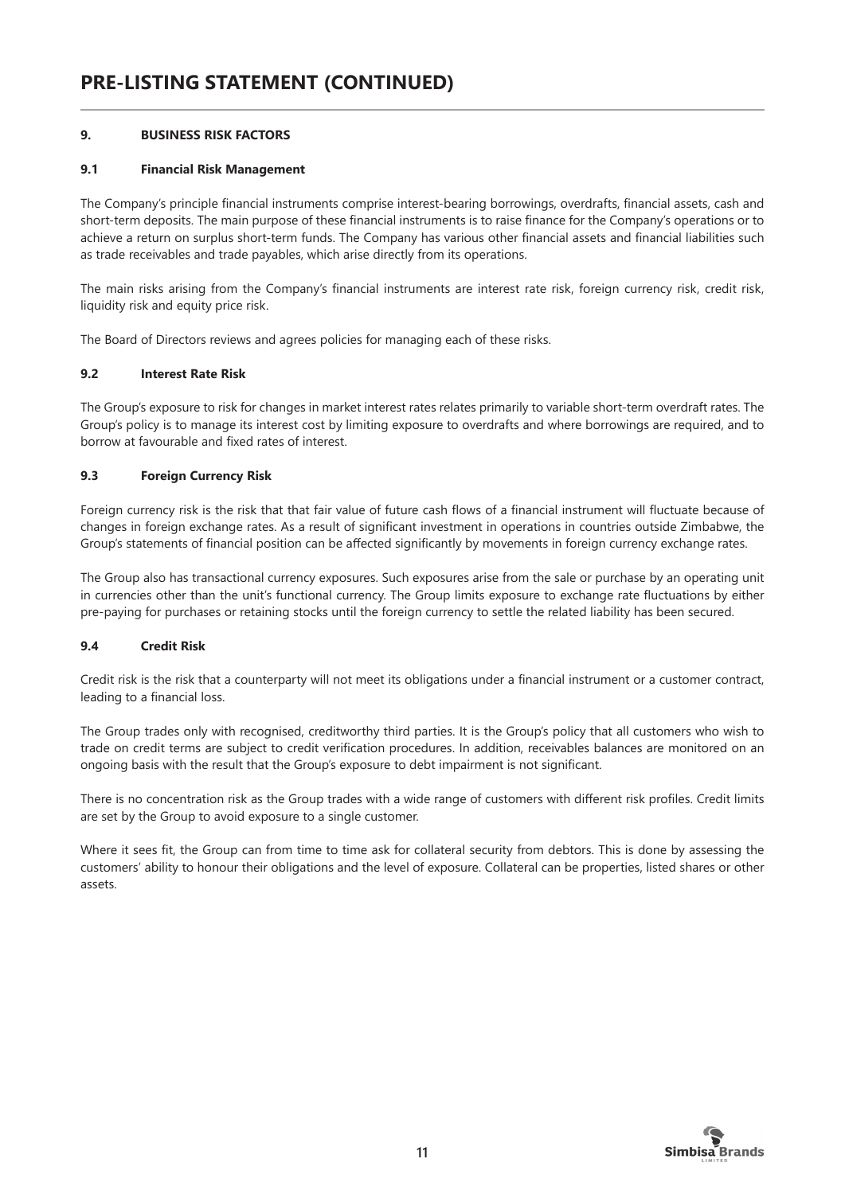# **9. BUSINESS RISK FACTORS**

#### **9.1 Financial Risk Management**

The Company's principle financial instruments comprise interest-bearing borrowings, overdrafts, financial assets, cash and short-term deposits. The main purpose of these financial instruments is to raise finance for the Company's operations or to achieve a return on surplus short-term funds. The Company has various other financial assets and financial liabilities such as trade receivables and trade payables, which arise directly from its operations.

The main risks arising from the Company's financial instruments are interest rate risk, foreign currency risk, credit risk, liquidity risk and equity price risk.

The Board of Directors reviews and agrees policies for managing each of these risks.

#### **9.2 Interest Rate Risk**

The Group's exposure to risk for changes in market interest rates relates primarily to variable short-term overdraft rates. The Group's policy is to manage its interest cost by limiting exposure to overdrafts and where borrowings are required, and to borrow at favourable and fixed rates of interest.

#### **9.3 Foreign Currency Risk**

Foreign currency risk is the risk that that fair value of future cash flows of a financial instrument will fluctuate because of changes in foreign exchange rates. As a result of significant investment in operations in countries outside Zimbabwe, the Group's statements of financial position can be affected significantly by movements in foreign currency exchange rates.

The Group also has transactional currency exposures. Such exposures arise from the sale or purchase by an operating unit in currencies other than the unit's functional currency. The Group limits exposure to exchange rate fluctuations by either pre-paying for purchases or retaining stocks until the foreign currency to settle the related liability has been secured.

# **9.4 Credit Risk**

Credit risk is the risk that a counterparty will not meet its obligations under a financial instrument or a customer contract, leading to a financial loss.

The Group trades only with recognised, creditworthy third parties. It is the Group's policy that all customers who wish to trade on credit terms are subject to credit verification procedures. In addition, receivables balances are monitored on an ongoing basis with the result that the Group's exposure to debt impairment is not significant.

There is no concentration risk as the Group trades with a wide range of customers with different risk profiles. Credit limits are set by the Group to avoid exposure to a single customer.

Where it sees fit, the Group can from time to time ask for collateral security from debtors. This is done by assessing the customers' ability to honour their obligations and the level of exposure. Collateral can be properties, listed shares or other assets.

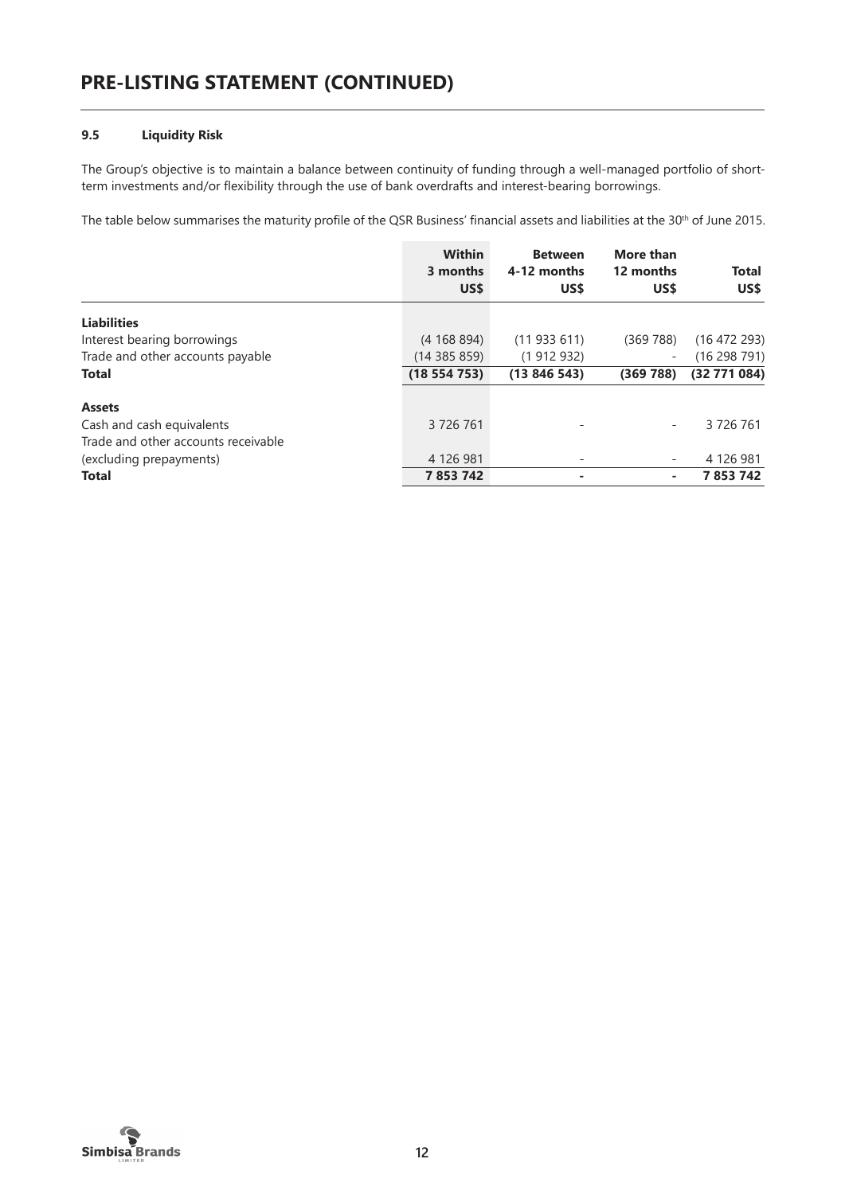# **9.5 Liquidity Risk**

The Group's objective is to maintain a balance between continuity of funding through a well-managed portfolio of shortterm investments and/or flexibility through the use of bank overdrafts and interest-bearing borrowings.

The table below summarises the maturity profile of the QSR Business' financial assets and liabilities at the 30<sup>th</sup> of June 2015.

|                                     | <b>Within</b><br>3 months<br>US\$ | <b>Between</b><br>4-12 months<br>US\$ | More than<br>12 months<br>US\$ | <b>Total</b><br>US\$ |
|-------------------------------------|-----------------------------------|---------------------------------------|--------------------------------|----------------------|
| <b>Liabilities</b>                  |                                   |                                       |                                |                      |
| Interest bearing borrowings         | (4168894)                         | (11933611)                            | (369 788)                      | (16 472 293)         |
| Trade and other accounts payable    | (14385859)                        | (1912932)                             | Ξ.                             | (16298791)           |
| <b>Total</b>                        | (18554753)                        | (13846543)                            | (369 788)                      | (32771084)           |
| <b>Assets</b>                       |                                   |                                       |                                |                      |
| Cash and cash equivalents           | 3726761                           |                                       |                                | 3 726 761            |
| Trade and other accounts receivable |                                   |                                       |                                |                      |
| (excluding prepayments)             | 4 126 981                         | $\qquad \qquad =$                     |                                | 4 126 981            |
| <b>Total</b>                        | 7 853 742                         |                                       |                                | 7853742              |

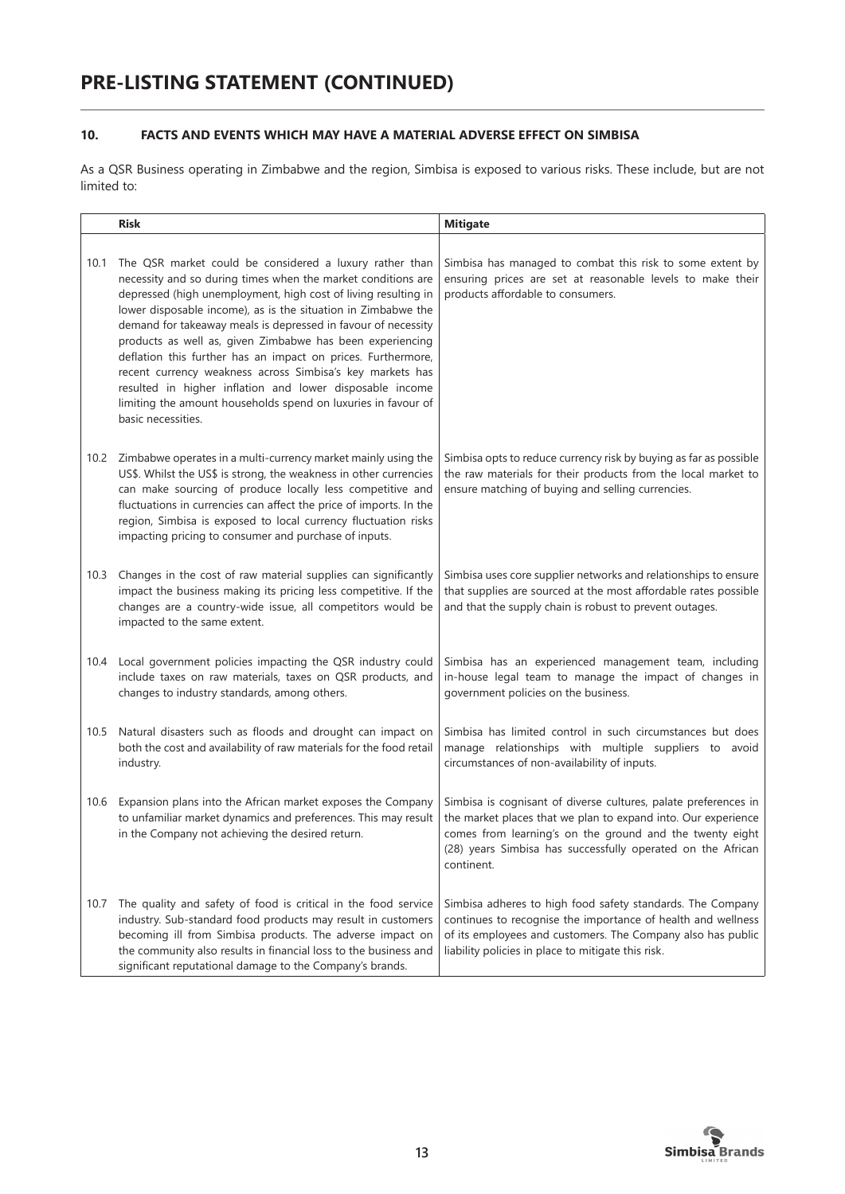# **10. FACTS AND EVENTS WHICH MAY HAVE A MATERIAL ADVERSE EFFECT ON SIMBISA**

As a QSR Business operating in Zimbabwe and the region, Simbisa is exposed to various risks. These include, but are not limited to:

|      | <b>Risk</b>                                                                                                                                                                                                                                                                                                                                                                                                                                                                                                                                                                                                                                                              | <b>Mitigate</b>                                                                                                                                                                                                                                                           |
|------|--------------------------------------------------------------------------------------------------------------------------------------------------------------------------------------------------------------------------------------------------------------------------------------------------------------------------------------------------------------------------------------------------------------------------------------------------------------------------------------------------------------------------------------------------------------------------------------------------------------------------------------------------------------------------|---------------------------------------------------------------------------------------------------------------------------------------------------------------------------------------------------------------------------------------------------------------------------|
| 10.1 | The QSR market could be considered a luxury rather than<br>necessity and so during times when the market conditions are<br>depressed (high unemployment, high cost of living resulting in<br>lower disposable income), as is the situation in Zimbabwe the<br>demand for takeaway meals is depressed in favour of necessity<br>products as well as, given Zimbabwe has been experiencing<br>deflation this further has an impact on prices. Furthermore,<br>recent currency weakness across Simbisa's key markets has<br>resulted in higher inflation and lower disposable income<br>limiting the amount households spend on luxuries in favour of<br>basic necessities. | Simbisa has managed to combat this risk to some extent by<br>ensuring prices are set at reasonable levels to make their<br>products affordable to consumers.                                                                                                              |
| 10.2 | Zimbabwe operates in a multi-currency market mainly using the<br>US\$. Whilst the US\$ is strong, the weakness in other currencies<br>can make sourcing of produce locally less competitive and<br>fluctuations in currencies can affect the price of imports. In the<br>region, Simbisa is exposed to local currency fluctuation risks<br>impacting pricing to consumer and purchase of inputs.                                                                                                                                                                                                                                                                         | Simbisa opts to reduce currency risk by buying as far as possible<br>the raw materials for their products from the local market to<br>ensure matching of buying and selling currencies.                                                                                   |
| 10.3 | Changes in the cost of raw material supplies can significantly<br>impact the business making its pricing less competitive. If the<br>changes are a country-wide issue, all competitors would be<br>impacted to the same extent.                                                                                                                                                                                                                                                                                                                                                                                                                                          | Simbisa uses core supplier networks and relationships to ensure<br>that supplies are sourced at the most affordable rates possible<br>and that the supply chain is robust to prevent outages.                                                                             |
| 10.4 | Local government policies impacting the QSR industry could<br>include taxes on raw materials, taxes on QSR products, and<br>changes to industry standards, among others.                                                                                                                                                                                                                                                                                                                                                                                                                                                                                                 | Simbisa has an experienced management team, including<br>in-house legal team to manage the impact of changes in<br>government policies on the business.                                                                                                                   |
| 10.5 | Natural disasters such as floods and drought can impact on<br>both the cost and availability of raw materials for the food retail<br>industry.                                                                                                                                                                                                                                                                                                                                                                                                                                                                                                                           | Simbisa has limited control in such circumstances but does<br>manage relationships with multiple suppliers to avoid<br>circumstances of non-availability of inputs.                                                                                                       |
| 10.6 | Expansion plans into the African market exposes the Company<br>to unfamiliar market dynamics and preferences. This may result<br>in the Company not achieving the desired return.                                                                                                                                                                                                                                                                                                                                                                                                                                                                                        | Simbisa is cognisant of diverse cultures, palate preferences in<br>the market places that we plan to expand into. Our experience<br>comes from learning's on the ground and the twenty eight<br>(28) years Simbisa has successfully operated on the African<br>continent. |
| 10.7 | The quality and safety of food is critical in the food service<br>industry. Sub-standard food products may result in customers<br>becoming ill from Simbisa products. The adverse impact on<br>the community also results in financial loss to the business and<br>significant reputational damage to the Company's brands.                                                                                                                                                                                                                                                                                                                                              | Simbisa adheres to high food safety standards. The Company<br>continues to recognise the importance of health and wellness<br>of its employees and customers. The Company also has public<br>liability policies in place to mitigate this risk.                           |

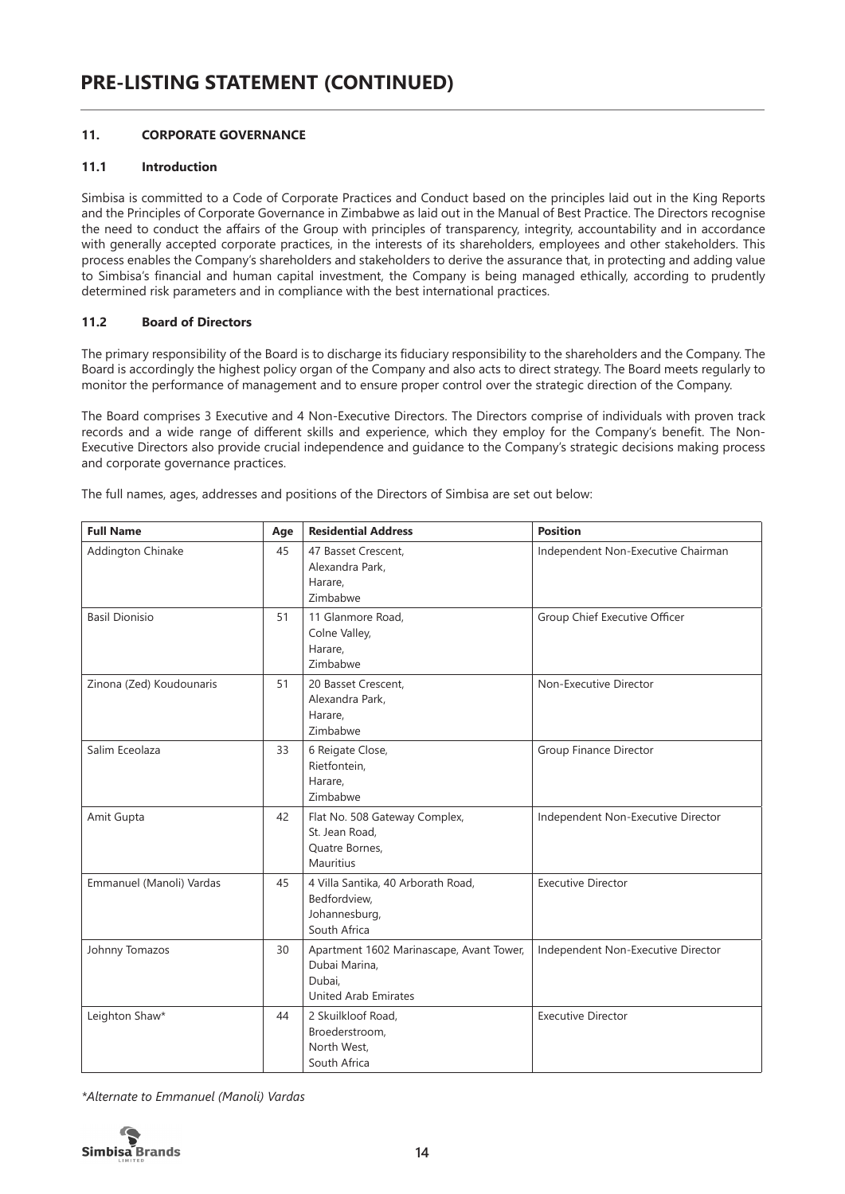# **11. CORPORATE GOVERNANCE**

#### **11.1 Introduction**

Simbisa is committed to a Code of Corporate Practices and Conduct based on the principles laid out in the King Reports and the Principles of Corporate Governance in Zimbabwe as laid out in the Manual of Best Practice. The Directors recognise the need to conduct the affairs of the Group with principles of transparency, integrity, accountability and in accordance with generally accepted corporate practices, in the interests of its shareholders, employees and other stakeholders. This process enables the Company's shareholders and stakeholders to derive the assurance that, in protecting and adding value to Simbisa's financial and human capital investment, the Company is being managed ethically, according to prudently determined risk parameters and in compliance with the best international practices.

# **11.2 Board of Directors**

The primary responsibility of the Board is to discharge its fiduciary responsibility to the shareholders and the Company. The Board is accordingly the highest policy organ of the Company and also acts to direct strategy. The Board meets regularly to monitor the performance of management and to ensure proper control over the strategic direction of the Company.

The Board comprises 3 Executive and 4 Non-Executive Directors. The Directors comprise of individuals with proven track records and a wide range of different skills and experience, which they employ for the Company's benefit. The Non-Executive Directors also provide crucial independence and guidance to the Company's strategic decisions making process and corporate governance practices.

| <b>Full Name</b>         | Age | <b>Residential Address</b>                                                                         | <b>Position</b>                    |
|--------------------------|-----|----------------------------------------------------------------------------------------------------|------------------------------------|
| Addington Chinake        | 45  | 47 Basset Crescent.<br>Alexandra Park,<br>Harare,<br>Zimbabwe                                      | Independent Non-Executive Chairman |
| <b>Basil Dionisio</b>    | 51  | 11 Glanmore Road.<br>Colne Valley,<br>Harare,<br>Zimbabwe                                          | Group Chief Executive Officer      |
| Zinona (Zed) Koudounaris | 51  | 20 Basset Crescent.<br>Alexandra Park,<br>Harare,<br>Zimbabwe                                      | Non-Executive Director             |
| Salim Eceolaza           | 33  | 6 Reigate Close,<br>Rietfontein,<br>Harare,<br>Zimbabwe                                            | Group Finance Director             |
| Amit Gupta               | 42  | Flat No. 508 Gateway Complex,<br>St. Jean Road,<br>Quatre Bornes,<br>Mauritius                     | Independent Non-Executive Director |
| Emmanuel (Manoli) Vardas | 45  | 4 Villa Santika, 40 Arborath Road,<br>Bedfordview,<br>Johannesburg,<br>South Africa                | <b>Executive Director</b>          |
| Johnny Tomazos           | 30  | Apartment 1602 Marinascape, Avant Tower,<br>Dubai Marina,<br>Dubai,<br><b>United Arab Emirates</b> | Independent Non-Executive Director |
| Leighton Shaw*           | 44  | 2 Skuilkloof Road,<br>Broederstroom,<br>North West,<br>South Africa                                | <b>Executive Director</b>          |

The full names, ages, addresses and positions of the Directors of Simbisa are set out below:

*\*Alternate to Emmanuel (Manoli) Vardas*

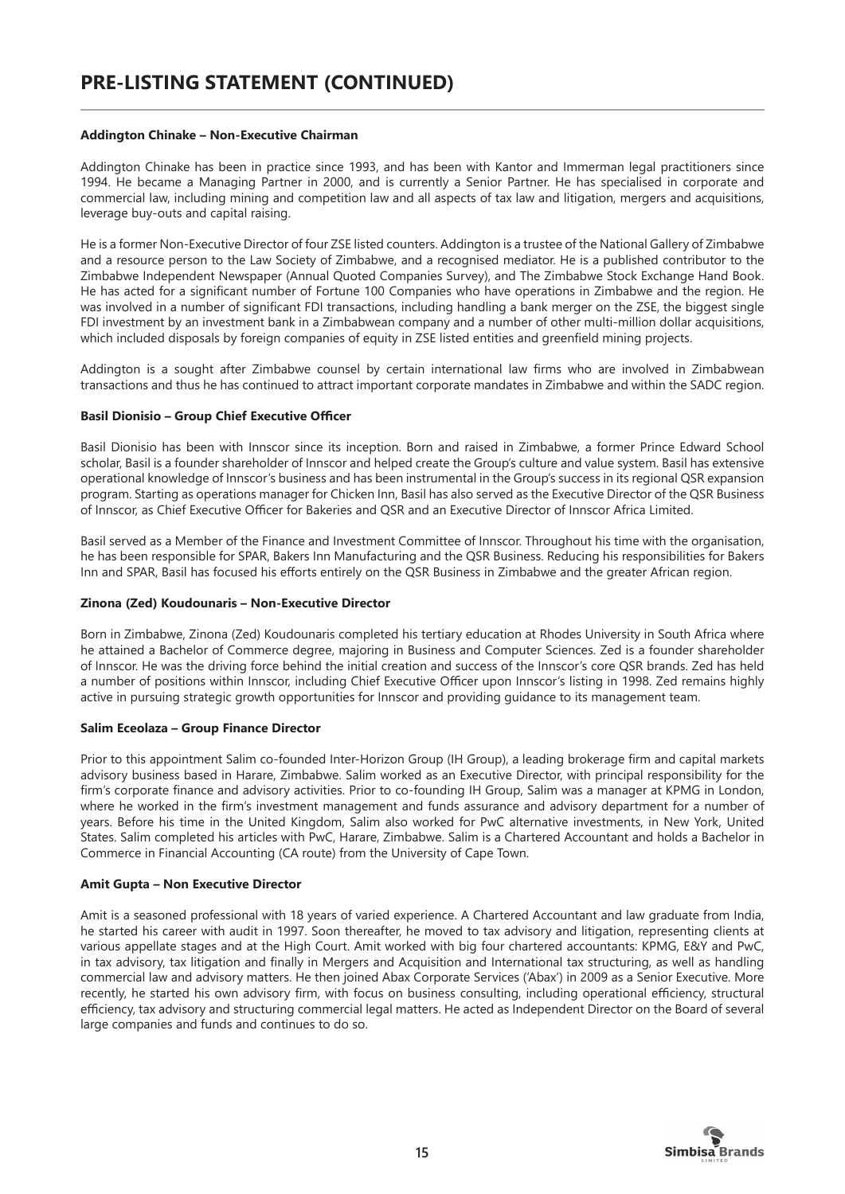#### **Addington Chinake – Non-Executive Chairman**

Addington Chinake has been in practice since 1993, and has been with Kantor and Immerman legal practitioners since 1994. He became a Managing Partner in 2000, and is currently a Senior Partner. He has specialised in corporate and commercial law, including mining and competition law and all aspects of tax law and litigation, mergers and acquisitions, leverage buy-outs and capital raising.

He is a former Non-Executive Director of four ZSE listed counters. Addington is a trustee of the National Gallery of Zimbabwe and a resource person to the Law Society of Zimbabwe, and a recognised mediator. He is a published contributor to the Zimbabwe Independent Newspaper (Annual Quoted Companies Survey), and The Zimbabwe Stock Exchange Hand Book. He has acted for a significant number of Fortune 100 Companies who have operations in Zimbabwe and the region. He was involved in a number of significant FDI transactions, including handling a bank merger on the ZSE, the biggest single FDI investment by an investment bank in a Zimbabwean company and a number of other multi-million dollar acquisitions, which included disposals by foreign companies of equity in ZSE listed entities and greenfield mining projects.

Addington is a sought after Zimbabwe counsel by certain international law firms who are involved in Zimbabwean transactions and thus he has continued to attract important corporate mandates in Zimbabwe and within the SADC region.

#### **Basil Dionisio – Group Chief Executive Officer**

Basil Dionisio has been with Innscor since its inception. Born and raised in Zimbabwe, a former Prince Edward School scholar, Basil is a founder shareholder of Innscor and helped create the Group's culture and value system. Basil has extensive operational knowledge of Innscor's business and has been instrumental in the Group's success in its regional QSR expansion program. Starting as operations manager for Chicken Inn, Basil has also served as the Executive Director of the QSR Business of Innscor, as Chief Executive Officer for Bakeries and QSR and an Executive Director of Innscor Africa Limited.

Basil served as a Member of the Finance and Investment Committee of Innscor. Throughout his time with the organisation, he has been responsible for SPAR, Bakers Inn Manufacturing and the QSR Business. Reducing his responsibilities for Bakers Inn and SPAR, Basil has focused his efforts entirely on the QSR Business in Zimbabwe and the greater African region.

#### **Zinona (Zed) Koudounaris – Non-Executive Director**

Born in Zimbabwe, Zinona (Zed) Koudounaris completed his tertiary education at Rhodes University in South Africa where he attained a Bachelor of Commerce degree, majoring in Business and Computer Sciences. Zed is a founder shareholder of Innscor. He was the driving force behind the initial creation and success of the Innscor's core QSR brands. Zed has held a number of positions within Innscor, including Chief Executive Officer upon Innscor's listing in 1998. Zed remains highly active in pursuing strategic growth opportunities for Innscor and providing guidance to its management team.

#### **Salim Eceolaza – Group Finance Director**

Prior to this appointment Salim co-founded Inter-Horizon Group (IH Group), a leading brokerage firm and capital markets advisory business based in Harare, Zimbabwe. Salim worked as an Executive Director, with principal responsibility for the firm's corporate finance and advisory activities. Prior to co-founding IH Group, Salim was a manager at KPMG in London, where he worked in the firm's investment management and funds assurance and advisory department for a number of years. Before his time in the United Kingdom, Salim also worked for PwC alternative investments, in New York, United States. Salim completed his articles with PwC, Harare, Zimbabwe. Salim is a Chartered Accountant and holds a Bachelor in Commerce in Financial Accounting (CA route) from the University of Cape Town.

#### **Amit Gupta – Non Executive Director**

Amit is a seasoned professional with 18 years of varied experience. A Chartered Accountant and law graduate from India, he started his career with audit in 1997. Soon thereafter, he moved to tax advisory and litigation, representing clients at various appellate stages and at the High Court. Amit worked with big four chartered accountants: KPMG, E&Y and PwC, in tax advisory, tax litigation and finally in Mergers and Acquisition and International tax structuring, as well as handling commercial law and advisory matters. He then joined Abax Corporate Services ('Abax') in 2009 as a Senior Executive. More recently, he started his own advisory firm, with focus on business consulting, including operational efficiency, structural efficiency, tax advisory and structuring commercial legal matters. He acted as Independent Director on the Board of several large companies and funds and continues to do so.

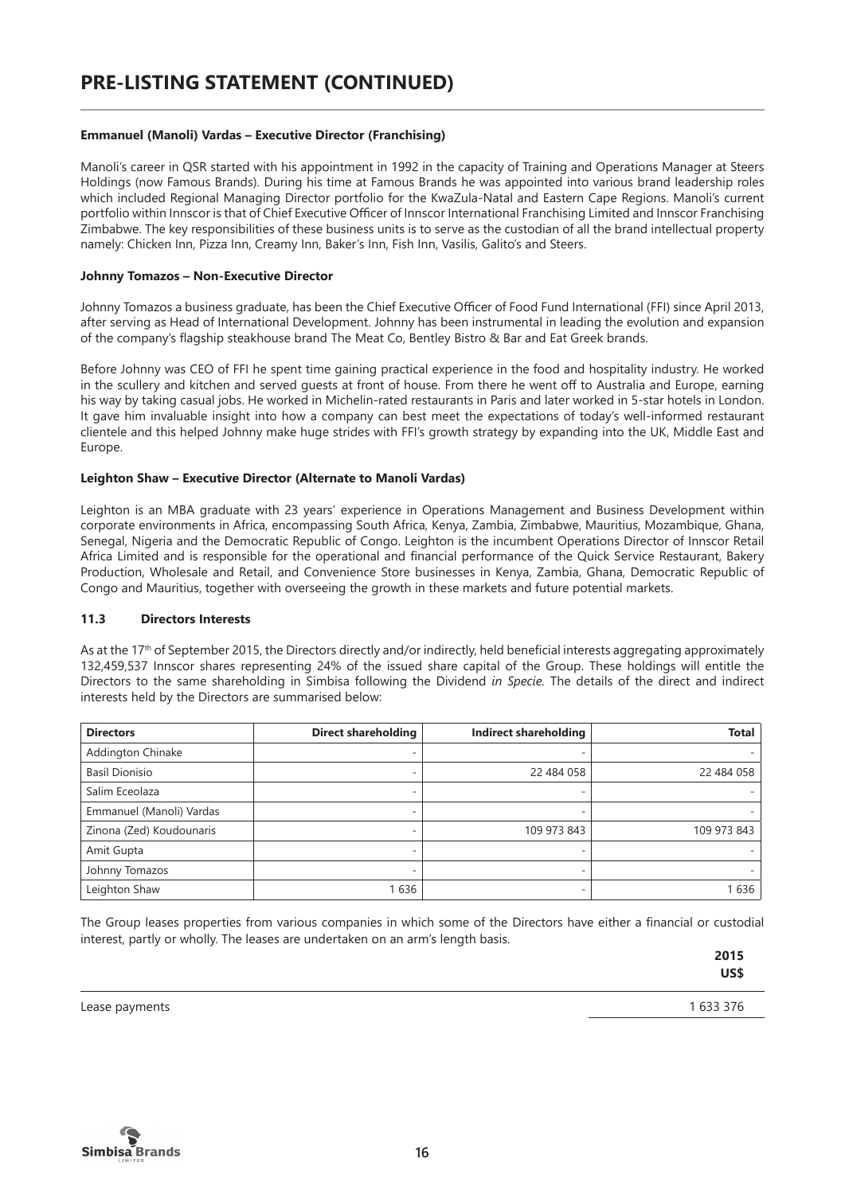#### **Emmanuel (Manoli) Vardas – Executive Director (Franchising)**

Manoli's career in QSR started with his appointment in 1992 in the capacity of Training and Operations Manager at Steers Holdings (now Famous Brands). During his time at Famous Brands he was appointed into various brand leadership roles which included Regional Managing Director portfolio for the KwaZula-Natal and Eastern Cape Regions. Manoli's current portfolio within Innscor is that of Chief Executive Officer of Innscor International Franchising Limited and Innscor Franchising Zimbabwe. The key responsibilities of these business units is to serve as the custodian of all the brand intellectual property namely: Chicken Inn, Pizza Inn, Creamy Inn, Baker's Inn, Fish Inn, Vasilis, Galito's and Steers.

#### **Johnny Tomazos – Non-Executive Director**

Johnny Tomazos a business graduate, has been the Chief Executive Officer of Food Fund International (FFI) since April 2013, after serving as Head of International Development. Johnny has been instrumental in leading the evolution and expansion of the company's flagship steakhouse brand The Meat Co, Bentley Bistro & Bar and Eat Greek brands.

Before Johnny was CEO of FFI he spent time gaining practical experience in the food and hospitality industry. He worked in the scullery and kitchen and served guests at front of house. From there he went off to Australia and Europe, earning his way by taking casual jobs. He worked in Michelin-rated restaurants in Paris and later worked in 5-star hotels in London. It gave him invaluable insight into how a company can best meet the expectations of today's well-informed restaurant clientele and this helped Johnny make huge strides with FFI's growth strategy by expanding into the UK, Middle East and Europe.

#### **Leighton Shaw – Executive Director (Alternate to Manoli Vardas)**

Leighton is an MBA graduate with 23 years' experience in Operations Management and Business Development within corporate environments in Africa, encompassing South Africa, Kenya, Zambia, Zimbabwe, Mauritius, Mozambique, Ghana, Senegal, Nigeria and the Democratic Republic of Congo. Leighton is the incumbent Operations Director of Innscor Retail Africa Limited and is responsible for the operational and financial performance of the Quick Service Restaurant, Bakery Production, Wholesale and Retail, and Convenience Store businesses in Kenya, Zambia, Ghana, Democratic Republic of Congo and Mauritius, together with overseeing the growth in these markets and future potential markets.

#### **11.3 Directors Interests**

As at the 17<sup>th</sup> of September 2015, the Directors directly and/or indirectly, held beneficial interests aggregating approximately 132,459,537 Innscor shares representing 24% of the issued share capital of the Group. These holdings will entitle the Directors to the same shareholding in Simbisa following the Dividend *in Specie.* The details of the direct and indirect interests held by the Directors are summarised below:

| <b>Directors</b>         | <b>Direct shareholding</b> | Indirect shareholding | <b>Total</b> |
|--------------------------|----------------------------|-----------------------|--------------|
| <b>Addington Chinake</b> |                            |                       |              |
| <b>Basil Dionisio</b>    |                            | 22 484 058            | 22 484 058   |
| Salim Eceolaza           |                            |                       |              |
| Emmanuel (Manoli) Vardas |                            |                       |              |
| Zinona (Zed) Koudounaris |                            | 109 973 843           | 109 973 843  |
| Amit Gupta               |                            |                       |              |
| Johnny Tomazos           |                            |                       |              |
| Leighton Shaw            | 1636                       | -                     | 1636         |

The Group leases properties from various companies in which some of the Directors have either a financial or custodial interest, partly or wholly. The leases are undertaken on an arm's length basis.

> **2015 US\$**

Lease payments 1633 376

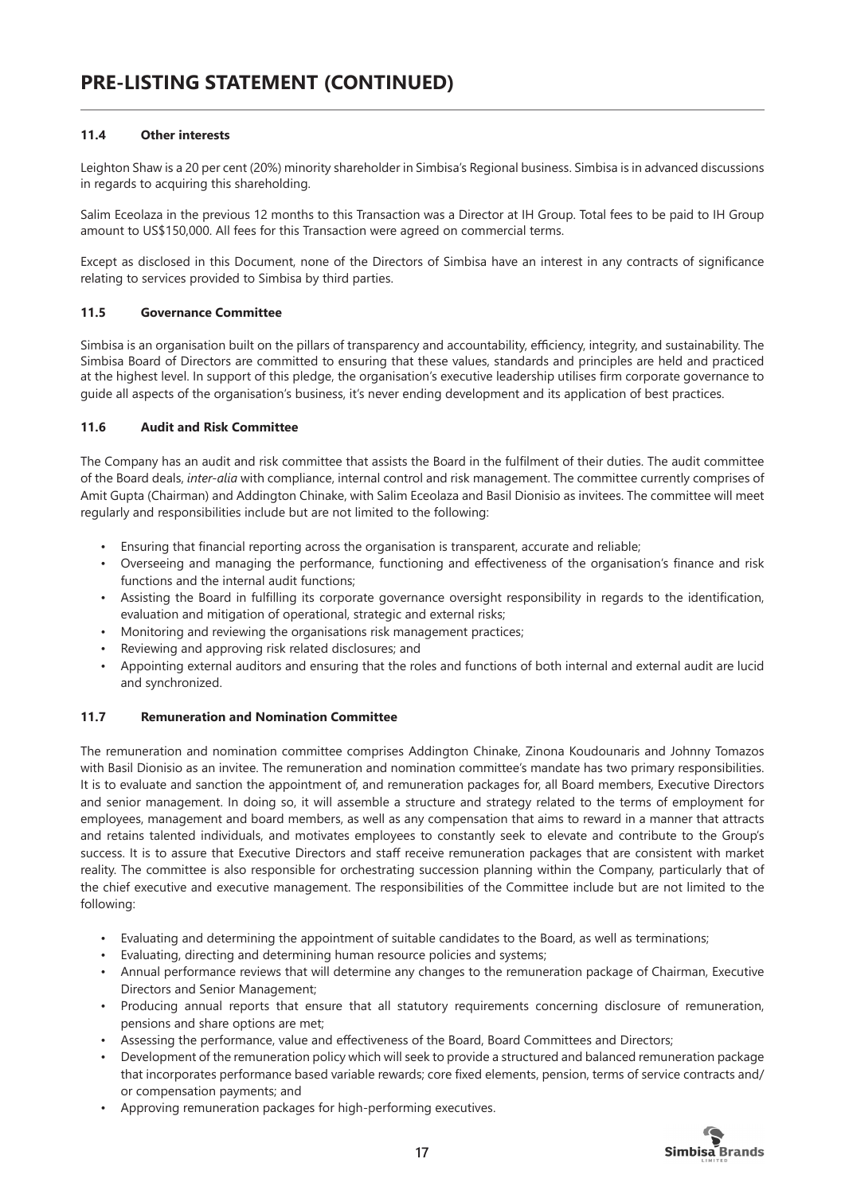# **11.4 Other interests**

Leighton Shaw is a 20 per cent (20%) minority shareholder in Simbisa's Regional business. Simbisa is in advanced discussions in regards to acquiring this shareholding.

Salim Eceolaza in the previous 12 months to this Transaction was a Director at IH Group. Total fees to be paid to IH Group amount to US\$150,000. All fees for this Transaction were agreed on commercial terms.

Except as disclosed in this Document, none of the Directors of Simbisa have an interest in any contracts of significance relating to services provided to Simbisa by third parties.

# **11.5 Governance Committee**

Simbisa is an organisation built on the pillars of transparency and accountability, efficiency, integrity, and sustainability. The Simbisa Board of Directors are committed to ensuring that these values, standards and principles are held and practiced at the highest level. In support of this pledge, the organisation's executive leadership utilises firm corporate governance to guide all aspects of the organisation's business, it's never ending development and its application of best practices.

# **11.6 Audit and Risk Committee**

The Company has an audit and risk committee that assists the Board in the fulfilment of their duties. The audit committee of the Board deals, *inter-alia* with compliance, internal control and risk management. The committee currently comprises of Amit Gupta (Chairman) and Addington Chinake, with Salim Eceolaza and Basil Dionisio as invitees. The committee will meet regularly and responsibilities include but are not limited to the following:

- Ensuring that financial reporting across the organisation is transparent, accurate and reliable;
- Overseeing and managing the performance, functioning and effectiveness of the organisation's finance and risk functions and the internal audit functions;
- Assisting the Board in fulfilling its corporate governance oversight responsibility in regards to the identification, evaluation and mitigation of operational, strategic and external risks;
- Monitoring and reviewing the organisations risk management practices;
- Reviewing and approving risk related disclosures; and
- Appointing external auditors and ensuring that the roles and functions of both internal and external audit are lucid and synchronized.

# **11.7 Remuneration and Nomination Committee**

The remuneration and nomination committee comprises Addington Chinake, Zinona Koudounaris and Johnny Tomazos with Basil Dionisio as an invitee. The remuneration and nomination committee's mandate has two primary responsibilities. It is to evaluate and sanction the appointment of, and remuneration packages for, all Board members, Executive Directors and senior management. In doing so, it will assemble a structure and strategy related to the terms of employment for employees, management and board members, as well as any compensation that aims to reward in a manner that attracts and retains talented individuals, and motivates employees to constantly seek to elevate and contribute to the Group's success. It is to assure that Executive Directors and staff receive remuneration packages that are consistent with market reality. The committee is also responsible for orchestrating succession planning within the Company, particularly that of the chief executive and executive management. The responsibilities of the Committee include but are not limited to the following:

- Evaluating and determining the appointment of suitable candidates to the Board, as well as terminations;
- Evaluating, directing and determining human resource policies and systems;
- Annual performance reviews that will determine any changes to the remuneration package of Chairman, Executive Directors and Senior Management;
- Producing annual reports that ensure that all statutory requirements concerning disclosure of remuneration, pensions and share options are met;
- Assessing the performance, value and effectiveness of the Board, Board Committees and Directors;
- Development of the remuneration policy which will seek to provide a structured and balanced remuneration package that incorporates performance based variable rewards; core fixed elements, pension, terms of service contracts and/ or compensation payments; and
- Approving remuneration packages for high-performing executives.

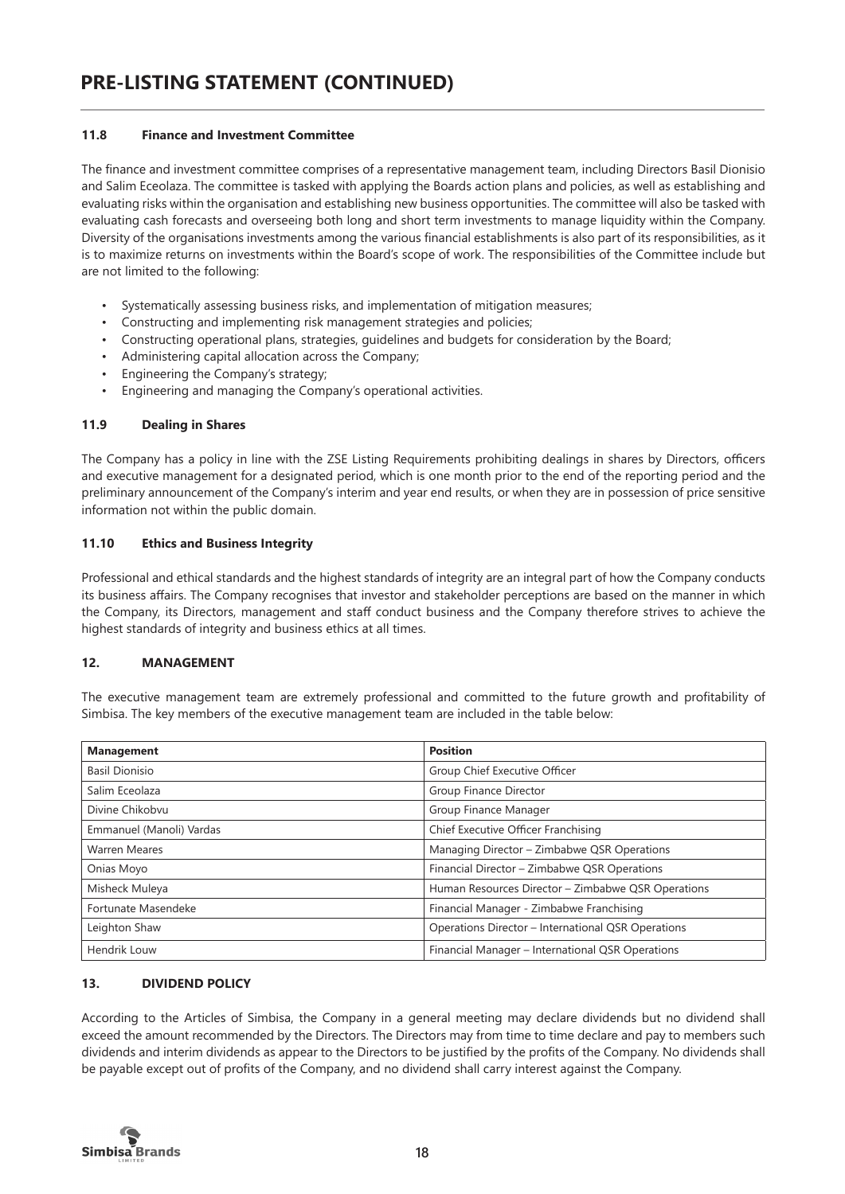#### **11.8 Finance and Investment Committee**

The finance and investment committee comprises of a representative management team, including Directors Basil Dionisio and Salim Eceolaza. The committee is tasked with applying the Boards action plans and policies, as well as establishing and evaluating risks within the organisation and establishing new business opportunities. The committee will also be tasked with evaluating cash forecasts and overseeing both long and short term investments to manage liquidity within the Company. Diversity of the organisations investments among the various financial establishments is also part of its responsibilities, as it is to maximize returns on investments within the Board's scope of work. The responsibilities of the Committee include but are not limited to the following:

- Systematically assessing business risks, and implementation of mitigation measures;
- Constructing and implementing risk management strategies and policies;
- Constructing operational plans, strategies, guidelines and budgets for consideration by the Board;
- Administering capital allocation across the Company;
- Engineering the Company's strategy;
- Engineering and managing the Company's operational activities.

#### **11.9 Dealing in Shares**

The Company has a policy in line with the ZSE Listing Requirements prohibiting dealings in shares by Directors, officers and executive management for a designated period, which is one month prior to the end of the reporting period and the preliminary announcement of the Company's interim and year end results, or when they are in possession of price sensitive information not within the public domain.

#### **11.10 Ethics and Business Integrity**

Professional and ethical standards and the highest standards of integrity are an integral part of how the Company conducts its business affairs. The Company recognises that investor and stakeholder perceptions are based on the manner in which the Company, its Directors, management and staff conduct business and the Company therefore strives to achieve the highest standards of integrity and business ethics at all times.

# **12. MANAGEMENT**

The executive management team are extremely professional and committed to the future growth and profitability of Simbisa. The key members of the executive management team are included in the table below:

| <b>Management</b>        | <b>Position</b>                                    |
|--------------------------|----------------------------------------------------|
| <b>Basil Dionisio</b>    | Group Chief Executive Officer                      |
| Salim Eceolaza           | Group Finance Director                             |
| Divine Chikobvu          | Group Finance Manager                              |
| Emmanuel (Manoli) Vardas | Chief Executive Officer Franchising                |
| <b>Warren Meares</b>     | Managing Director - Zimbabwe QSR Operations        |
| Onias Moyo               | Financial Director - Zimbabwe QSR Operations       |
| Misheck Muleya           | Human Resources Director - Zimbabwe QSR Operations |
| Fortunate Masendeke      | Financial Manager - Zimbabwe Franchising           |
| Leighton Shaw            | Operations Director - International QSR Operations |
| Hendrik Louw             | Financial Manager - International QSR Operations   |

# **13. DIVIDEND POLICY**

According to the Articles of Simbisa, the Company in a general meeting may declare dividends but no dividend shall exceed the amount recommended by the Directors. The Directors may from time to time declare and pay to members such dividends and interim dividends as appear to the Directors to be justified by the profits of the Company. No dividends shall be payable except out of profits of the Company, and no dividend shall carry interest against the Company.

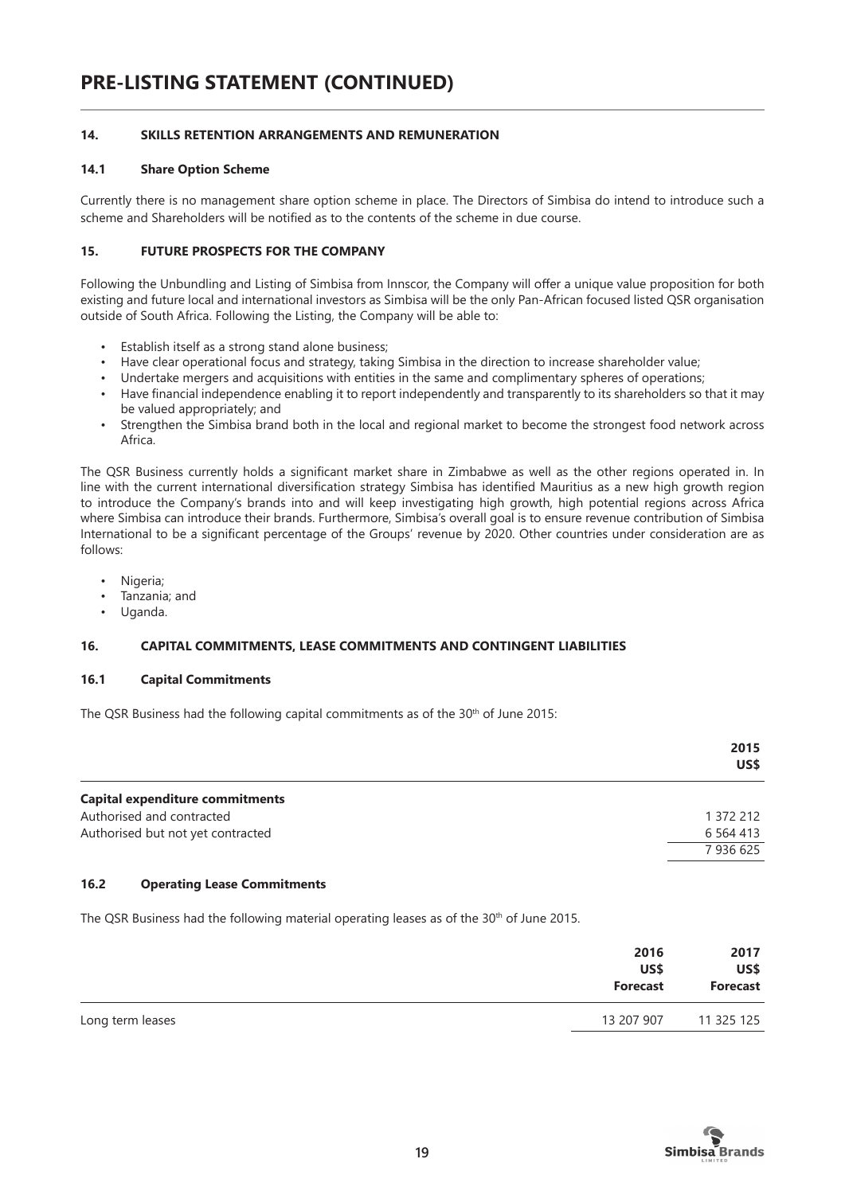# **14. SKILLS RETENTION ARRANGEMENTS AND REMUNERATION**

#### **14.1 Share Option Scheme**

Currently there is no management share option scheme in place. The Directors of Simbisa do intend to introduce such a scheme and Shareholders will be notified as to the contents of the scheme in due course.

#### **15. FUTURE PROSPECTS FOR THE COMPANY**

Following the Unbundling and Listing of Simbisa from Innscor, the Company will offer a unique value proposition for both existing and future local and international investors as Simbisa will be the only Pan-African focused listed QSR organisation outside of South Africa. Following the Listing, the Company will be able to:

- Establish itself as a strong stand alone business;
- Have clear operational focus and strategy, taking Simbisa in the direction to increase shareholder value;
- Undertake mergers and acquisitions with entities in the same and complimentary spheres of operations;
- Have financial independence enabling it to report independently and transparently to its shareholders so that it may be valued appropriately; and
- Strengthen the Simbisa brand both in the local and regional market to become the strongest food network across Africa.

The QSR Business currently holds a significant market share in Zimbabwe as well as the other regions operated in. In line with the current international diversification strategy Simbisa has identified Mauritius as a new high growth region to introduce the Company's brands into and will keep investigating high growth, high potential regions across Africa where Simbisa can introduce their brands. Furthermore, Simbisa's overall goal is to ensure revenue contribution of Simbisa International to be a significant percentage of the Groups' revenue by 2020. Other countries under consideration are as follows:

- Nigeria;
- Tanzania; and
- Uganda.

#### **16. CAPITAL COMMITMENTS, LEASE COMMITMENTS AND CONTINGENT LIABILITIES**

#### **16.1 Capital Commitments**

The QSR Business had the following capital commitments as of the 30<sup>th</sup> of June 2015:

|                                   | 2015<br>US\$  |
|-----------------------------------|---------------|
| Capital expenditure commitments   |               |
| Authorised and contracted         | 1 372 212     |
| Authorised but not yet contracted | 6 5 6 4 4 1 3 |
|                                   | 7936625       |

# **16.2 Operating Lease Commitments**

The QSR Business had the following material operating leases as of the 30<sup>th</sup> of June 2015.

|                  | 2016<br>US\$<br>Forecast | 2017<br>US\$<br>Forecast |
|------------------|--------------------------|--------------------------|
| Long term leases | 13 207 907               | 11 325 125               |

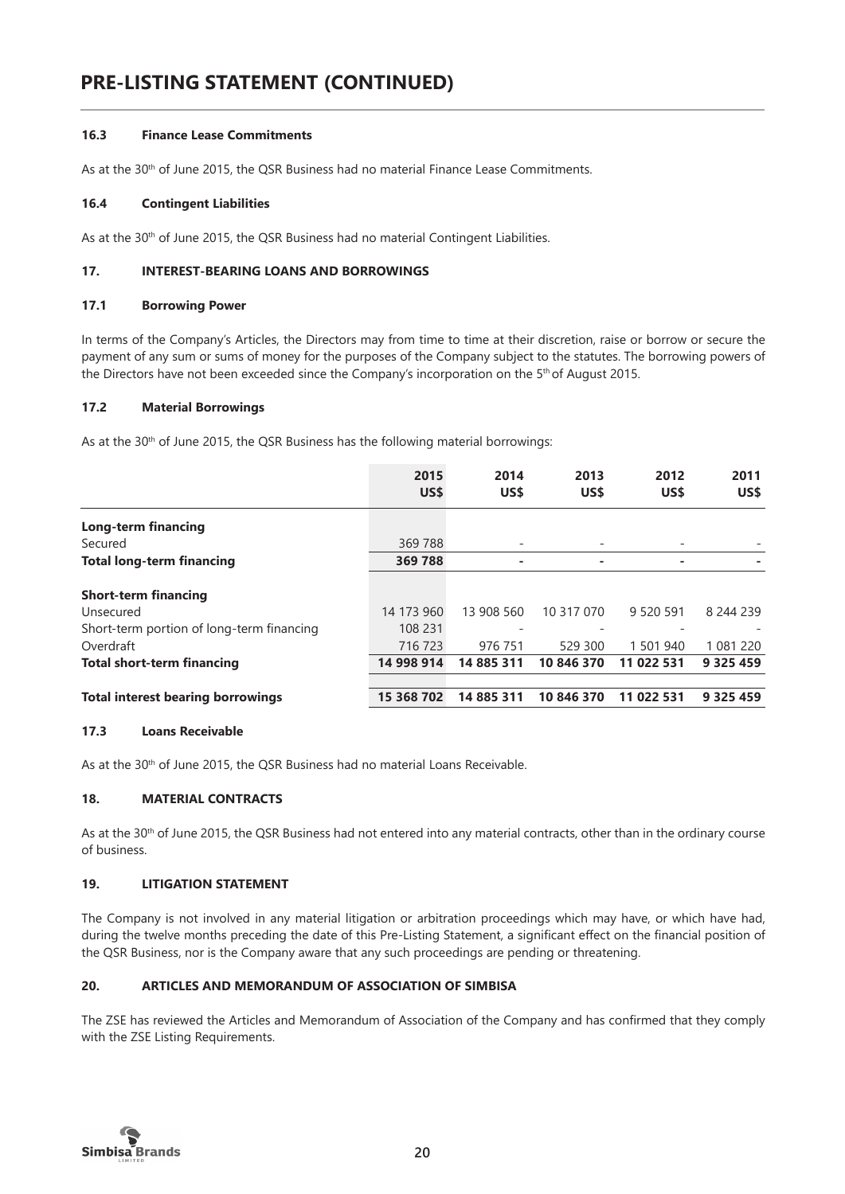#### **16.3 Finance Lease Commitments**

As at the 30<sup>th</sup> of June 2015, the QSR Business had no material Finance Lease Commitments.

#### **16.4 Contingent Liabilities**

As at the 30<sup>th</sup> of June 2015, the QSR Business had no material Contingent Liabilities.

#### **17. INTEREST-BEARING LOANS AND BORROWINGS**

#### **17.1 Borrowing Power**

In terms of the Company's Articles, the Directors may from time to time at their discretion, raise or borrow or secure the payment of any sum or sums of money for the purposes of the Company subject to the statutes. The borrowing powers of the Directors have not been exceeded since the Company's incorporation on the 5<sup>th</sup> of August 2015.

#### **17.2 Material Borrowings**

As at the 30<sup>th</sup> of June 2015, the QSR Business has the following material borrowings:

|                                           | 2015<br>US\$ | 2014<br>US\$ | 2013<br>US\$ | 2012<br>US\$ | 2011<br>US\$  |
|-------------------------------------------|--------------|--------------|--------------|--------------|---------------|
|                                           |              |              |              |              |               |
| <b>Long-term financing</b>                |              |              |              |              |               |
| Secured                                   | 369 788      |              |              |              |               |
| <b>Total long-term financing</b>          | 369 788      | ۰            | -            | ۰            |               |
| <b>Short-term financing</b>               |              |              |              |              |               |
| Unsecured                                 | 14 173 960   | 13 908 560   | 10 317 070   | 9 520 591    | 8 244 239     |
| Short-term portion of long-term financing | 108 231      |              |              |              |               |
| Overdraft                                 | 716 723      | 976 751      | 529 300      | 1 501 940    | 1 081 220     |
| <b>Total short-term financing</b>         | 14 998 914   | 14 885 311   | 10 846 370   | 11 022 531   | 9 3 2 5 4 5 9 |
|                                           |              |              |              |              |               |
| <b>Total interest bearing borrowings</b>  | 15 368 702   | 14 885 311   | 10 846 370   | 11 022 531   | 9 3 2 5 4 5 9 |

#### **17.3 Loans Receivable**

As at the 30<sup>th</sup> of June 2015, the QSR Business had no material Loans Receivable.

# **18. MATERIAL CONTRACTS**

As at the 30<sup>th</sup> of June 2015, the QSR Business had not entered into any material contracts, other than in the ordinary course of business.

# **19. LITIGATION STATEMENT**

The Company is not involved in any material litigation or arbitration proceedings which may have, or which have had, during the twelve months preceding the date of this Pre-Listing Statement, a significant effect on the financial position of the QSR Business, nor is the Company aware that any such proceedings are pending or threatening.

# **20. ARTICLES AND MEMORANDUM OF ASSOCIATION OF SIMBISA**

The ZSE has reviewed the Articles and Memorandum of Association of the Company and has confirmed that they comply with the ZSE Listing Requirements.

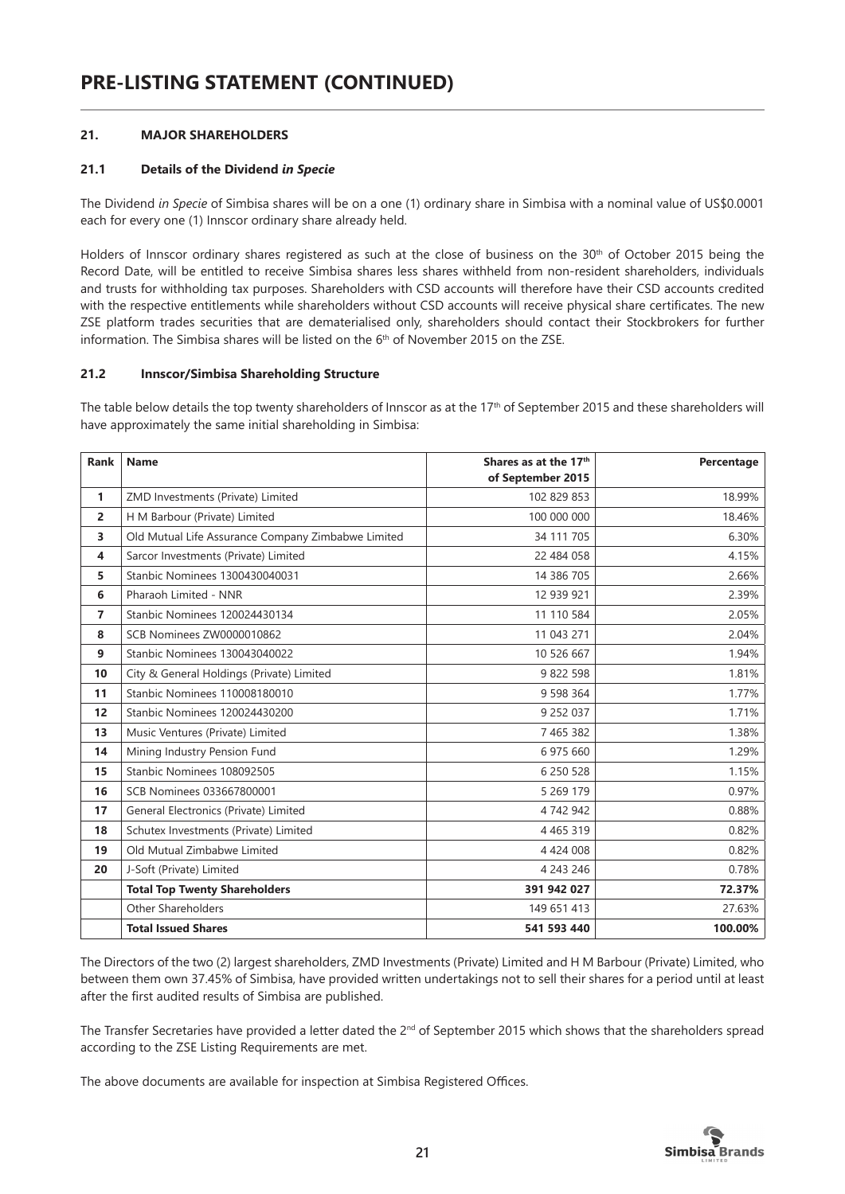# **21. MAJOR SHAREHOLDERS**

# **21.1 Details of the Dividend** *in Specie*

The Dividend *in Specie* of Simbisa shares will be on a one (1) ordinary share in Simbisa with a nominal value of US\$0.0001 each for every one (1) Innscor ordinary share already held.

Holders of Innscor ordinary shares registered as such at the close of business on the 30<sup>th</sup> of October 2015 being the Record Date, will be entitled to receive Simbisa shares less shares withheld from non-resident shareholders, individuals and trusts for withholding tax purposes. Shareholders with CSD accounts will therefore have their CSD accounts credited with the respective entitlements while shareholders without CSD accounts will receive physical share certificates. The new ZSE platform trades securities that are dematerialised only, shareholders should contact their Stockbrokers for further information. The Simbisa shares will be listed on the 6<sup>th</sup> of November 2015 on the ZSE.

#### **21.2 Innscor/Simbisa Shareholding Structure**

The table below details the top twenty shareholders of Innscor as at the 17<sup>th</sup> of September 2015 and these shareholders will have approximately the same initial shareholding in Simbisa:

| <b>Rank</b>    | <b>Name</b>                                        | Shares as at the 17th<br>of September 2015 | Percentage |
|----------------|----------------------------------------------------|--------------------------------------------|------------|
| 1              | ZMD Investments (Private) Limited                  | 102 829 853                                | 18.99%     |
| $\overline{a}$ | H M Barbour (Private) Limited                      | 100 000 000                                | 18.46%     |
| 3              | Old Mutual Life Assurance Company Zimbabwe Limited | 34 111 705                                 | 6.30%      |
| 4              | Sarcor Investments (Private) Limited               | 22 484 058                                 | 4.15%      |
| 5              | Stanbic Nominees 1300430040031                     | 14 386 705                                 | 2.66%      |
| 6              | Pharaoh Limited - NNR                              | 12 939 921                                 | 2.39%      |
| $\overline{7}$ | Stanbic Nominees 120024430134                      | 11 110 584                                 | 2.05%      |
| 8              | SCB Nominees ZW0000010862                          | 11 043 271                                 | 2.04%      |
| 9              | Stanbic Nominees 130043040022                      | 10 526 667                                 | 1.94%      |
| 10             | City & General Holdings (Private) Limited          | 9 822 598                                  | 1.81%      |
| 11             | Stanbic Nominees 110008180010                      | 9 598 364                                  | 1.77%      |
| 12             | Stanbic Nominees 120024430200                      | 9 252 037                                  | 1.71%      |
| 13             | Music Ventures (Private) Limited                   | 7 465 382                                  | 1.38%      |
| 14             | Mining Industry Pension Fund                       | 6 975 660                                  | 1.29%      |
| 15             | Stanbic Nominees 108092505                         | 6 250 528                                  | 1.15%      |
| 16             | SCB Nominees 033667800001                          | 5 269 179                                  | 0.97%      |
| 17             | General Electronics (Private) Limited              | 4 742 942                                  | 0.88%      |
| 18             | Schutex Investments (Private) Limited              | 4 4 6 5 3 1 9                              | 0.82%      |
| 19             | Old Mutual Zimbabwe Limited                        | 4 4 2 4 0 0 8                              | 0.82%      |
| 20             | J-Soft (Private) Limited                           | 4 243 246                                  | 0.78%      |
|                | <b>Total Top Twenty Shareholders</b>               | 391 942 027                                | 72.37%     |
|                | Other Shareholders                                 | 149 651 413                                | 27.63%     |
|                | <b>Total Issued Shares</b>                         | 541 593 440                                | 100.00%    |

The Directors of the two (2) largest shareholders, ZMD Investments (Private) Limited and H M Barbour (Private) Limited, who between them own 37.45% of Simbisa, have provided written undertakings not to sell their shares for a period until at least after the first audited results of Simbisa are published.

The Transfer Secretaries have provided a letter dated the  $2^{nd}$  of September 2015 which shows that the shareholders spread according to the ZSE Listing Requirements are met.

The above documents are available for inspection at Simbisa Registered Offices.

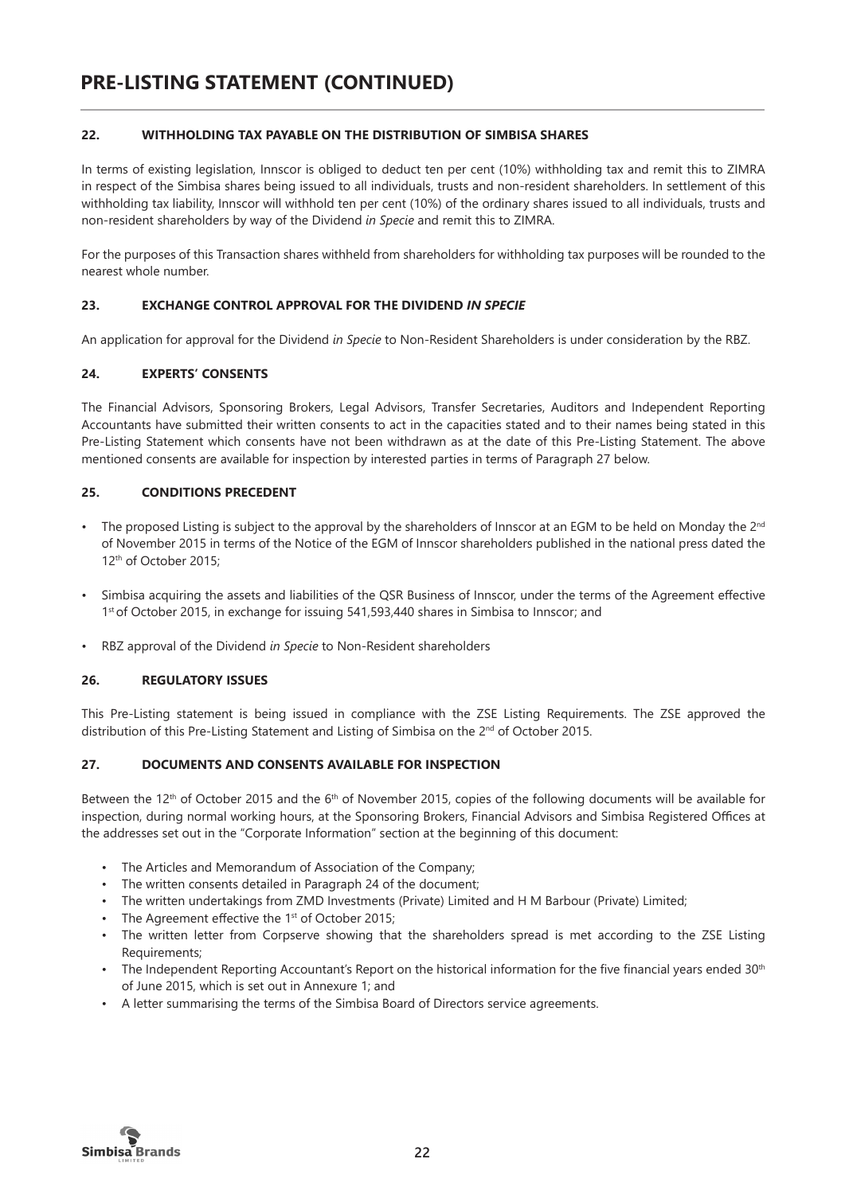# **22. WITHHOLDING TAX PAYABLE ON THE DISTRIBUTION OF SIMBISA SHARES**

In terms of existing legislation, Innscor is obliged to deduct ten per cent (10%) withholding tax and remit this to ZIMRA in respect of the Simbisa shares being issued to all individuals, trusts and non-resident shareholders. In settlement of this withholding tax liability, Innscor will withhold ten per cent (10%) of the ordinary shares issued to all individuals, trusts and non-resident shareholders by way of the Dividend *in Specie* and remit this to ZIMRA.

For the purposes of this Transaction shares withheld from shareholders for withholding tax purposes will be rounded to the nearest whole number.

# **23. EXCHANGE CONTROL APPROVAL FOR THE DIVIDEND** *IN SPECIE*

An application for approval for the Dividend *in Specie* to Non-Resident Shareholders is under consideration by the RBZ.

# **24. EXPERTS' CONSENTS**

The Financial Advisors, Sponsoring Brokers, Legal Advisors, Transfer Secretaries, Auditors and Independent Reporting Accountants have submitted their written consents to act in the capacities stated and to their names being stated in this Pre-Listing Statement which consents have not been withdrawn as at the date of this Pre-Listing Statement. The above mentioned consents are available for inspection by interested parties in terms of Paragraph 27 below.

# **25. CONDITIONS PRECEDENT**

- The proposed Listing is subject to the approval by the shareholders of Innscor at an EGM to be held on Monday the  $2^{nd}$ of November 2015 in terms of the Notice of the EGM of Innscor shareholders published in the national press dated the 12th of October 2015;
- Simbisa acquiring the assets and liabilities of the QSR Business of Innscor, under the terms of the Agreement effective 1st of October 2015, in exchange for issuing 541,593,440 shares in Simbisa to Innscor; and
- RBZ approval of the Dividend *in Specie* to Non-Resident shareholders

# **26. REGULATORY ISSUES**

This Pre-Listing statement is being issued in compliance with the ZSE Listing Requirements. The ZSE approved the distribution of this Pre-Listing Statement and Listing of Simbisa on the 2<sup>nd</sup> of October 2015.

# **27. DOCUMENTS AND CONSENTS AVAILABLE FOR INSPECTION**

Between the 12<sup>th</sup> of October 2015 and the 6<sup>th</sup> of November 2015, copies of the following documents will be available for inspection, during normal working hours, at the Sponsoring Brokers, Financial Advisors and Simbisa Registered Offices at the addresses set out in the "Corporate Information" section at the beginning of this document:

- The Articles and Memorandum of Association of the Company;
- The written consents detailed in Paragraph 24 of the document;
- The written undertakings from ZMD Investments (Private) Limited and H M Barbour (Private) Limited;
- The Agreement effective the 1<sup>st</sup> of October 2015;
- The written letter from Corpserve showing that the shareholders spread is met according to the ZSE Listing Requirements;
- The Independent Reporting Accountant's Report on the historical information for the five financial years ended 30<sup>th</sup> of June 2015, which is set out in Annexure 1; and
- A letter summarising the terms of the Simbisa Board of Directors service agreements.

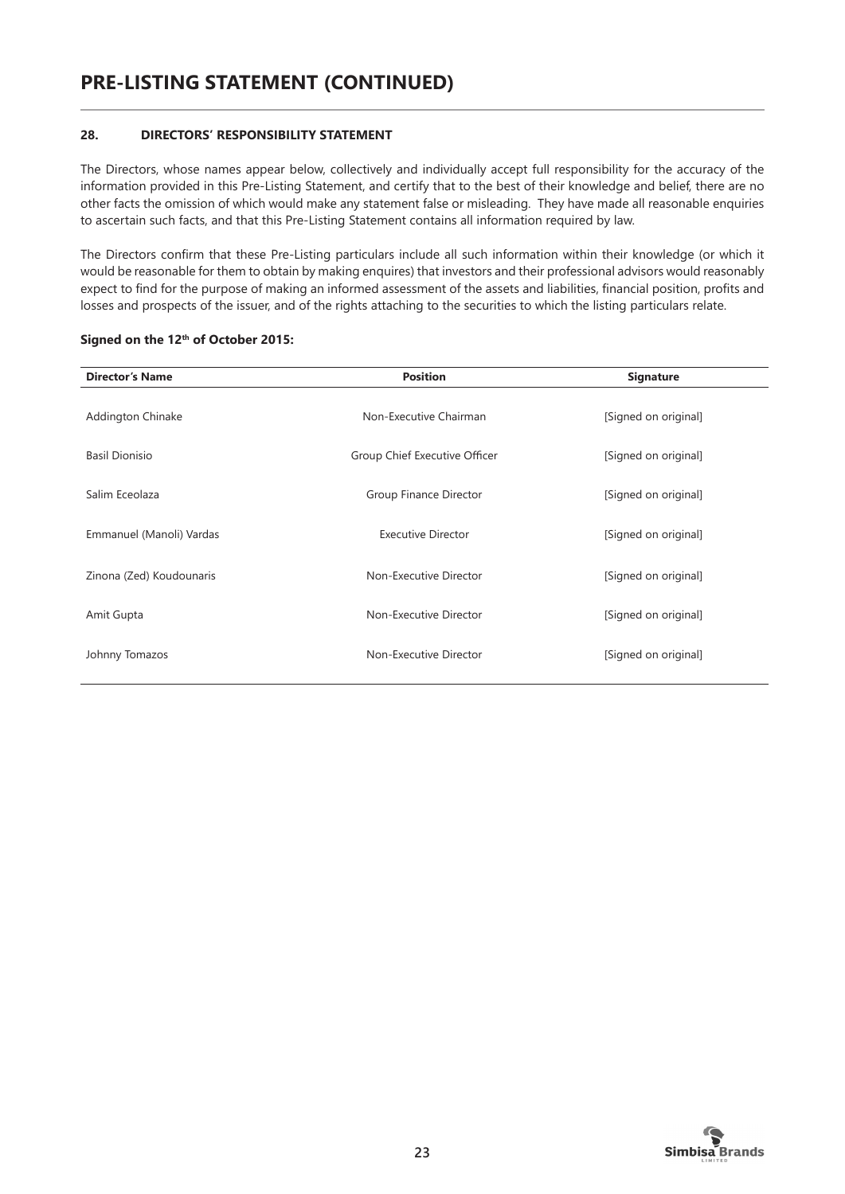# **28. DIRECTORS' RESPONSIBILITY STATEMENT**

The Directors, whose names appear below, collectively and individually accept full responsibility for the accuracy of the information provided in this Pre-Listing Statement, and certify that to the best of their knowledge and belief, there are no other facts the omission of which would make any statement false or misleading. They have made all reasonable enquiries to ascertain such facts, and that this Pre-Listing Statement contains all information required by law.

The Directors confirm that these Pre-Listing particulars include all such information within their knowledge (or which it would be reasonable for them to obtain by making enquires) that investors and their professional advisors would reasonably expect to find for the purpose of making an informed assessment of the assets and liabilities, financial position, profits and losses and prospects of the issuer, and of the rights attaching to the securities to which the listing particulars relate.

| <b>Director's Name</b>   | <b>Position</b>               | <b>Signature</b>     |
|--------------------------|-------------------------------|----------------------|
| Addington Chinake        | Non-Executive Chairman        | [Signed on original] |
| <b>Basil Dionisio</b>    | Group Chief Executive Officer | [Signed on original] |
| Salim Eceolaza           | Group Finance Director        | [Signed on original] |
| Emmanuel (Manoli) Vardas | Executive Director            | [Signed on original] |
| Zinona (Zed) Koudounaris | Non-Executive Director        | [Signed on original] |
| Amit Gupta               | Non-Executive Director        | [Signed on original] |
| Johnny Tomazos           | Non-Executive Director        | [Signed on original] |

# **Signed on the 12th of October 2015:**

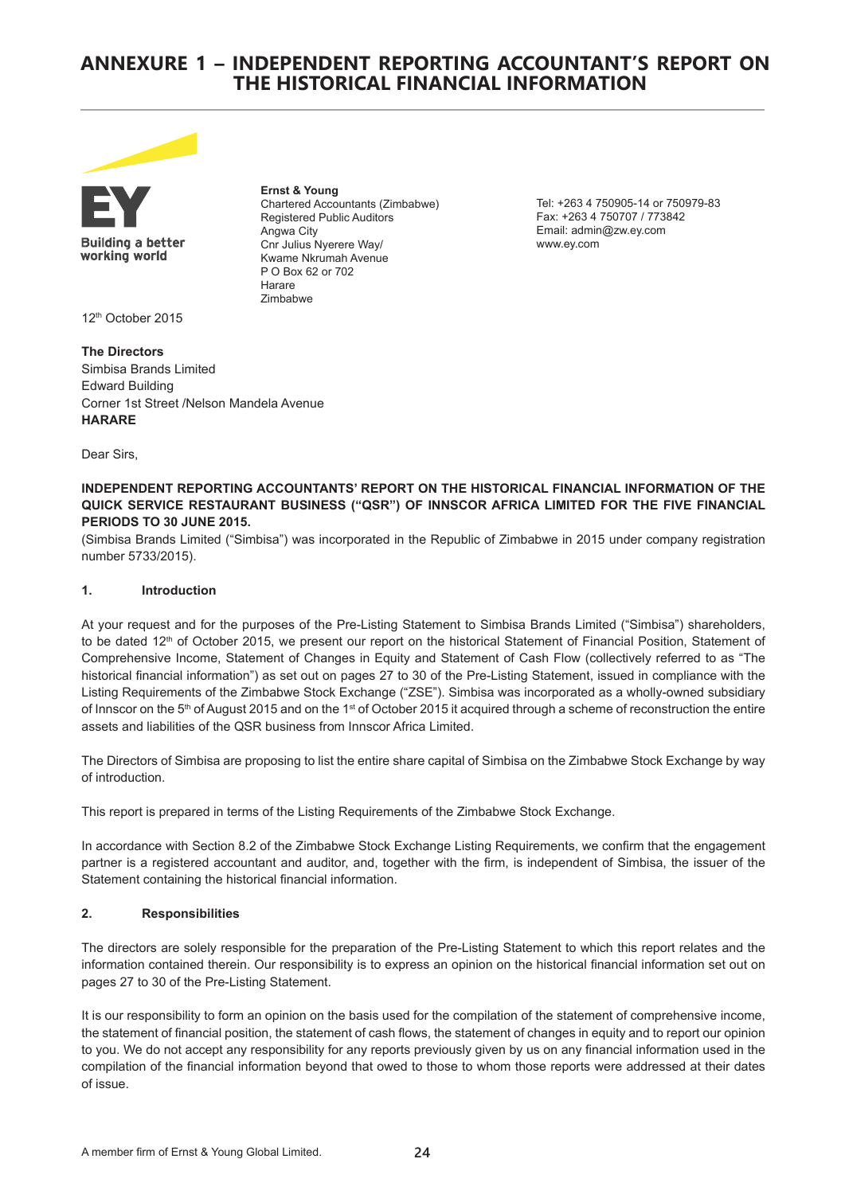# **ANNEXURE 1 – INDEPENDENT REPORTING ACCOUNTANT'S REPORT ON THE HISTORICAL FINANCIAL INFORMATION**



**Building a better** working world

**Ernst & Young** Chartered Accountants (Zimbabwe) Registered Public Auditors Angwa City Cnr Julius Nyerere Way/ Kwame Nkrumah Avenue P O Box 62 or 702 Harare Zimbabwe

Tel: +263 4 750905-14 or 750979-83 Fax: +263 4 750707 / 773842 Email: admin@zw.ey.com www.ey.com

12th October 2015

**The Directors** Simbisa Brands Limited Edward Building Corner 1st Street /Nelson Mandela Avenue **HARARE**

Dear Sirs,

#### **INDEPENDENT REPORTING ACCOUNTANTS' REPORT ON THE HISTORICAL FINANCIAL INFORMATION OF THE QUICK SERVICE RESTAURANT BUSINESS ("QSR") OF INNSCOR AFRICA LIMITED FOR THE FIVE FINANCIAL PERIODS TO 30 JUNE 2015.**

(Simbisa Brands Limited ("Simbisa") was incorporated in the Republic of Zimbabwe in 2015 under company registration number 5733/2015).

#### **1. Introduction**

At your request and for the purposes of the Pre-Listing Statement to Simbisa Brands Limited ("Simbisa") shareholders, to be dated 12<sup>th</sup> of October 2015, we present our report on the historical Statement of Financial Position, Statement of Comprehensive Income, Statement of Changes in Equity and Statement of Cash Flow (collectively referred to as "The historical financial information") as set out on pages 27 to 30 of the Pre-Listing Statement, issued in compliance with the Listing Requirements of the Zimbabwe Stock Exchange ("ZSE"). Simbisa was incorporated as a wholly-owned subsidiary of Innscor on the 5<sup>th</sup> of August 2015 and on the 1<sup>st</sup> of October 2015 it acquired through a scheme of reconstruction the entire assets and liabilities of the QSR business from Innscor Africa Limited.

The Directors of Simbisa are proposing to list the entire share capital of Simbisa on the Zimbabwe Stock Exchange by way of introduction.

This report is prepared in terms of the Listing Requirements of the Zimbabwe Stock Exchange.

In accordance with Section 8.2 of the Zimbabwe Stock Exchange Listing Requirements, we confirm that the engagement partner is a registered accountant and auditor, and, together with the firm, is independent of Simbisa, the issuer of the Statement containing the historical financial information.

# **2. Responsibilities**

The directors are solely responsible for the preparation of the Pre-Listing Statement to which this report relates and the information contained therein. Our responsibility is to express an opinion on the historical financial information set out on pages 27 to 30 of the Pre-Listing Statement.

It is our responsibility to form an opinion on the basis used for the compilation of the statement of comprehensive income, the statement of financial position, the statement of cash flows, the statement of changes in equity and to report our opinion to you. We do not accept any responsibility for any reports previously given by us on any financial information used in the compilation of the financial information beyond that owed to those to whom those reports were addressed at their dates of issue.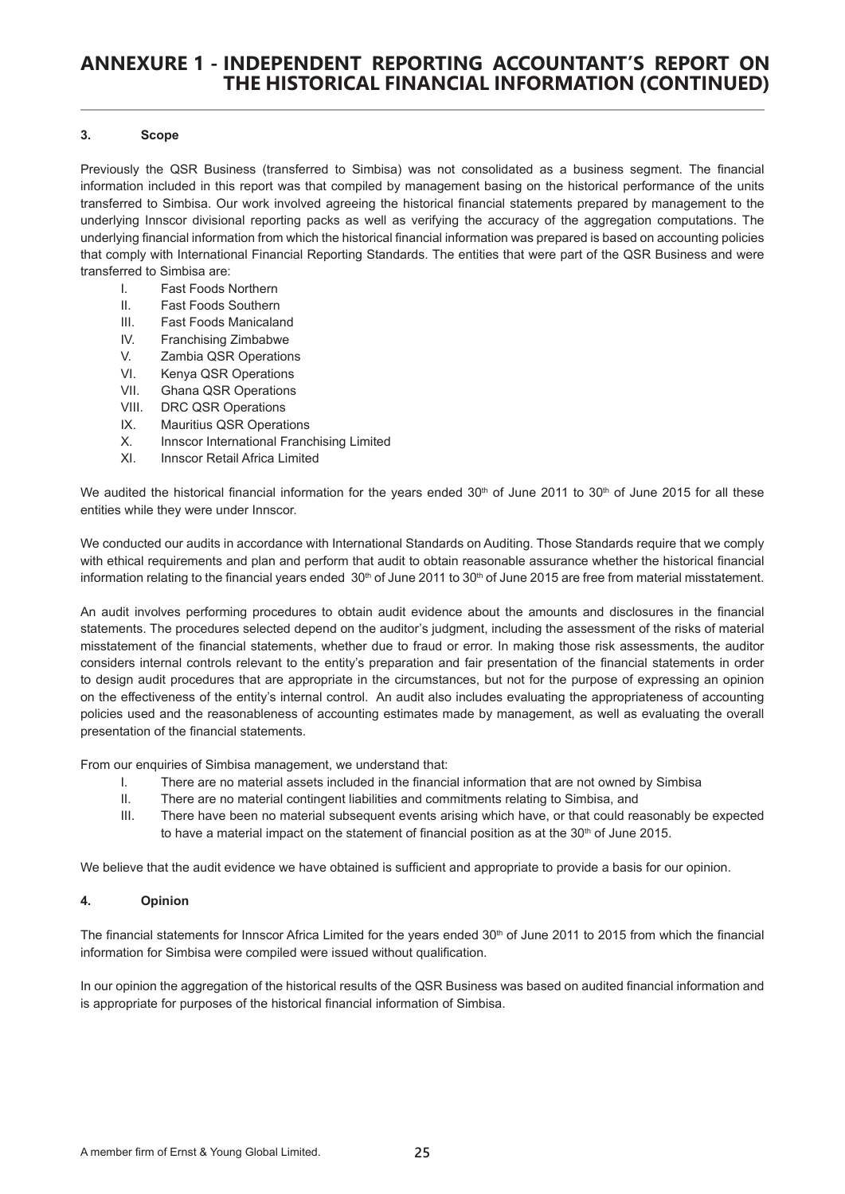# **ANNEXURE 1 - INDEPENDENT REPORTING ACCOUNTANT'S REPORT ON THE HISTORICAL FINANCIAL INFORMATION (CONTINUED)**

#### **3. Scope**

Previously the QSR Business (transferred to Simbisa) was not consolidated as a business segment. The financial information included in this report was that compiled by management basing on the historical performance of the units transferred to Simbisa. Our work involved agreeing the historical financial statements prepared by management to the underlying Innscor divisional reporting packs as well as verifying the accuracy of the aggregation computations. The underlying financial information from which the historical financial information was prepared is based on accounting policies that comply with International Financial Reporting Standards. The entities that were part of the QSR Business and were transferred to Simbisa are:

- I. Fast Foods Northern
- II. Fast Foods Southern
- III. Fast Foods Manicaland
- IV. Franchising Zimbabwe
- V. Zambia QSR Operations
- VI. Kenya QSR Operations
- VII. Ghana QSR Operations
- VIII. DRC QSR Operations
- IX. Mauritius QSR Operations
- X. Innscor International Franchising Limited
- XI. Innscor Retail Africa Limited

We audited the historical financial information for the years ended  $30<sup>th</sup>$  of June 2011 to  $30<sup>th</sup>$  of June 2015 for all these entities while they were under Innscor.

We conducted our audits in accordance with International Standards on Auditing. Those Standards require that we comply with ethical requirements and plan and perform that audit to obtain reasonable assurance whether the historical financial information relating to the financial years ended  $30<sup>th</sup>$  of June 2011 to  $30<sup>th</sup>$  of June 2015 are free from material misstatement.

An audit involves performing procedures to obtain audit evidence about the amounts and disclosures in the financial statements. The procedures selected depend on the auditor's judgment, including the assessment of the risks of material misstatement of the financial statements, whether due to fraud or error. In making those risk assessments, the auditor considers internal controls relevant to the entity's preparation and fair presentation of the financial statements in order to design audit procedures that are appropriate in the circumstances, but not for the purpose of expressing an opinion on the effectiveness of the entity's internal control. An audit also includes evaluating the appropriateness of accounting policies used and the reasonableness of accounting estimates made by management, as well as evaluating the overall presentation of the financial statements.

From our enquiries of Simbisa management, we understand that:

- I. There are no material assets included in the financial information that are not owned by Simbisa
- II. There are no material contingent liabilities and commitments relating to Simbisa, and
- III. There have been no material subsequent events arising which have, or that could reasonably be expected to have a material impact on the statement of financial position as at the  $30<sup>th</sup>$  of June 2015.

We believe that the audit evidence we have obtained is sufficient and appropriate to provide a basis for our opinion.

#### **4. Opinion**

The financial statements for Innscor Africa Limited for the years ended 30<sup>th</sup> of June 2011 to 2015 from which the financial information for Simbisa were compiled were issued without qualification.

In our opinion the aggregation of the historical results of the QSR Business was based on audited financial information and is appropriate for purposes of the historical financial information of Simbisa.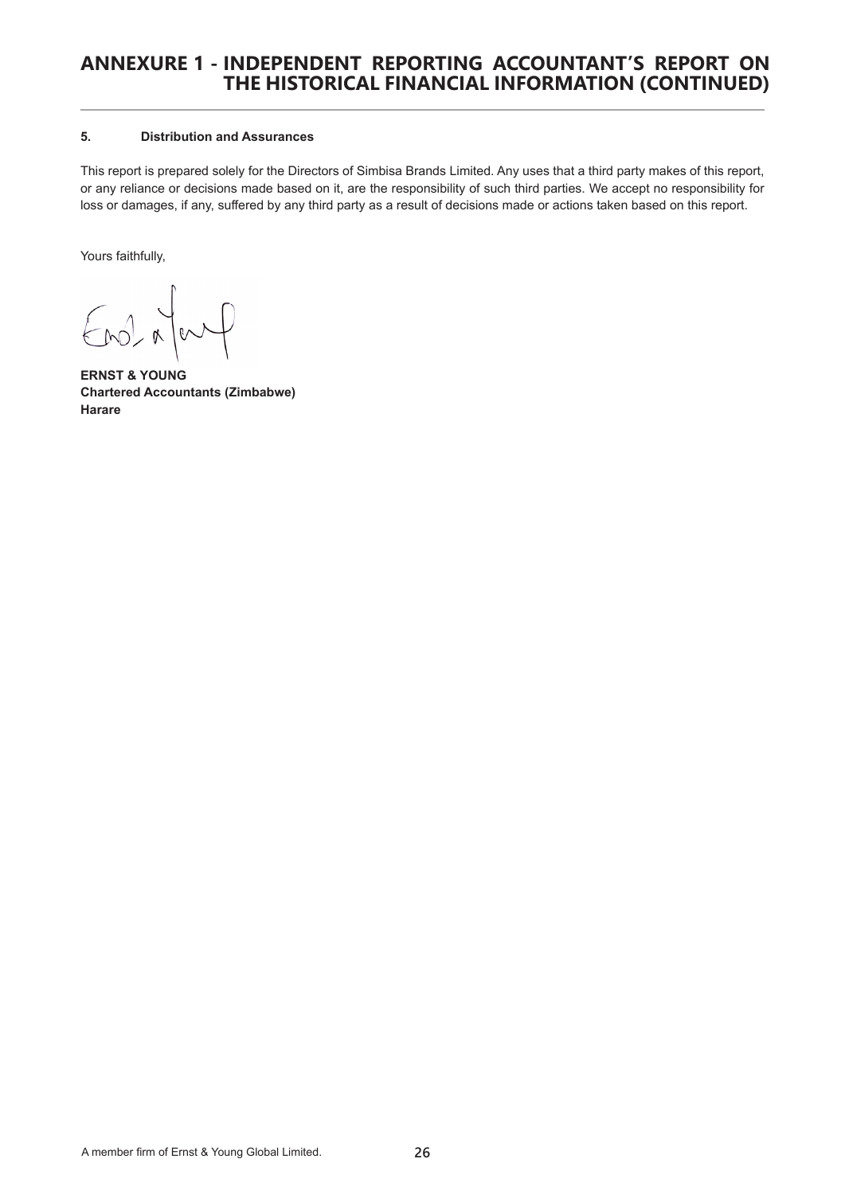# **ANNEXURE 1 - INDEPENDENT REPORTING ACCOUNTANT'S REPORT ON THE HISTORICAL FINANCIAL INFORMATION (CONTINUED)**

# **5. Distribution and Assurances**

This report is prepared solely for the Directors of Simbisa Brands Limited. Any uses that a third party makes of this report, or any reliance or decisions made based on it, are the responsibility of such third parties. We accept no responsibility for loss or damages, if any, suffered by any third party as a result of decisions made or actions taken based on this report.

Yours faithfully,

 $F_{M}$ </u>

**ERNST & YOUNG Chartered Accountants (Zimbabwe) Harare**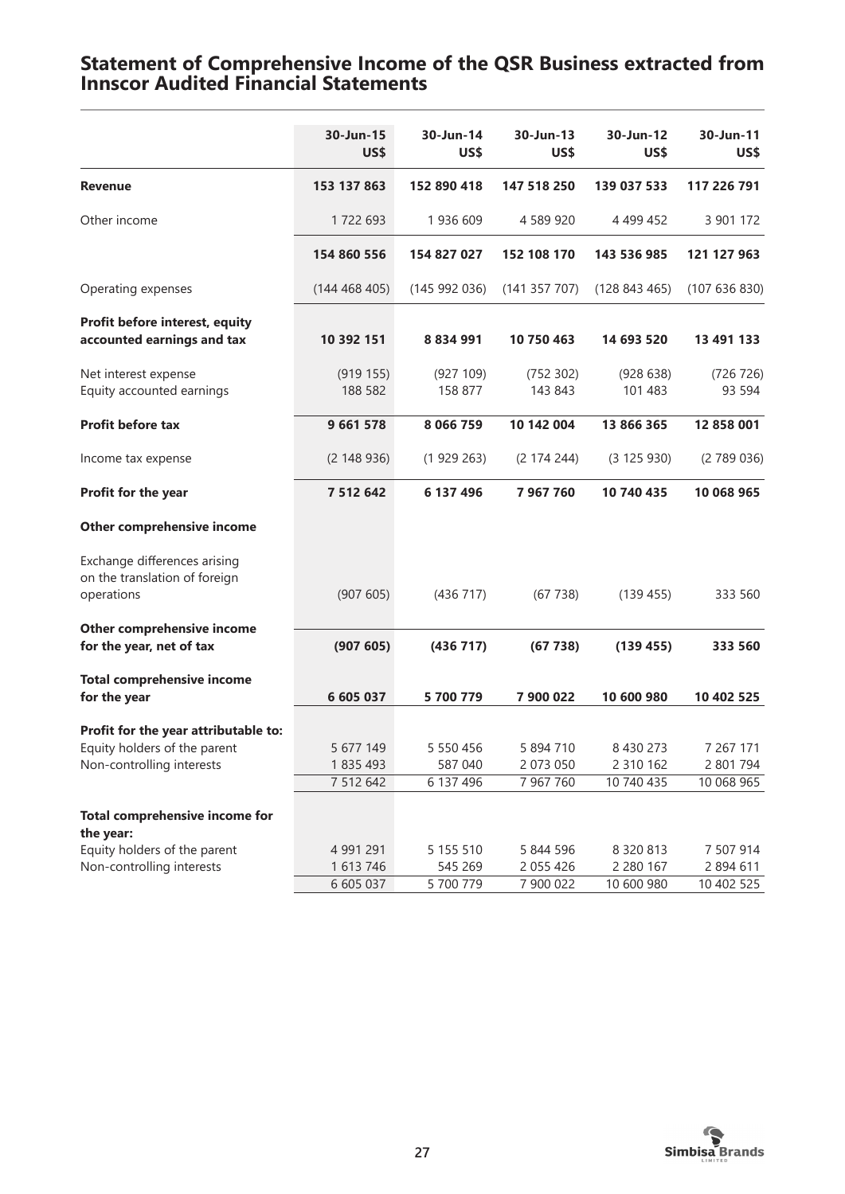# **Statement of Comprehensive Income of the QSR Business extracted from Innscor Audited Financial Statements**

|                                                                                                   | 30-Jun-15<br>US\$                   | 30-Jun-14<br>US\$                 | 30-Jun-13<br>US\$                   | 30-Jun-12<br>US\$                            | 30-Jun-11<br>US\$                    |
|---------------------------------------------------------------------------------------------------|-------------------------------------|-----------------------------------|-------------------------------------|----------------------------------------------|--------------------------------------|
| <b>Revenue</b>                                                                                    | 153 137 863                         | 152 890 418                       | 147 518 250                         | 139 037 533                                  | 117 226 791                          |
| Other income                                                                                      | 1722 693                            | 1936 609                          | 4 589 920                           | 4 4 9 4 4 5 2                                | 3 901 172                            |
|                                                                                                   | 154 860 556                         | 154 827 027                       | 152 108 170                         | 143 536 985                                  | 121 127 963                          |
| Operating expenses                                                                                | (144468405)                         | (145992036)                       | (141 357 707)                       | (128843465)                                  | (107636830)                          |
| Profit before interest, equity<br>accounted earnings and tax                                      | 10 392 151                          | 8 8 3 4 9 9 1                     | 10 750 463                          | 14 693 520                                   | 13 491 133                           |
| Net interest expense<br>Equity accounted earnings                                                 | (919155)<br>188 582                 | (927 109)<br>158 877              | (752 302)<br>143 843                | (928638)<br>101 483                          | (726 726)<br>93 5 94                 |
| Profit before tax                                                                                 | 9 661 578                           | 8 0 6 6 7 5 9                     | 10 142 004                          | 13 866 365                                   | 12 858 001                           |
| Income tax expense                                                                                | (2148936)                           | (1929263)                         | (2 174 244)                         | (3125930)                                    | (2789036)                            |
| Profit for the year                                                                               | 7 512 642                           | 6 137 496                         | 7 967 760                           | 10 740 435                                   | 10 068 965                           |
| Other comprehensive income                                                                        |                                     |                                   |                                     |                                              |                                      |
| Exchange differences arising<br>on the translation of foreign<br>operations                       | (907605)                            | (436 717)                         | (67738)                             | (139 455)                                    | 333 560                              |
| Other comprehensive income<br>for the year, net of tax                                            | (907605)                            | (436 717)                         | (67738)                             | (139 455)                                    | 333 560                              |
| <b>Total comprehensive income</b><br>for the year                                                 | 6 605 037                           | 5 700 779                         | 7 900 022                           | 10 600 980                                   | 10 402 525                           |
| Profit for the year attributable to:<br>Equity holders of the parent<br>Non-controlling interests | 5 677 149<br>1835 493<br>7 512 642  | 5 550 456<br>587 040<br>6 137 496 | 5 894 710<br>2 073 050<br>7 967 760 | 8 4 3 0 2 7 3<br>2 3 1 0 1 6 2<br>10 740 435 | 7 267 171<br>2 801 794<br>10 068 965 |
| <b>Total comprehensive income for</b><br>the year:                                                |                                     |                                   |                                     |                                              |                                      |
| Equity holders of the parent<br>Non-controlling interests                                         | 4 991 291<br>1 613 746<br>6 605 037 | 5 155 510<br>545 269<br>5 700 779 | 5 844 596<br>2 055 426<br>7 900 022 | 8 3 2 0 8 1 3<br>2 280 167<br>10 600 980     | 7 507 914<br>2 894 611<br>10 402 525 |

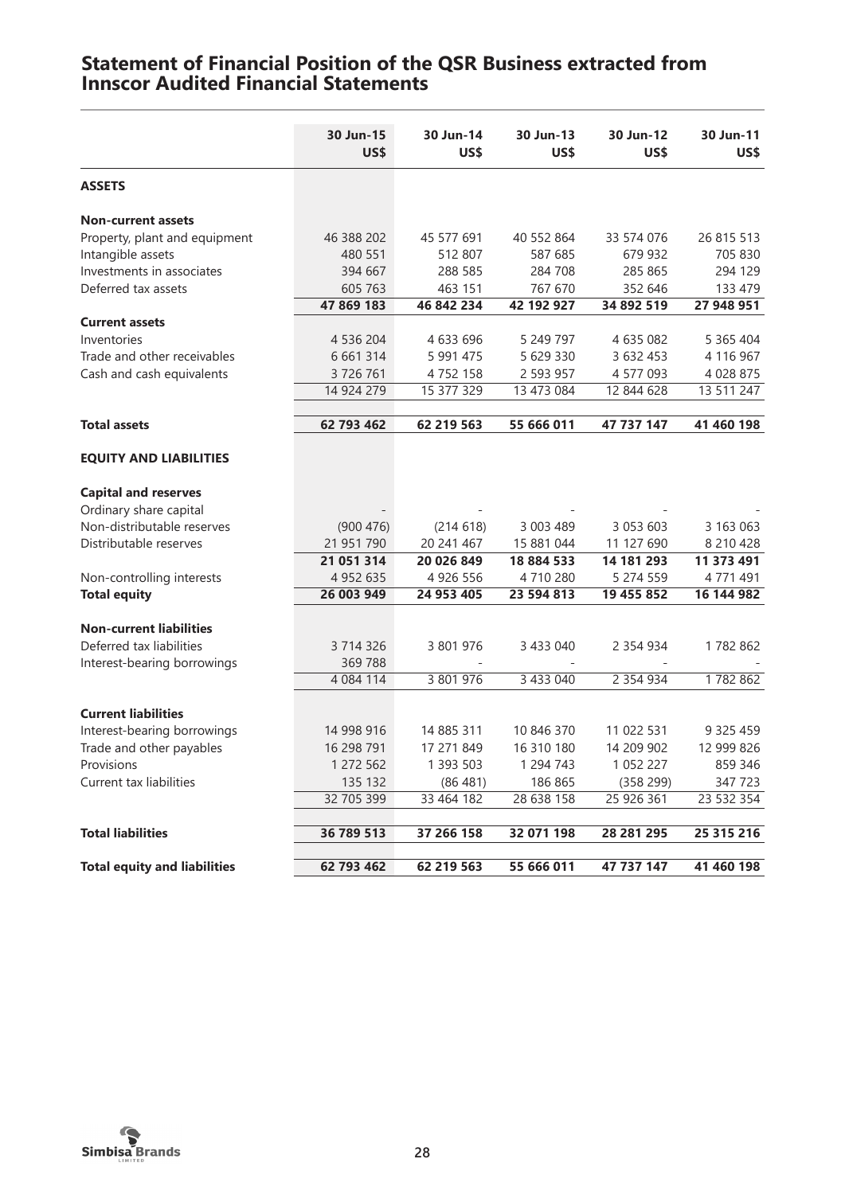|                                     | 30 Jun-15<br>US\$ | 30 Jun-14<br>US\$ | 30 Jun-13<br>US\$ | 30 Jun-12<br>US\$ | 30 Jun-11<br>US\$ |
|-------------------------------------|-------------------|-------------------|-------------------|-------------------|-------------------|
| <b>ASSETS</b>                       |                   |                   |                   |                   |                   |
| <b>Non-current assets</b>           |                   |                   |                   |                   |                   |
| Property, plant and equipment       | 46 388 202        | 45 577 691        | 40 552 864        | 33 574 076        | 26 815 513        |
| Intangible assets                   | 480 551           | 512 807           | 587 685           | 679 932           | 705 830           |
| Investments in associates           | 394 667           | 288 585           | 284 708           | 285 865           | 294 129           |
| Deferred tax assets                 | 605 763           | 463 151           | 767 670           | 352 646           | 133 479           |
|                                     | 47 869 183        | 46 842 234        | 42 192 927        | 34 892 519        | 27 948 951        |
| <b>Current assets</b>               |                   |                   |                   |                   |                   |
| Inventories                         | 4 536 204         | 4 633 696         | 5 249 797         | 4 635 082         | 5 365 404         |
| Trade and other receivables         | 6 6 6 1 3 1 4     | 5 991 475         | 5 629 330         | 3 632 453         | 4 116 967         |
| Cash and cash equivalents           | 3726761           | 4752158           | 2 593 957         | 4 577 093         | 4 0 28 8 75       |
|                                     | 14 924 279        | 15 377 329        | 13 473 084        | 12 844 628        | 13 511 247        |
|                                     |                   |                   |                   |                   |                   |
| <b>Total assets</b>                 | 62 793 462        | 62 219 563        | 55 666 011        | 47 737 147        | 41 460 198        |
| <b>EQUITY AND LIABILITIES</b>       |                   |                   |                   |                   |                   |
|                                     |                   |                   |                   |                   |                   |
| <b>Capital and reserves</b>         |                   |                   |                   |                   |                   |
| Ordinary share capital              |                   |                   |                   |                   |                   |
| Non-distributable reserves          | (900 476)         | (214618)          | 3 003 489         | 3 053 603         | 3 163 063         |
| Distributable reserves              | 21 951 790        | 20 241 467        | 15 881 044        | 11 127 690        | 8 210 428         |
|                                     | 21 051 314        | 20 026 849        | 18 884 533        | 14 181 293        | 11 373 491        |
| Non-controlling interests           | 4 9 5 2 6 3 5     | 4 926 556         | 4710280           | 5 274 559         | 4771491           |
| <b>Total equity</b>                 | 26 003 949        | 24 953 405        | 23 594 813        | 19 455 852        | 16 144 982        |
| <b>Non-current liabilities</b>      |                   |                   |                   |                   |                   |
| Deferred tax liabilities            | 3 714 326         | 3 801 976         | 3 433 040         | 2 3 5 4 9 3 4     | 1782862           |
| Interest-bearing borrowings         | 369788            |                   |                   |                   |                   |
|                                     | 4 0 8 4 1 1 4     | 3 801 976         | 3 433 040         | 2 3 5 4 9 3 4     | 1782862           |
| <b>Current liabilities</b>          |                   |                   |                   |                   |                   |
|                                     |                   |                   |                   |                   |                   |
| Interest-bearing borrowings         | 14 998 916        | 14 885 311        | 10 846 370        | 11 022 531        | 9 3 2 5 4 5 9     |
| Trade and other payables            | 16 298 791        | 17 271 849        | 16 310 180        | 14 209 902        | 12 999 826        |
| Provisions                          | 1 272 562         | 1 393 503         | 1 294 743         | 1 0 5 2 2 2 7     | 859 346           |
| Current tax liabilities             | 135 132           | (86 481)          | 186 865           | (358 299)         | 347723            |
|                                     | 32 705 399        | 33 464 182        | 28 638 158        | 25 926 361        | 23 532 354        |
| <b>Total liabilities</b>            | 36 789 513        | 37 266 158        | 32 071 198        | 28 281 295        | 25 315 216        |
| <b>Total equity and liabilities</b> | 62 793 462        | 62 219 563        | 55 666 011        | 47 737 147        | 41 460 198        |

# **Statement of Financial Position of the QSR Business extracted from Innscor Audited Financial Statements**

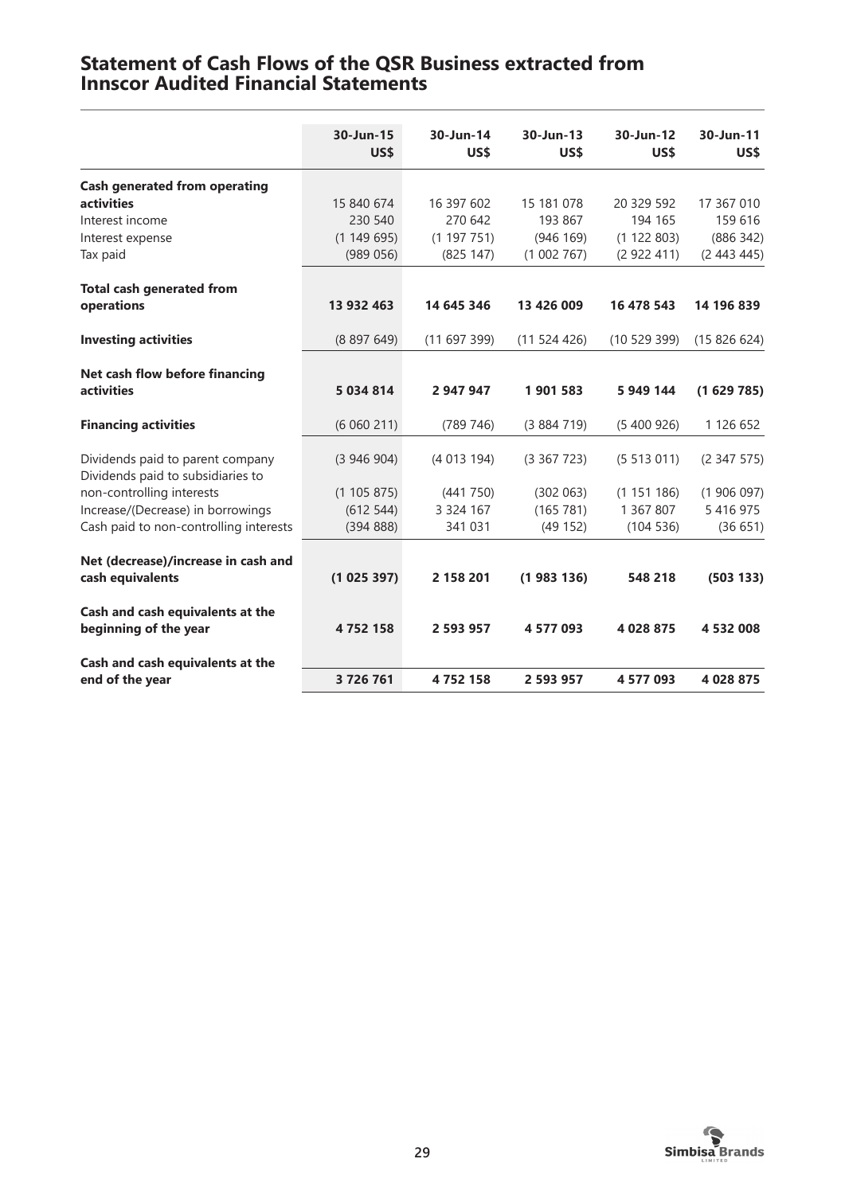# **Statement of Cash Flows of the QSR Business extracted from Innscor Audited Financial Statements**

|                                                                       | 30-Jun-15<br>US\$ | 30-Jun-14<br>US\$ | 30-Jun-13<br>US\$ | 30-Jun-12<br>US\$ | 30-Jun-11<br>US\$ |
|-----------------------------------------------------------------------|-------------------|-------------------|-------------------|-------------------|-------------------|
| <b>Cash generated from operating</b>                                  |                   |                   |                   |                   |                   |
| activities                                                            | 15 840 674        | 16 397 602        | 15 181 078        | 20 329 592        | 17 367 010        |
| Interest income                                                       | 230 540           | 270 642           | 193 867           | 194 165           | 159 616           |
| Interest expense                                                      | (1149695)         | (1197751)         | (946 169)         | (1 122 803)       | (886 342)         |
| Tax paid                                                              | (989056)          | (825 147)         | (1002767)         | (2922411)         | (2443445)         |
| <b>Total cash generated from</b>                                      |                   |                   |                   |                   |                   |
| operations                                                            | 13 932 463        | 14 645 346        | 13 426 009        | 16 478 543        | 14 196 839        |
| <b>Investing activities</b>                                           | (8897649)         | (11697399)        | (11524426)        | (1052939)         | (15826624)        |
| Net cash flow before financing                                        |                   |                   |                   |                   |                   |
| <b>activities</b>                                                     | 5 034 814         | 2 947 947         | 1901583           | 5 949 144         | (1629785)         |
| <b>Financing activities</b>                                           | (6060211)         | (789 746)         | (3884719)         | (5400926)         | 1 126 652         |
| Dividends paid to parent company<br>Dividends paid to subsidiaries to | (3946904)         | (4013194)         | (3367723)         | (5513011)         | (2347575)         |
| non-controlling interests                                             | (1105875)         | (441 750)         | (302 063)         | (1151186)         | (1906097)         |
| Increase/(Decrease) in borrowings                                     | (612544)          | 3 3 2 4 1 6 7     | (165 781)         | 1 367 807         | 5 4 1 6 9 7 5     |
| Cash paid to non-controlling interests                                | (39488)           | 341 031           | (49 152)          | (104536)          | (36651)           |
| Net (decrease)/increase in cash and                                   |                   |                   |                   |                   |                   |
| cash equivalents                                                      | (1025397)         | 2 158 201         | (1983136)         | 548 218           | (503 133)         |
| Cash and cash equivalents at the<br>beginning of the year             | 4752158           | 2 593 957         | 4 577 093         | 4 028 875         | 4 532 008         |
| Cash and cash equivalents at the                                      |                   |                   |                   |                   |                   |
| end of the year                                                       | 3726761           | 4752158           | 2 593 957         | 4 577 093         | 4 028 875         |

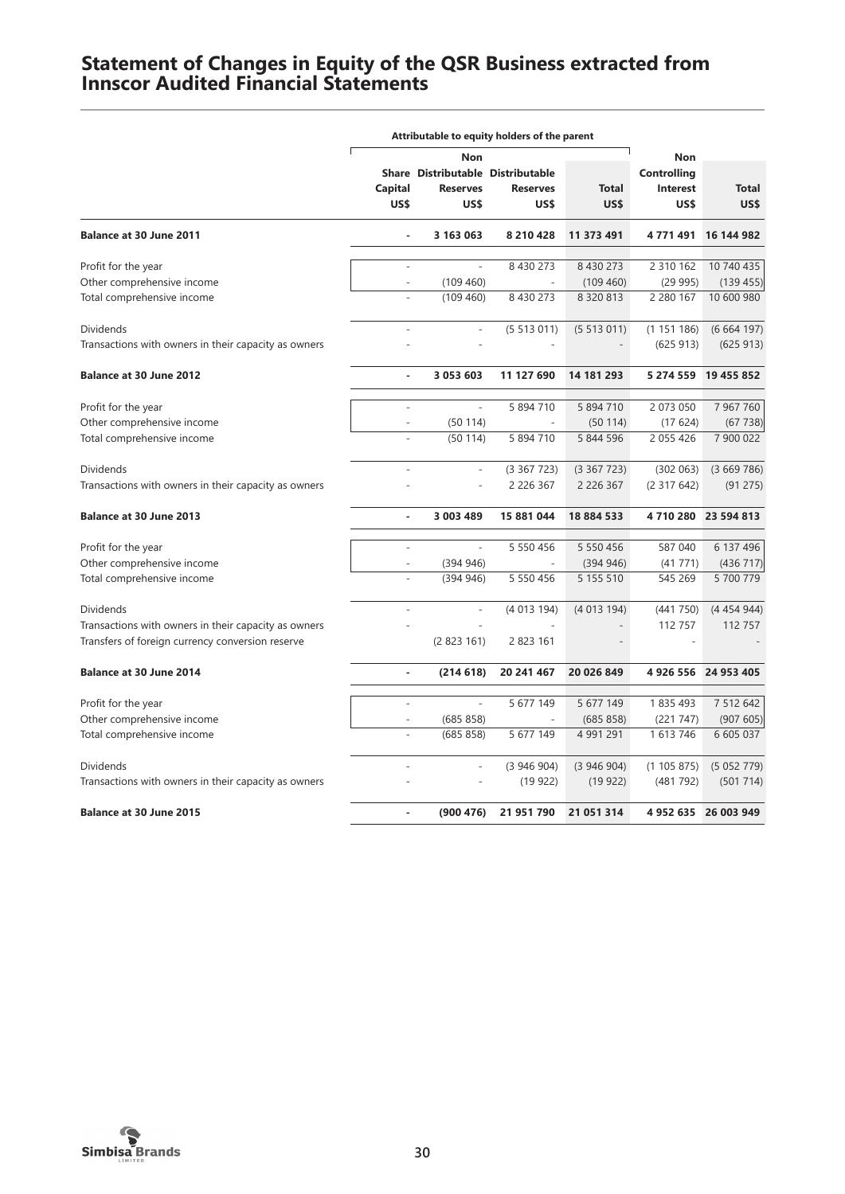# **Statement of Changes in Equity of the QSR Business extracted from Innscor Audited Financial Statements**

|                                                      | Attributable to equity holders of the parent |                                                              |                          |                      |                                 |                      |
|------------------------------------------------------|----------------------------------------------|--------------------------------------------------------------|--------------------------|----------------------|---------------------------------|----------------------|
|                                                      | Non                                          |                                                              |                          | <b>Non</b>           |                                 |                      |
|                                                      | Capital<br>US\$                              | Share Distributable Distributable<br><b>Reserves</b><br>US\$ | <b>Reserves</b><br>US\$  | <b>Total</b><br>US\$ | Controlling<br>Interest<br>US\$ | <b>Total</b><br>US\$ |
| <b>Balance at 30 June 2011</b>                       |                                              | 3 163 063                                                    | 8 2 10 4 28              | 11 373 491           | 4 771 491                       | 16 144 982           |
|                                                      |                                              |                                                              |                          |                      |                                 |                      |
| Profit for the year                                  |                                              |                                                              | 8 430 273                | 8 430 273            | 2 310 162                       | 10 740 435           |
| Other comprehensive income                           | $\overline{\phantom{a}}$                     | (109 460)                                                    | $\overline{\phantom{a}}$ | (109 460)            | (29995)                         | (139 455)            |
| Total comprehensive income                           |                                              | (109 460)                                                    | 8 430 273                | 8 3 2 0 8 1 3        | 2 280 167                       | 10 600 980           |
| Dividends                                            | $\overline{a}$                               | $\overline{a}$                                               | (5513011)                | (5513011)            | (1151186)                       | (6664197)            |
| Transactions with owners in their capacity as owners |                                              |                                                              |                          |                      | (625913)                        | (625913)             |
| <b>Balance at 30 June 2012</b>                       | $\overline{a}$                               | 3 053 603                                                    | 11 127 690               | 14 181 293           | 5 274 559                       | 19 455 852           |
| Profit for the year                                  |                                              |                                                              | 5 894 710                | 5 894 710            | 2 073 050                       | 7 967 760            |
| Other comprehensive income                           |                                              | (50114)                                                      |                          | (50114)              | (17624)                         | (67738)              |
|                                                      |                                              |                                                              | 5 894 710                |                      |                                 | 7 900 022            |
| Total comprehensive income                           |                                              | (50114)                                                      |                          | 5 844 596            | 2 0 5 4 2 6                     |                      |
| <b>Dividends</b>                                     | $\overline{a}$                               | $\overline{a}$                                               | (3367723)                | (3367723)            | (302 063)                       | (3669786)            |
| Transactions with owners in their capacity as owners |                                              |                                                              | 2 2 2 6 3 6 7            | 2 2 2 6 3 6 7        | (2317642)                       | (91 275)             |
| <b>Balance at 30 June 2013</b>                       | $\blacksquare$                               | 3 003 489                                                    | 15 881 044               | 18 884 533           |                                 | 4 710 280 23 594 813 |
| Profit for the year                                  |                                              |                                                              | 5 5 5 0 4 5 6            | 5 550 456            | 587 040                         | 6 137 496            |
| Other comprehensive income                           | ÷,                                           | (394946)                                                     | $\overline{a}$           | (394946)             | (41771)                         | (436 717)            |
| Total comprehensive income                           |                                              | (394946)                                                     | 5 5 5 0 4 5 6            | 5 155 510            | 545 269                         | 5 700 779            |
| <b>Dividends</b>                                     |                                              | $\overline{a}$                                               | (4 013 194)              | (4013194)            | (441 750)                       | (4454944)            |
| Transactions with owners in their capacity as owners |                                              |                                                              |                          |                      | 112 757                         | 112 757              |
| Transfers of foreign currency conversion reserve     |                                              | (2823161)                                                    | 2 823 161                |                      |                                 |                      |
|                                                      |                                              |                                                              |                          |                      |                                 |                      |
| Balance at 30 June 2014                              | ٠                                            | (214618)                                                     | 20 241 467               | 20 026 849           |                                 | 4 926 556 24 953 405 |
| Profit for the year                                  |                                              |                                                              | 5 677 149                | 5 677 149            | 1835493                         | 7 512 642            |
| Other comprehensive income                           |                                              | (685 858)                                                    |                          | (685 858)            | (221 747)                       | (907605)             |
| Total comprehensive income                           |                                              | (685 858)                                                    | 5 677 149                | 4 991 291            | 1 613 746                       | 6 605 037            |
| <b>Dividends</b>                                     |                                              |                                                              | (3946904)                | (3946904)            | (1105875)                       | (5052779)            |
| Transactions with owners in their capacity as owners |                                              |                                                              | (19922)                  | (19922)              | (481 792)                       | (501714)             |
| <b>Balance at 30 June 2015</b>                       | Ĭ.                                           | (900 476)                                                    | 21 951 790               | 21 051 314           |                                 | 4 952 635 26 003 949 |
|                                                      |                                              |                                                              |                          |                      |                                 |                      |